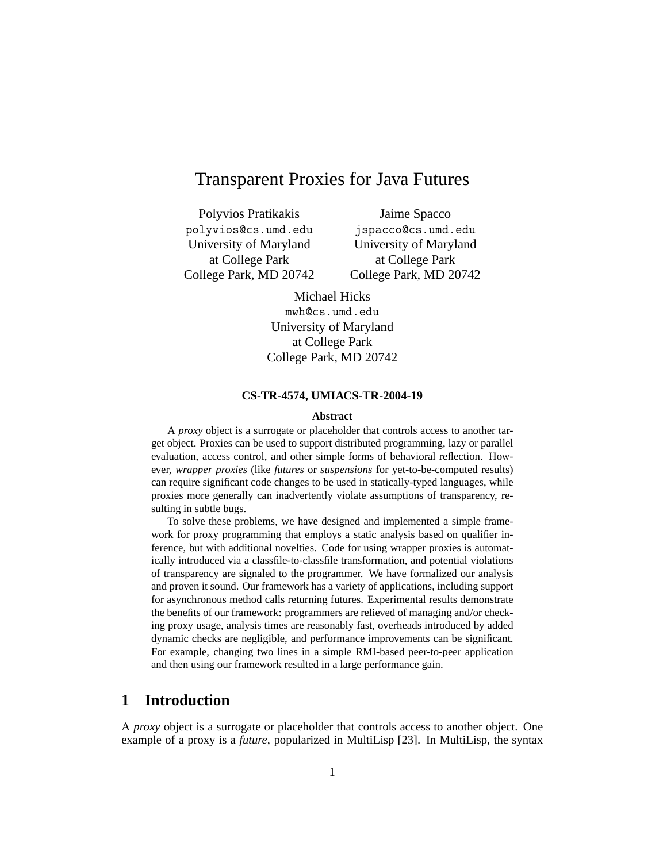# Transparent Proxies for Java Futures

Polyvios Pratikakis polyvios@cs.umd.edu University of Maryland at College Park College Park, MD 20742

Jaime Spacco jspacco@cs.umd.edu University of Maryland at College Park College Park, MD 20742

Michael Hicks mwh@cs.umd.edu University of Maryland at College Park College Park, MD 20742

#### **CS-TR-4574, UMIACS-TR-2004-19**

#### **Abstract**

A *proxy* object is a surrogate or placeholder that controls access to another target object. Proxies can be used to support distributed programming, lazy or parallel evaluation, access control, and other simple forms of behavioral reflection. However, *wrapper proxies* (like *futures* or *suspensions* for yet-to-be-computed results) can require significant code changes to be used in statically-typed languages, while proxies more generally can inadvertently violate assumptions of transparency, resulting in subtle bugs.

To solve these problems, we have designed and implemented a simple framework for proxy programming that employs a static analysis based on qualifier inference, but with additional novelties. Code for using wrapper proxies is automatically introduced via a classfile-to-classfile transformation, and potential violations of transparency are signaled to the programmer. We have formalized our analysis and proven it sound. Our framework has a variety of applications, including support for asynchronous method calls returning futures. Experimental results demonstrate the benefits of our framework: programmers are relieved of managing and/or checking proxy usage, analysis times are reasonably fast, overheads introduced by added dynamic checks are negligible, and performance improvements can be significant. For example, changing two lines in a simple RMI-based peer-to-peer application and then using our framework resulted in a large performance gain.

# **1 Introduction**

A *proxy* object is a surrogate or placeholder that controls access to another object. One example of a proxy is a *future*, popularized in MultiLisp [23]. In MultiLisp, the syntax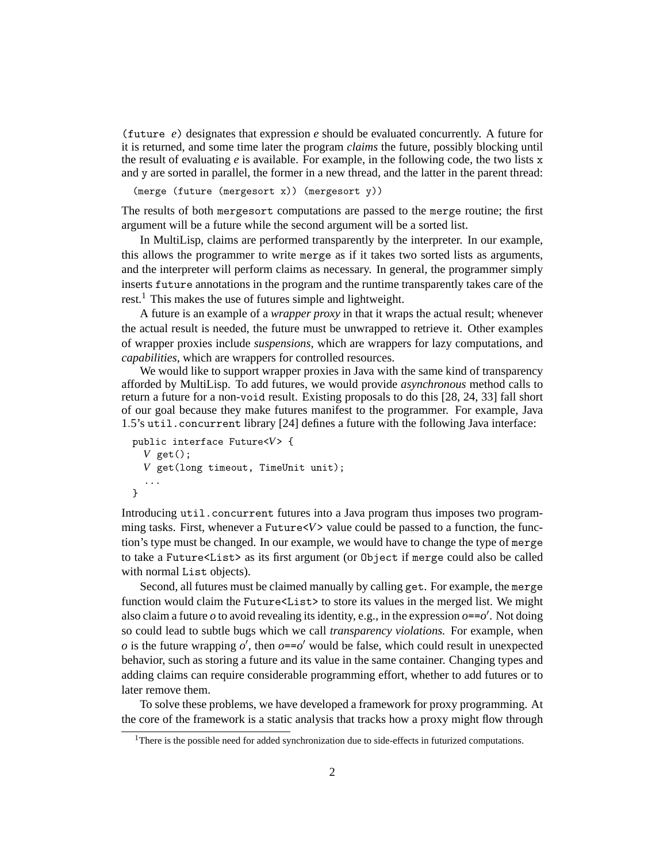(future *e*) designates that expression *e* should be evaluated concurrently. A future for it is returned, and some time later the program *claims* the future, possibly blocking until the result of evaluating  $e$  is available. For example, in the following code, the two lists  $x$ and y are sorted in parallel, the former in a new thread, and the latter in the parent thread:

(merge (future (mergesort x)) (mergesort y))

The results of both mergesort computations are passed to the merge routine; the first argument will be a future while the second argument will be a sorted list.

In MultiLisp, claims are performed transparently by the interpreter. In our example, this allows the programmer to write merge as if it takes two sorted lists as arguments, and the interpreter will perform claims as necessary. In general, the programmer simply inserts future annotations in the program and the runtime transparently takes care of the rest.<sup>1</sup> This makes the use of futures simple and lightweight.

A future is an example of a *wrapper proxy* in that it wraps the actual result; whenever the actual result is needed, the future must be unwrapped to retrieve it. Other examples of wrapper proxies include *suspensions*, which are wrappers for lazy computations, and *capabilities*, which are wrappers for controlled resources.

We would like to support wrapper proxies in Java with the same kind of transparency afforded by MultiLisp. To add futures, we would provide *asynchronous* method calls to return a future for a non-void result. Existing proposals to do this [28, 24, 33] fall short of our goal because they make futures manifest to the programmer. For example, Java 1.5's util.concurrent library [24] defines a future with the following Java interface:

```
public interface Future<V> {
  V get();
  V get(long timeout, TimeUnit unit);
  ...
}
```
Introducing util.concurrent futures into a Java program thus imposes two programming tasks. First, whenever a Future $\langle V \rangle$  value could be passed to a function, the function's type must be changed. In our example, we would have to change the type of merge to take a Future<List> as its first argument (or Object if merge could also be called with normal List objects).

Second, all futures must be claimed manually by calling get. For example, the merge function would claim the Future<List> to store its values in the merged list. We might also claim a future  $o$  to avoid revealing its identity, e.g., in the expression  $o=-o'$ . Not doing so could lead to subtle bugs which we call *transparency violations.* For example, when *o* is the future wrapping  $o'$ , then  $o == o'$  would be false, which could result in unexpected behavior, such as storing a future and its value in the same container. Changing types and adding claims can require considerable programming effort, whether to add futures or to later remove them.

To solve these problems, we have developed a framework for proxy programming. At the core of the framework is a static analysis that tracks how a proxy might flow through

<sup>&</sup>lt;sup>1</sup>There is the possible need for added synchronization due to side-effects in futurized computations.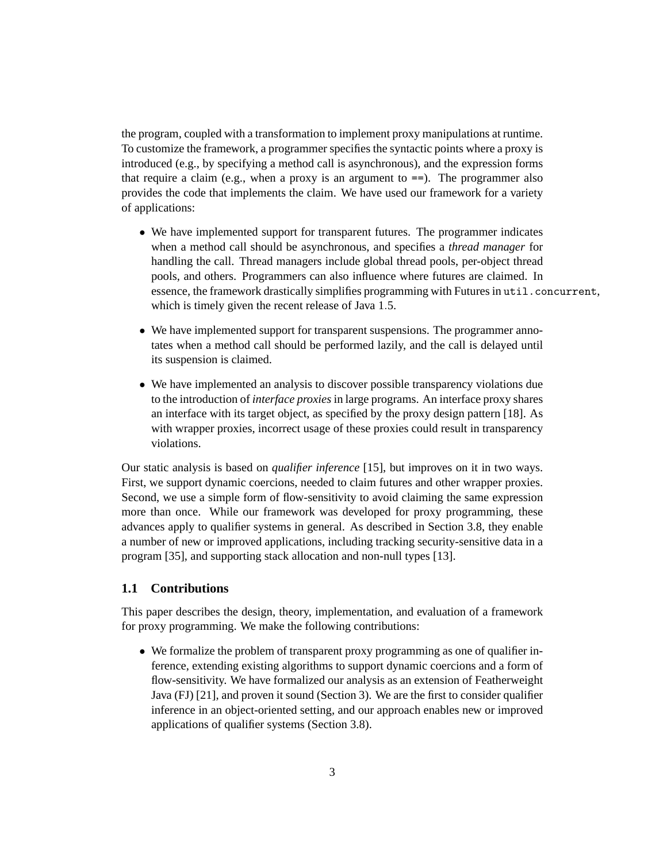the program, coupled with a transformation to implement proxy manipulations at runtime. To customize the framework, a programmer specifies the syntactic points where a proxy is introduced (e.g., by specifying a method call is asynchronous), and the expression forms that require a claim (e.g., when a proxy is an argument to  $==$ ). The programmer also provides the code that implements the claim. We have used our framework for a variety of applications:

- We have implemented support for transparent futures. The programmer indicates when a method call should be asynchronous, and specifies a *thread manager* for handling the call. Thread managers include global thread pools, per-object thread pools, and others. Programmers can also influence where futures are claimed. In essence, the framework drastically simplifies programming with Futures in util.concurrent, which is timely given the recent release of Java 1.5.
- We have implemented support for transparent suspensions. The programmer annotates when a method call should be performed lazily, and the call is delayed until its suspension is claimed.
- We have implemented an analysis to discover possible transparency violations due to the introduction of *interface proxies* in large programs. An interface proxy shares an interface with its target object, as specified by the proxy design pattern [18]. As with wrapper proxies, incorrect usage of these proxies could result in transparency violations.

Our static analysis is based on *qualifier inference* [15], but improves on it in two ways. First, we support dynamic coercions, needed to claim futures and other wrapper proxies. Second, we use a simple form of flow-sensitivity to avoid claiming the same expression more than once. While our framework was developed for proxy programming, these advances apply to qualifier systems in general. As described in Section 3.8, they enable a number of new or improved applications, including tracking security-sensitive data in a program [35], and supporting stack allocation and non-null types [13].

## **1.1 Contributions**

This paper describes the design, theory, implementation, and evaluation of a framework for proxy programming. We make the following contributions:

• We formalize the problem of transparent proxy programming as one of qualifier inference, extending existing algorithms to support dynamic coercions and a form of flow-sensitivity. We have formalized our analysis as an extension of Featherweight Java (FJ) [21], and proven it sound (Section 3). We are the first to consider qualifier inference in an object-oriented setting, and our approach enables new or improved applications of qualifier systems (Section 3.8).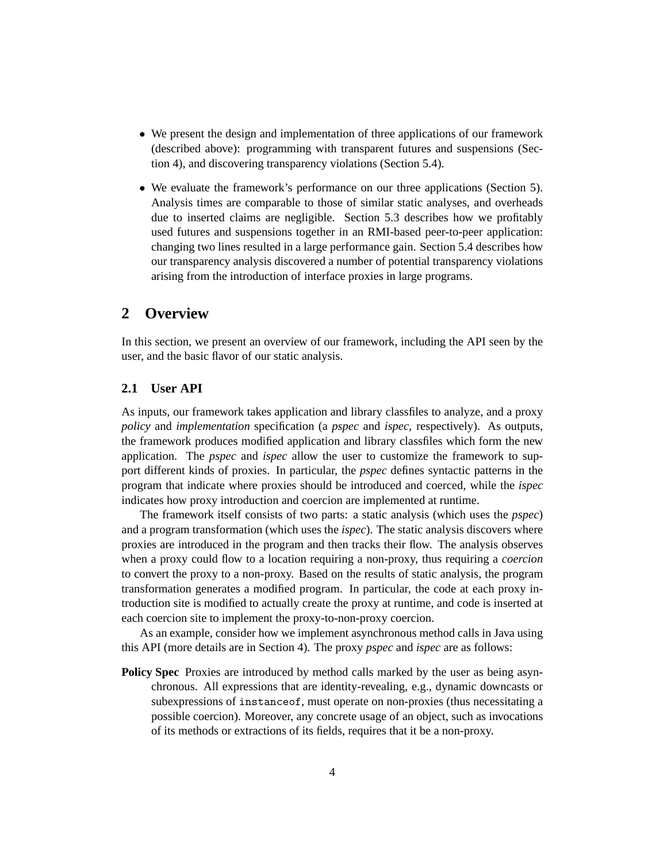- We present the design and implementation of three applications of our framework (described above): programming with transparent futures and suspensions (Section 4), and discovering transparency violations (Section 5.4).
- We evaluate the framework's performance on our three applications (Section 5). Analysis times are comparable to those of similar static analyses, and overheads due to inserted claims are negligible. Section 5.3 describes how we profitably used futures and suspensions together in an RMI-based peer-to-peer application: changing two lines resulted in a large performance gain. Section 5.4 describes how our transparency analysis discovered a number of potential transparency violations arising from the introduction of interface proxies in large programs.

## **2 Overview**

In this section, we present an overview of our framework, including the API seen by the user, and the basic flavor of our static analysis.

### **2.1 User API**

As inputs, our framework takes application and library classfiles to analyze, and a proxy *policy* and *implementation* specification (a *pspec* and *ispec*, respectively). As outputs, the framework produces modified application and library classfiles which form the new application. The *pspec* and *ispec* allow the user to customize the framework to support different kinds of proxies. In particular, the *pspec* defines syntactic patterns in the program that indicate where proxies should be introduced and coerced, while the *ispec* indicates how proxy introduction and coercion are implemented at runtime.

The framework itself consists of two parts: a static analysis (which uses the *pspec*) and a program transformation (which uses the *ispec*). The static analysis discovers where proxies are introduced in the program and then tracks their flow. The analysis observes when a proxy could flow to a location requiring a non-proxy, thus requiring a *coercion* to convert the proxy to a non-proxy. Based on the results of static analysis, the program transformation generates a modified program. In particular, the code at each proxy introduction site is modified to actually create the proxy at runtime, and code is inserted at each coercion site to implement the proxy-to-non-proxy coercion.

As an example, consider how we implement asynchronous method calls in Java using this API (more details are in Section 4). The proxy *pspec* and *ispec* are as follows:

**Policy Spec** Proxies are introduced by method calls marked by the user as being asynchronous. All expressions that are identity-revealing, e.g., dynamic downcasts or subexpressions of instanceof, must operate on non-proxies (thus necessitating a possible coercion). Moreover, any concrete usage of an object, such as invocations of its methods or extractions of its fields, requires that it be a non-proxy.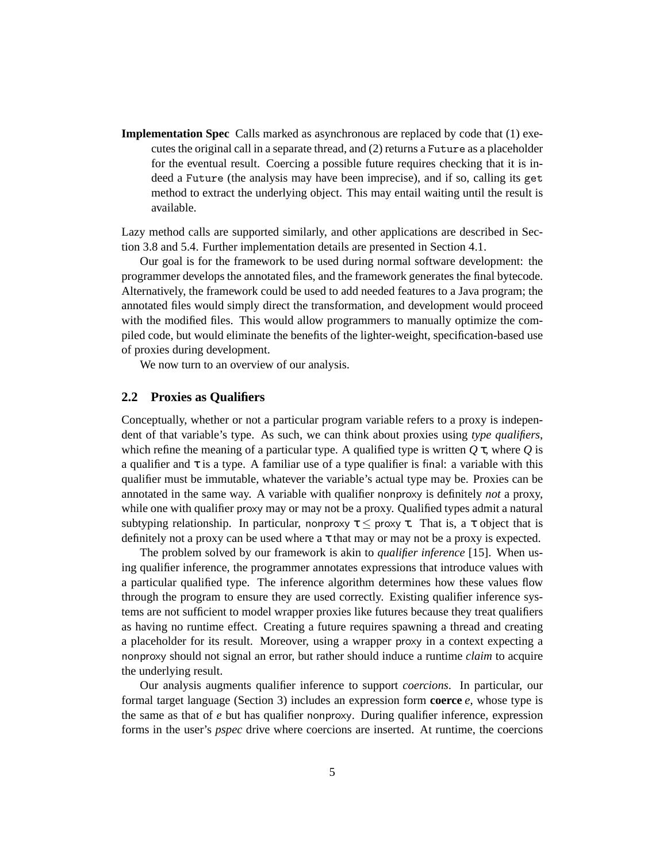**Implementation Spec** Calls marked as asynchronous are replaced by code that (1) executes the original call in a separate thread, and (2) returns a Future as a placeholder for the eventual result. Coercing a possible future requires checking that it is indeed a Future (the analysis may have been imprecise), and if so, calling its get method to extract the underlying object. This may entail waiting until the result is available.

Lazy method calls are supported similarly, and other applications are described in Section 3.8 and 5.4. Further implementation details are presented in Section 4.1.

Our goal is for the framework to be used during normal software development: the programmer develops the annotated files, and the framework generates the final bytecode. Alternatively, the framework could be used to add needed features to a Java program; the annotated files would simply direct the transformation, and development would proceed with the modified files. This would allow programmers to manually optimize the compiled code, but would eliminate the benefits of the lighter-weight, specification-based use of proxies during development.

We now turn to an overview of our analysis.

### **2.2 Proxies as Qualifiers**

Conceptually, whether or not a particular program variable refers to a proxy is independent of that variable's type. As such, we can think about proxies using *type qualifiers*, which refine the meaning of a particular type. A qualified type is written  $Q \tau$ , where  $Q$  is a qualifier and  $\tau$  is a type. A familiar use of a type qualifier is final: a variable with this qualifier must be immutable, whatever the variable's actual type may be. Proxies can be annotated in the same way. A variable with qualifier nonproxy is definitely *not* a proxy, while one with qualifier proxy may or may not be a proxy. Qualified types admit a natural subtyping relationship. In particular, nonproxy  $\tau <$  proxy  $\tau$ . That is, a  $\tau$  object that is definitely not a proxy can be used where a  $\tau$  that may or may not be a proxy is expected.

The problem solved by our framework is akin to *qualifier inference* [15]. When using qualifier inference, the programmer annotates expressions that introduce values with a particular qualified type. The inference algorithm determines how these values flow through the program to ensure they are used correctly. Existing qualifier inference systems are not sufficient to model wrapper proxies like futures because they treat qualifiers as having no runtime effect. Creating a future requires spawning a thread and creating a placeholder for its result. Moreover, using a wrapper proxy in a context expecting a nonproxy should not signal an error, but rather should induce a runtime *claim* to acquire the underlying result.

Our analysis augments qualifier inference to support *coercions*. In particular, our formal target language (Section 3) includes an expression form **coerce** *e*, whose type is the same as that of *e* but has qualifier nonproxy. During qualifier inference, expression forms in the user's *pspec* drive where coercions are inserted. At runtime, the coercions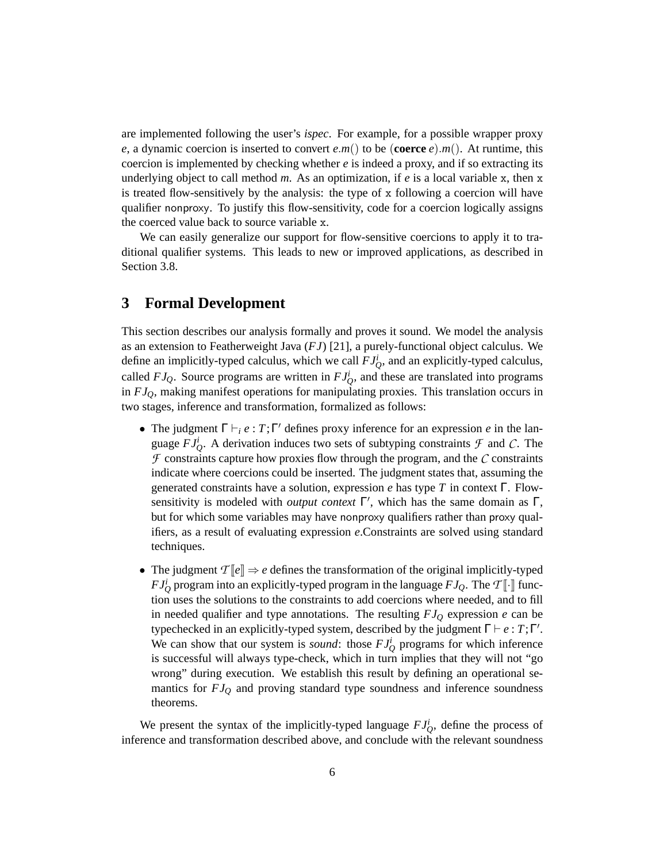are implemented following the user's *ispec*. For example, for a possible wrapper proxy *e*, a dynamic coercion is inserted to convert *e.m*() to be (**coerce** *e*).*m*(). At runtime, this coercion is implemented by checking whether *e* is indeed a proxy, and if so extracting its underlying object to call method  $m$ . As an optimization, if  $e$  is a local variable x, then x is treated flow-sensitively by the analysis: the type of x following a coercion will have qualifier nonproxy. To justify this flow-sensitivity, code for a coercion logically assigns the coerced value back to source variable x.

We can easily generalize our support for flow-sensitive coercions to apply it to traditional qualifier systems. This leads to new or improved applications, as described in Section 3.8.

## **3 Formal Development**

This section describes our analysis formally and proves it sound. We model the analysis as an extension to Featherweight Java (*FJ*) [21], a purely-functional object calculus. We define an implicitly-typed calculus, which we call  $FJ_Q^i$ , and an explicitly-typed calculus, called  $FJ_Q$ . Source programs are written in  $FJ_Q^i$ , and these are translated into programs in *FJQ*, making manifest operations for manipulating proxies. This translation occurs in two stages, inference and transformation, formalized as follows:

- The judgment  $\Gamma \vdash_i e : T; \Gamma'$  defines proxy inference for an expression *e* in the language  $FJ_Q^i$ . A derivation induces two sets of subtyping constraints  $\mathcal F$  and  $\mathcal C$ . The *F* constraints capture how proxies flow through the program, and the *C* constraints indicate where coercions could be inserted. The judgment states that, assuming the generated constraints have a solution, expression *e* has type *T* in context Γ. Flowsensitivity is modeled with *output context*  $\Gamma'$ , which has the same domain as  $\Gamma$ , but for which some variables may have nonproxy qualifiers rather than proxy qualifiers, as a result of evaluating expression *e*.Constraints are solved using standard techniques.
- The judgment  $T[[e]] \Rightarrow e$  defines the transformation of the original implicitly-typed  $FJ_Q^i$  program into an explicitly-typed program in the language  $FJ_Q$ . The  $T[\![\cdot]\!]$  function uses the solutions to the constraints to add coercions where needed, and to fill in needed qualifier and type annotations. The resulting  $FJ_Q$  expression  $e$  can be typechecked in an explicitly-typed system, described by the judgment  $\Gamma \vdash e : T; \Gamma'$ . We can show that our system is *sound*: those  $FJ_Q^i$  programs for which inference is successful will always type-check, which in turn implies that they will not "go wrong" during execution. We establish this result by defining an operational semantics for *FJ<sup>Q</sup>* and proving standard type soundness and inference soundness theorems.

We present the syntax of the implicitly-typed language  $FJ_Q^i$ , define the process of inference and transformation described above, and conclude with the relevant soundness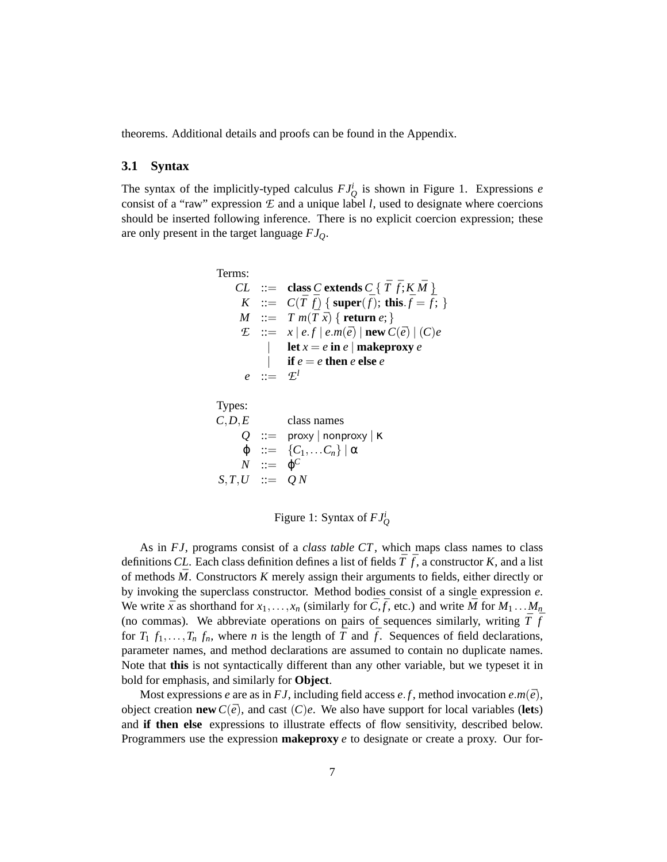theorems. Additional details and proofs can be found in the Appendix.

### **3.1 Syntax**

The syntax of the implicitly-typed calculus  $FJ_Q^i$  is shown in Figure 1. Expressions *e* consist of a "raw" expression  $E$  and a unique label  $l$ , used to designate where coercions should be inserted following inference. There is no explicit coercion expression; these are only present in the target language *FJQ*.

Terms:  
\n
$$
CL := class C extends C \{ \overline{T} \overline{f}; K \overline{M} \}
$$
\n
$$
K ::= C(\overline{T} \overline{f}) \{ super(\overline{f}); this.\overline{f} = \overline{f}; \}
$$
\n
$$
M ::= T m(\overline{T} \overline{x}) \{ return e; \}
$$
\n
$$
E ::= x | e.f | e.m(\overline{e}) | new C(\overline{e}) | (C)e
$$
\n
$$
| let x = e in e | make proxy e
$$
\n
$$
| if e = e then e else e
$$
\n
$$
e ::= \mathcal{L}^l
$$

Types:

| C,D,E          |                              | class names                                  |
|----------------|------------------------------|----------------------------------------------|
|                |                              | Q ::= proxy   nonproxy   $\kappa$            |
|                |                              | $\varphi$ : $\{C_1, \ldots C_n\}$   $\alpha$ |
| $N_{\rm c}$    | $\mathrel{\mathop:}= \Phi^C$ |                                              |
| $S,T,U ::= QN$ |                              |                                              |

Figure 1: Syntax of *FJ<sup>i</sup> Q*

As in *FJ*, programs consist of a *class table CT*, which maps class names to class definitions *CL*. Each class definition defines a list of fields  $\overline{T}$ , a constructor *K*, and a list of methods  $\overline{M}$ . Constructors  $K$  merely assign their arguments to fields, either directly or by invoking the superclass constructor. Method bodies consist of a single expression *e*. We write  $\bar{x}$  as shorthand for  $x_1, \ldots, x_n$  (similarly for  $\bar{C}, \bar{f}$ , etc.) and write  $\bar{M}$  for  $M_1 \ldots M_n$ (no commas). We abbreviate operations on pairs of sequences similarly, writing  $\bar{T} \bar{f}$ for  $T_1$   $f_1$ ,..., $T_n$   $f_n$ , where *n* is the length of  $\overline{T}$  and  $\overline{f}$ . Sequences of field declarations, parameter names, and method declarations are assumed to contain no duplicate names. Note that **this** is not syntactically different than any other variable, but we typeset it in bold for emphasis, and similarly for **Object**.

Most expressions *e* are as in *FJ*, including field access *e*. *f*, method invocation *e*. *m*( $\bar{e}$ ), object creation **new**  $C(\bar{e})$ , and cast  $(C)e$ . We also have support for local variables (lets) and **if then else** expressions to illustrate effects of flow sensitivity, described below. Programmers use the expression **makeproxy** *e* to designate or create a proxy. Our for-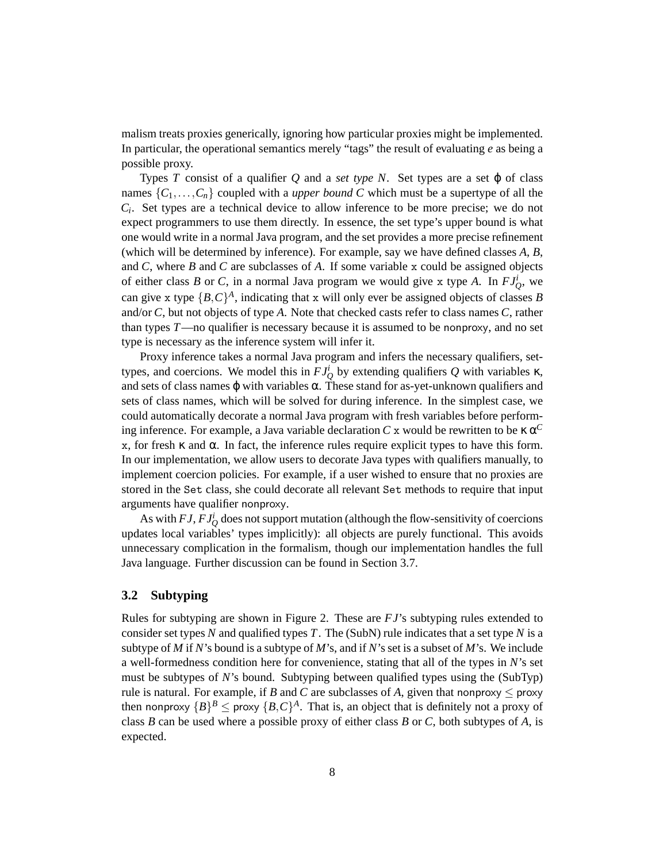malism treats proxies generically, ignoring how particular proxies might be implemented. In particular, the operational semantics merely "tags" the result of evaluating *e* as being a possible proxy.

Types *T* consist of a qualifier  $Q$  and a *set type N*. Set types are a set  $\varphi$  of class names  $\{C_1, \ldots, C_n\}$  coupled with a *upper bound C* which must be a supertype of all the  $C_i$ . Set types are a technical device to allow inference to be more precise; we do not expect programmers to use them directly. In essence, the set type's upper bound is what one would write in a normal Java program, and the set provides a more precise refinement (which will be determined by inference). For example, say we have defined classes *A*, *B*, and *C*, where *B* and *C* are subclasses of *A*. If some variable x could be assigned objects of either class *B* or *C*, in a normal Java program we would give x type *A*. In  $FJ_Q^i$ , we can give x type  $\{B, C\}^A$ , indicating that x will only ever be assigned objects of classes *B* and/or *C*, but not objects of type *A*. Note that checked casts refer to class names *C*, rather than types *T*—no qualifier is necessary because it is assumed to be nonproxy, and no set type is necessary as the inference system will infer it.

Proxy inference takes a normal Java program and infers the necessary qualifiers, settypes, and coercions. We model this in  $FJ_Q^i$  by extending qualifiers *Q* with variables κ, and sets of class names  $\varphi$  with variables  $\alpha$ . These stand for as-yet-unknown qualifiers and sets of class names, which will be solved for during inference. In the simplest case, we could automatically decorate a normal Java program with fresh variables before performing inference. For example, a Java variable declaration *C* x would be rewritten to be  $\kappa \alpha^C$ x, for fresh  $\kappa$  and  $\alpha$ . In fact, the inference rules require explicit types to have this form. In our implementation, we allow users to decorate Java types with qualifiers manually, to implement coercion policies. For example, if a user wished to ensure that no proxies are stored in the Set class, she could decorate all relevant Set methods to require that input arguments have qualifier nonproxy.

As with  $FJ$ ,  $FJ_Q^i$  does not support mutation (although the flow-sensitivity of coercions updates local variables' types implicitly): all objects are purely functional. This avoids unnecessary complication in the formalism, though our implementation handles the full Java language. Further discussion can be found in Section 3.7.

### **3.2 Subtyping**

Rules for subtyping are shown in Figure 2. These are *FJ*'s subtyping rules extended to consider set types *N* and qualified types *T*. The (SubN) rule indicates that a set type *N* is a subtype of *M* if *N*'s bound is a subtype of *M*'s, and if *N*'s set is a subset of *M*'s. We include a well-formedness condition here for convenience, stating that all of the types in *N*'s set must be subtypes of *N*'s bound. Subtyping between qualified types using the (SubTyp) rule is natural. For example, if *B* and *C* are subclasses of *A*, given that nonproxy  $\leq$  proxy then nonproxy  ${B}^B \leq \text{proxy } {B,C}^A$ . That is, an object that is definitely not a proxy of class *B* can be used where a possible proxy of either class *B* or *C*, both subtypes of *A*, is expected.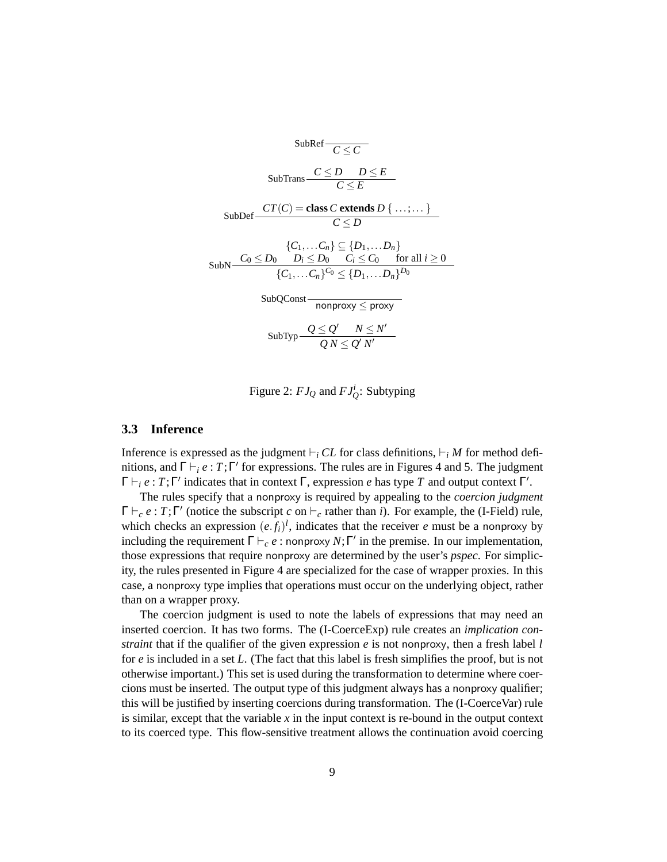

Figure 2:  $FJ_Q$  and  $FJ_Q^i$ : Subtyping

#### **3.3 Inference**

Inference is expressed as the judgment  $\vdash_i CL$  for class definitions,  $\vdash_i M$  for method definitions, and  $\Gamma \vdash_i e : T; \Gamma'$  for expressions. The rules are in Figures 4 and 5. The judgment  $\Gamma \vdash_i e : T; \Gamma'$  indicates that in context  $\Gamma$ , expression *e* has type *T* and output context  $\Gamma'$ .

The rules specify that a nonproxy is required by appealing to the *coercion judgment*  $\Gamma \vdash_c e : T; \Gamma'$  (notice the subscript *c* on  $\vdash_c$  rather than *i*). For example, the (I-Field) rule, which checks an expression  $(e.f_i)^l$ , indicates that the receiver *e* must be a nonproxy by including the requirement  $\Gamma \vdash_c e$ : nonproxy  $N; \Gamma'$  in the premise. In our implementation, those expressions that require nonproxy are determined by the user's *pspec*. For simplicity, the rules presented in Figure 4 are specialized for the case of wrapper proxies. In this case, a nonproxy type implies that operations must occur on the underlying object, rather than on a wrapper proxy.

The coercion judgment is used to note the labels of expressions that may need an inserted coercion. It has two forms. The (I-CoerceExp) rule creates an *implication constraint* that if the qualifier of the given expression  $e$  is not nonproxy, then a fresh label  $l$ for *e* is included in a set *L*. (The fact that this label is fresh simplifies the proof, but is not otherwise important.) This set is used during the transformation to determine where coercions must be inserted. The output type of this judgment always has a nonproxy qualifier; this will be justified by inserting coercions during transformation. The (I-CoerceVar) rule is similar, except that the variable  $x$  in the input context is re-bound in the output context to its coerced type. This flow-sensitive treatment allows the continuation avoid coercing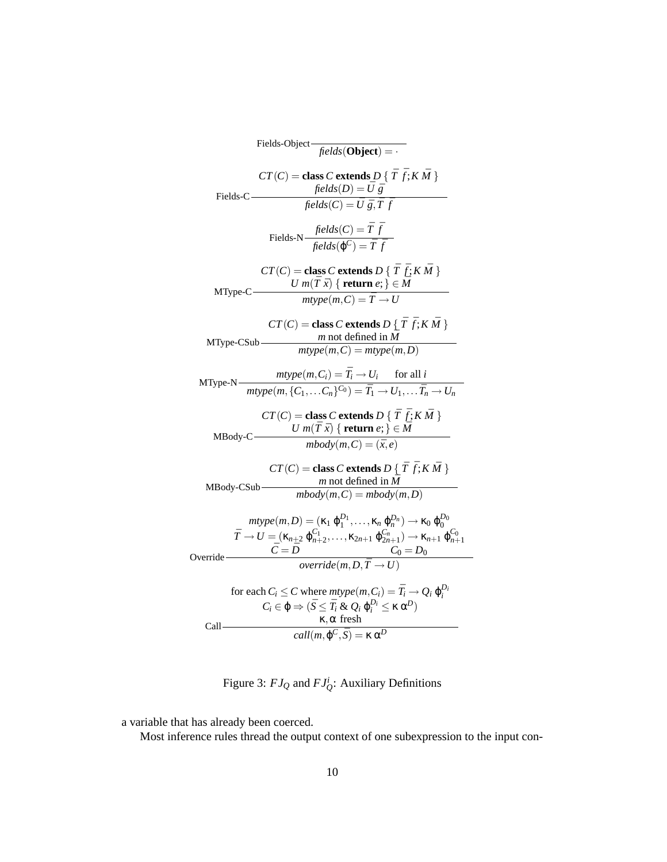| Fields-Object $\frac{fields(\textbf{Object})}{fields(\textbf{Object})}$ = .                                                                                                                                                                                                                                                                                                                                                                                  |
|--------------------------------------------------------------------------------------------------------------------------------------------------------------------------------------------------------------------------------------------------------------------------------------------------------------------------------------------------------------------------------------------------------------------------------------------------------------|
| $CT(C)$ = class C extends D { $\bar{T} \bar{f}$ ; K $\bar{M}$ }<br>$fields(D) = \overline{U} \overline{g}$<br>Fields-C-                                                                                                                                                                                                                                                                                                                                      |
| fields $(C) = \overline{U} \overline{g}, \overline{T} \overline{f}$<br>Fields-N $\frac{fields(C) = \overline{T} \overline{f}}{fields(\varphi^C) = \overline{T} \overline{f}}$                                                                                                                                                                                                                                                                                |
| $CT(C)$ = class C extends $D \{ \bar{T} \bar{f}$ ; $K \bar{M} \}$<br>U $m(\bar{T}\,\bar{x})$ { return $e;$ } $\in \bar{M}$<br>$MType-C$ —<br>$mtype(m, C) = \overline{T} \rightarrow U$                                                                                                                                                                                                                                                                      |
| $CT(C) = \text{class } C \text{ extends } D \{ \bar{T} \bar{f}; K \bar{M} \}$<br><i>m</i> not defined in $\overline{M}$<br>$MType$ - $CSub$<br>$mtype(m, C) = mtype(m, D)$                                                                                                                                                                                                                                                                                   |
| $mtype(m, C_i) = \overline{T_i} \rightarrow U_i$ for all <i>i</i><br>$mtype(m, \{C_1, \ldots C_n\}^{C_0}) = \overline{T_1} \rightarrow U_1, \ldots \overline{T_n} \rightarrow U_n$<br>$MType-N-$                                                                                                                                                                                                                                                             |
| $CT(C) =$ class C extends $D \{ \bar{T} \bar{f}$ ; $K \bar{M} \}$<br>$U m(\bar{T} \bar{x}) \{$ return $e; \} \in \bar{M}$<br>MBody-C-<br>$mbody(m, C) = (\bar{x}, e)$                                                                                                                                                                                                                                                                                        |
| $CT(C) = \text{class } C \text{ extends } D \{ \bar{T} \bar{f}; K \bar{M} \}$<br><i>m</i> not defined in $\overline{M}$<br>MBody-CSub-<br>$mbody(m, C) = mbody(m, D)$                                                                                                                                                                                                                                                                                        |
| $mtype(m, D) = (\kappa_1 \varphi_1^{D_1}, \ldots, \kappa_n \varphi_n^{D_n}) \rightarrow \kappa_0 \varphi_0^{D_0}$<br>$\overline{T} \to U = (\kappa_{n+2} \, \varphi_{n+2}^{C_1}, \ldots, \kappa_{2n+1} \, \varphi_{2n+1}^{C_n}) \to \kappa_{n+1} \, \varphi_{n+1}^{C_0}$<br>$\label{eq:2} \begin{array}{c} \bar{C} = \bar{D} \qquad \qquad C_0 = D_0 \\ \hline \hspace{0.5cm} \textcolor{blue}{override(m,D,\bar{T}\rightarrow U)} \end{array}$<br>Override- |
| for each $C_i \le C$ where $mtype(m, C_i) = \overline{T}_i \rightarrow Q_i \varphi_i^{D_i}$<br>$C_i \in \varphi \Rightarrow (\bar{S} \leq \bar{T}_i \& Q_i \varphi_i^{D_i} \leq \kappa \alpha^D)$<br>$\kappa, \alpha$ fresh<br>Call-<br>$\overline{call(m,\varphi^C,\bar{S})} = \kappa \alpha^D$                                                                                                                                                             |

Figure 3:  $FJ_Q$  and  $FJ_Q^i$ : Auxiliary Definitions

a variable that has already been coerced.

Most inference rules thread the output context of one subexpression to the input con-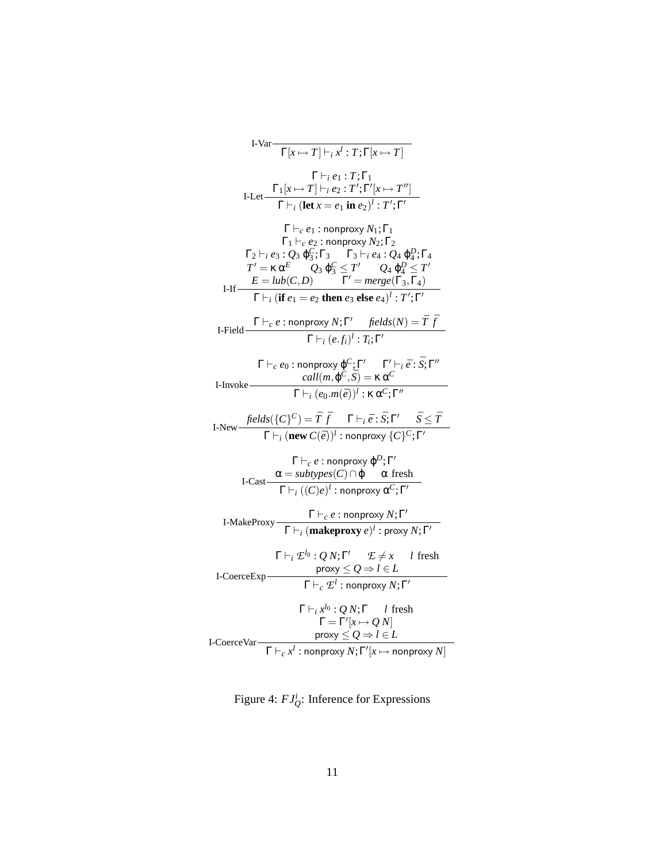I-Var 
$$
\frac{\Gamma[x \mapsto T] \vdash_i x^I : T; \Gamma[x \mapsto T]}{\Gamma \vdash_i e_1 : T; \Gamma_1}
$$
\nI-Let 
$$
\frac{\Gamma_1[x \mapsto T] \vdash_i e_2 : T'; \Gamma'[x \mapsto T'']}{\Gamma \vdash_i (\text{let } x = e_1 \text{ in } e_2)^I : T'; \Gamma'}
$$
\nI-Let 
$$
\frac{\Gamma_1[x \mapsto T] \vdash_i e_2 : T'; \Gamma'[x \mapsto T'']}{\Gamma \vdash_i e_2 : \text{ nonprovy } N_1; \Gamma_1}
$$
\n
$$
\frac{\Gamma_2 \vdash_i e_3 : Q_3 \phi_3^C; \Gamma_3 \quad \Gamma_3 \vdash_i e_4 : Q_4 \phi_4^D; \Gamma_4}{\Gamma' = \text{t to } C, D} \quad \frac{\Gamma' = \text{merge}(\Gamma_3, \Gamma_4)}{\Gamma \vdash_i (\text{if } e_1 = e_2 \text{ then } e_3 \text{ else } e_4)^I : T'; \Gamma'}
$$
\nI-Field 
$$
\frac{\Gamma \vdash_c e : \text{nonprovy } N; \Gamma' \quad \text{fields}(N) = \overline{T} \bar{f}}{\Gamma \vdash_i (e \cdot f_i)^I : T; \Gamma'}
$$
\nI-Field 
$$
\frac{\Gamma \vdash_c e : \text{nonprovy } \phi^C; \Gamma' \quad \Gamma' \vdash_i \overline{e} : \overline{S}; \Gamma''}{\Gamma \vdash_i (e \cdot f_i)^I : T; \Gamma'}
$$
\nI-Inverse 
$$
\frac{call(m, \phi^C, \overline{S}) = \kappa \alpha^C}{\Gamma \vdash_i (e_0 \cdot m(\overline{e}))^I : \kappa \alpha^C; \Gamma''}
$$
\nI-New 
$$
\frac{fields({C}^C) = \overline{T} \bar{f} \quad \Gamma \vdash_i \overline{e} : \overline{S}; \Gamma' \quad \overline{S} \leq \overline{T}}{\Gamma \vdash_i (\text{new } C(\overline{e}))^I : \text{nonprovy } Q; \Gamma'}
$$
\nI-XakelProxy 
$$
\frac{\alpha = subtypes(C) \cap \varphi \quad \alpha \text{ fresh}}{\Gamma \vdash_i ((C) e)^I : \text{nonprovy } \alpha^C; \Gamma'}
$$
\nI-Makez  
\nI-Coercekxp  $$ 

# Figure 4:  $FJ_Q^i$ : Inference for Expressions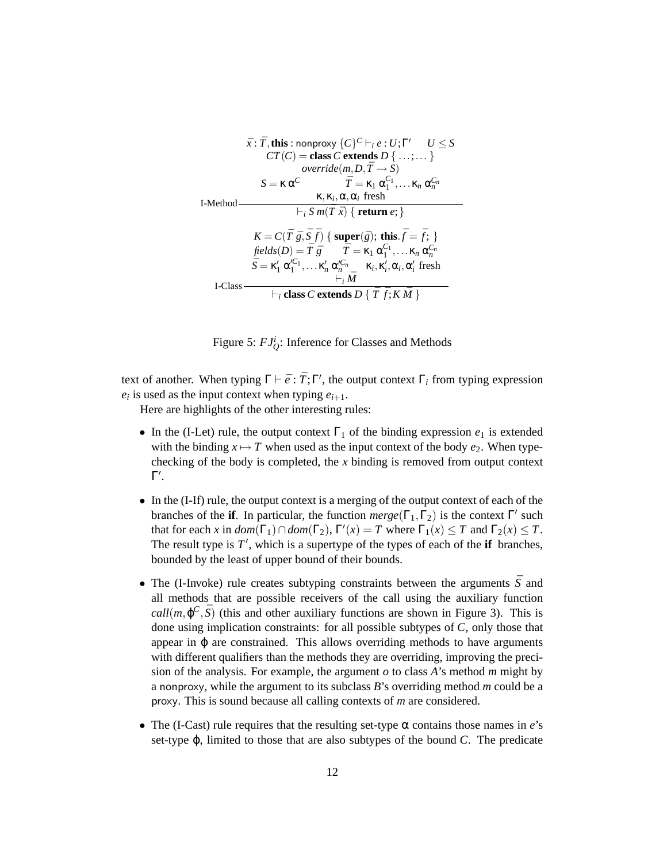$$
\bar{x}: \bar{T}, \text{this}: \text{nonproxy } \{C\}^C \vdash_i e: U; \Gamma' \qquad U \leq S
$$
\n
$$
CT(C) = \text{class } C \text{ extends } D \{ \dots; \dots \}
$$
\n
$$
\text{override}(m, D, \bar{T} \to S)
$$
\n
$$
S = \kappa \alpha^C \qquad \bar{T} = \kappa_1 \alpha_1^{C_1}, \dots \kappa_n \alpha_n^{C_n}
$$
\nI-Method\n
$$
\vdash_i S \, m(\bar{T} \, \bar{x}) \{ \text{return } e; \}
$$
\n
$$
K = C(\bar{T} \, \bar{g}, \bar{S} \, \bar{f}) \{ \text{super}(\bar{g}); \text{this.} \bar{f} = \bar{f}; \}
$$
\n
$$
\text{fields}(D) = \bar{T} \, \bar{g} \qquad \bar{T} = \kappa_1 \alpha_1^{C_1}, \dots \kappa_n \alpha_n^{C_n}
$$
\n
$$
\bar{S} = \kappa_1' \alpha_1^{C_1}, \dots \kappa_n' \alpha_n^{C_n} \qquad \kappa_i, \kappa_i', \alpha_i, \alpha_i' \text{ fresh}
$$
\nI-Class\n
$$
\vdash_i \bar{M} \qquad \vdash_i \text{class } C \text{ extends } D \{ \bar{T} \, \bar{f}; K \, \bar{M} \}
$$

Figure 5:  $FJ_Q^i$ : Inference for Classes and Methods

text of another. When typing  $\Gamma \vdash \bar{e} : \bar{T}; \Gamma'$ , the output context  $\Gamma_i$  from typing expression  $e_i$  is used as the input context when typing  $e_{i+1}$ .

Here are highlights of the other interesting rules:

- In the (I-Let) rule, the output context  $\Gamma_1$  of the binding expression  $e_1$  is extended with the binding  $x \mapsto T$  when used as the input context of the body  $e_2$ . When typechecking of the body is completed, the *x* binding is removed from output context Γ'.
- In the (I-If) rule, the output context is a merging of the output context of each of the branches of the if. In particular, the function  $merge(\Gamma_1, \Gamma_2)$  is the context  $\Gamma'$  such that for each *x* in  $dom(\Gamma_1) \cap dom(\Gamma_2)$ ,  $\Gamma'(x) = T$  where  $\Gamma_1(x) \leq T$  and  $\Gamma_2(x) \leq T$ . The result type is  $T'$ , which is a supertype of the types of each of the **if** branches, bounded by the least of upper bound of their bounds.
- The (I-Invoke) rule creates subtyping constraints between the arguments  $\bar{S}$  and all methods that are possible receivers of the call using the auxiliary function  $call(m, \phi^C, \overline{S})$  (this and other auxiliary functions are shown in Figure 3). This is done using implication constraints: for all possible subtypes of *C*, only those that appear in  $\varphi$  are constrained. This allows overriding methods to have arguments with different qualifiers than the methods they are overriding, improving the precision of the analysis. For example, the argument *o* to class *A*'s method *m* might by a nonproxy, while the argument to its subclass *B*'s overriding method *m* could be a proxy. This is sound because all calling contexts of *m* are considered.
- The (I-Cast) rule requires that the resulting set-type  $\alpha$  contains those names in *e*'s set-type ϕ, limited to those that are also subtypes of the bound *C*. The predicate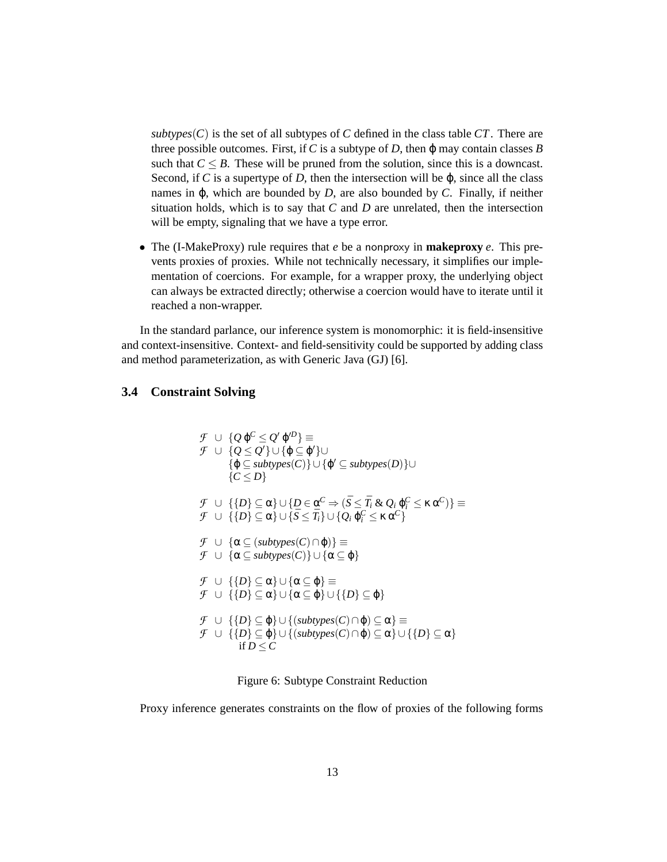$subtypes(C)$  is the set of all subtypes of *C* defined in the class table *CT*. There are three possible outcomes. First, if *C* is a subtype of *D*, then  $\varphi$  may contain classes *B* such that  $C \leq B$ . These will be pruned from the solution, since this is a downcast. Second, if *C* is a supertype of *D*, then the intersection will be  $\varphi$ , since all the class names in ϕ, which are bounded by *D*, are also bounded by *C*. Finally, if neither situation holds, which is to say that *C* and *D* are unrelated, then the intersection will be empty, signaling that we have a type error.

• The (I-MakeProxy) rule requires that *e* be a nonproxy in **makeproxy** *e*. This prevents proxies of proxies. While not technically necessary, it simplifies our implementation of coercions. For example, for a wrapper proxy, the underlying object can always be extracted directly; otherwise a coercion would have to iterate until it reached a non-wrapper.

In the standard parlance, our inference system is monomorphic: it is field-insensitive and context-insensitive. Context- and field-sensitivity could be supported by adding class and method parameterization, as with Generic Java (GJ) [6].

## **3.4 Constraint Solving**

$$
\mathcal{F} \cup \{Q \varphi^C \leq Q' \varphi'^D\} \equiv
$$
\n
$$
\mathcal{F} \cup \{Q \leq Q'\} \cup \{\varphi \subseteq \varphi'\} \cup
$$
\n
$$
\{\varphi \subseteq subtypes(C)\} \cup \{\varphi' \subseteq subtypes(D)\} \cup
$$
\n
$$
\{C \leq D\}
$$
\n
$$
\mathcal{F} \cup \{\{D\} \subseteq \alpha\} \cup \{D \in \alpha^C \Rightarrow (\bar{S} \leq \bar{T}_i \& Q_i \varphi_i^C \leq \kappa \alpha^C)\} \equiv
$$
\n
$$
\mathcal{F} \cup \{\{D\} \subseteq \alpha\} \cup \{\bar{S} \leq \bar{T}_i\} \cup \{Q_i \varphi_i^C \leq \kappa \alpha^C\}
$$
\n
$$
\mathcal{F} \cup \{\alpha \subseteq (subtypes(C) \cap \varphi)\} \equiv
$$
\n
$$
\mathcal{F} \cup \{\alpha \subseteq subtypes(C)\} \cup \{\alpha \subseteq \varphi\}
$$
\n
$$
\mathcal{F} \cup \{\{D\} \subseteq \alpha\} \cup \{\alpha \subseteq \varphi\} \equiv
$$
\n
$$
\mathcal{F} \cup \{\{D\} \subseteq \alpha\} \cup \{\alpha \subseteq \varphi\} \cup \{\{D\} \subseteq \varphi\}
$$
\n
$$
\mathcal{F} \cup \{\{D\} \subseteq \varphi\} \cup \{(substeps(C) \cap \varphi) \subseteq \alpha\} \equiv
$$
\n
$$
\mathcal{F} \cup \{\{D\} \subseteq \varphi\} \cup \{(substeps(C) \cap \varphi) \subseteq \alpha\} \cup \{\{D\} \subseteq \alpha\}
$$
\n
$$
\text{if } D \leq C
$$

Figure 6: Subtype Constraint Reduction

Proxy inference generates constraints on the flow of proxies of the following forms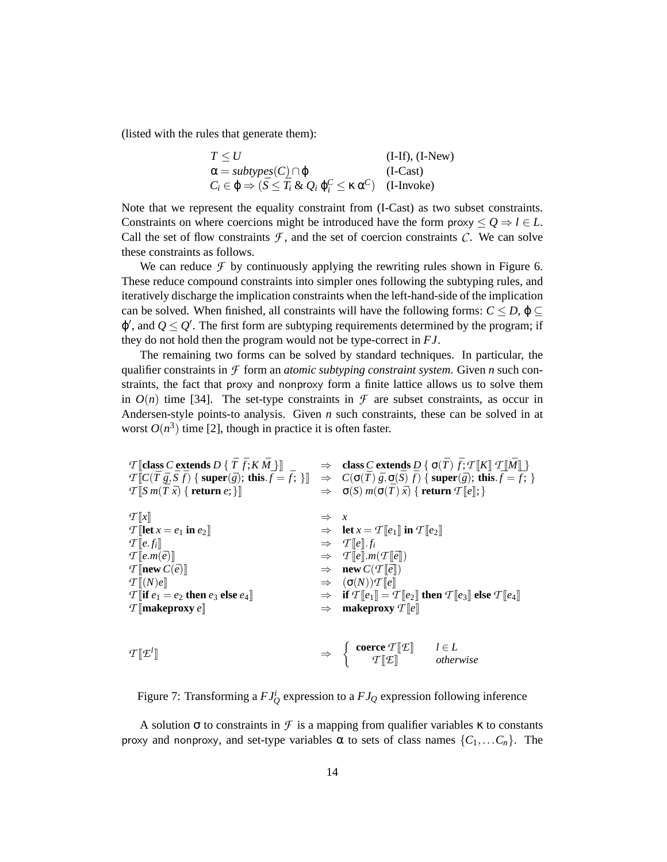(listed with the rules that generate them):

$$
T \le U
$$
 (I-If), (I-New)  
\n
$$
\alpha = subtypes(C) \cap \varphi
$$
 (I-Cast)  
\n
$$
C_i \in \varphi \Rightarrow (\bar{S} \le \bar{T}_i \& Q_i \varphi_i^C \le \kappa \alpha^C)
$$
 (I-Invoke)

Note that we represent the equality constraint from (I-Cast) as two subset constraints. Constraints on where coercions might be introduced have the form proxy  $\leq Q \Rightarrow l \in L$ . Call the set of flow constraints  $\mathcal{F}$ , and the set of coercion constraints  $\mathcal{C}$ . We can solve these constraints as follows.

We can reduce  $\mathcal F$  by continuously applying the rewriting rules shown in Figure 6. These reduce compound constraints into simpler ones following the subtyping rules, and iteratively discharge the implication constraints when the left-hand-side of the implication can be solved. When finished, all constraints will have the following forms:  $C \leq D$ ,  $\varphi \subseteq$  $\varphi'$ , and  $Q \leq Q'$ . The first form are subtyping requirements determined by the program; if they do not hold then the program would not be type-correct in *FJ*.

The remaining two forms can be solved by standard techniques. In particular, the qualifier constraints in  $\mathcal F$  form an *atomic subtyping constraint system*. Given *n* such constraints, the fact that proxy and nonproxy form a finite lattice allows us to solve them in  $O(n)$  time [34]. The set-type constraints in  $\mathcal F$  are subset constraints, as occur in Andersen-style points-to analysis. Given *n* such constraints, these can be solved in at worst  $O(n^3)$  time [2], though in practice it is often faster.

 $\mathcal{T}$  [[**class** *C* **extends**  $D \{ \bar{T} \bar{f}$ ;  $K \bar{M} \}$ ]]  $\Rightarrow$  **class** C **extends** D {  $\sigma(\bar{T}) \bar{f}$ ;  $T[[K]] T[[\bar{M}]]$  }  $T\overline{\[C(\bar{T} \bar{g}, \bar{S}\bar{f})\ ]}$  super $(\bar{g})$ ; this  $\overline{\tilde{f}} = \overline{f}$ ;  $\}$   $\Box \Rightarrow C(\sigma(\bar{T}) \bar{g}, \sigma(\bar{S}) \bar{f})$  { super $(\bar{g})$ ; this  $\overline{\tilde{f}} = \overline{\tilde{f}}$ ; }  $T$  [*S m*( $\bar{T}$   $\bar{x}$ ) { **return**  $e$ ; }]  $\Rightarrow$   $\sigma(S)$  *m*( $\sigma(\bar{T})$   $\bar{x}$ ) { **return**  $T$  [[e]]; }  $T[x]$   $\Rightarrow$  *x*  $\mathcal{T}[\textbf{let } x = e_1 \textbf{ in } e_2]$   $\Rightarrow$   $\textbf{let } x = \mathcal{T}[[e_1]] \textbf{ in } \mathcal{T}[[e_2]]$  $\mathcal{T}$ [*e*. *fi*]  $\Rightarrow$   $\mathcal{T}[\![e]\!].f_i$  $T[\![e.m(\bar{e})]\!] \Rightarrow T[\![e]\!] \cdot m(T[\![\bar{e}]\!])$ <br> $T[\![\text{new } C(\bar{e})]\!] \Rightarrow \text{new } C(T[\![\bar{e}]\!])$  $\Rightarrow$  **new**  $C(T\|\bar{e}\|)$  $\begin{array}{lll}\n\mathcal{T} \llbracket (N)e \rrbracket & \Rightarrow & (\sigma(N)) \mathcal{T} \llbracket e \rrbracket \ \mathcal{T} \llbracket \mathbf{if} \ e_1 = e_2 \ \mathbf{then} \ e_3 \ \mathbf{else} \ e_4 \rrbracket & \Rightarrow & \mathbf{if} \ \mathcal{T} \llbracket e_1 \rrbracket = 1\n\end{array}$  $\Rightarrow$  **if**  $\mathcal{T}[e_1] = \mathcal{T}[e_2]$  **then**  $\mathcal{T}[e_3]$  **else**  $\mathcal{T}[e_4]$  $\mathcal{T}$  **[[**makeproxy *e*]  $\Rightarrow$  **makeproxy**  $\mathcal{T}$   $[e]$ 

$$
\mathcal{T}[\![\mathcal{E}^l]\!] \qquad \qquad \Rightarrow \qquad \left\{\begin{array}{cc}\textbf{coerce } \mathcal{T}[\![\mathcal{E}]\!] & l \in L \\ \mathcal{T}[\![\mathcal{E}]\!] & \textbf{otherwise}\end{array}\right.
$$

Figure 7: Transforming a  $FJ_Q^i$  expression to a  $FJ_Q$  expression following inference

A solution  $\sigma$  to constraints in  $\mathcal F$  is a mapping from qualifier variables  $\kappa$  to constants proxy and nonproxy, and set-type variables α to sets of class names  $\{C_1, \ldots C_n\}$ . The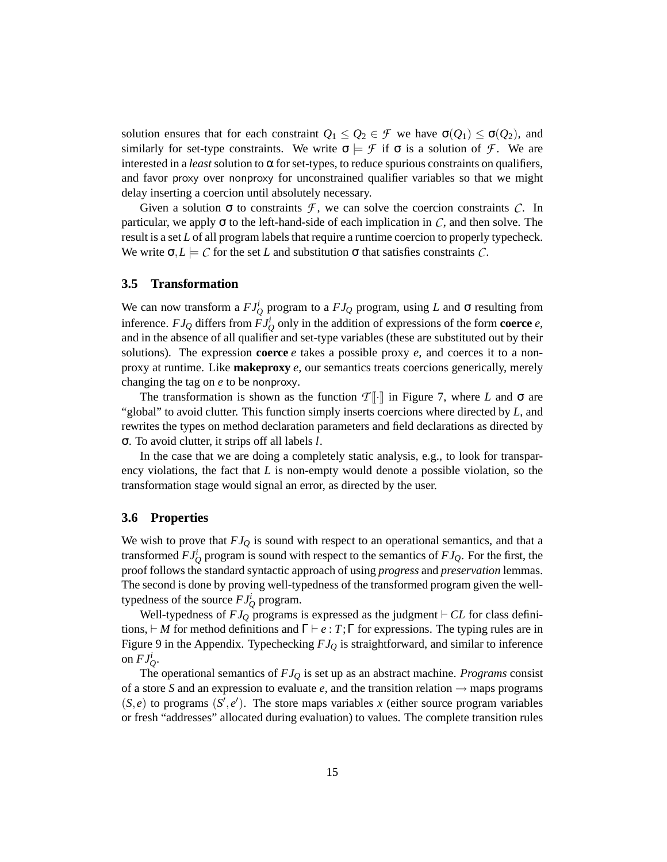solution ensures that for each constraint  $Q_1 \leq Q_2 \in \mathcal{F}$  we have  $\sigma(Q_1) \leq \sigma(Q_2)$ , and similarly for set-type constraints. We write  $\sigma \models \mathcal{F}$  if  $\sigma$  is a solution of  $\mathcal{F}$ . We are interested in a *least* solution to  $\alpha$  for set-types, to reduce spurious constraints on qualifiers, and favor proxy over nonproxy for unconstrained qualifier variables so that we might delay inserting a coercion until absolutely necessary.

Given a solution  $\sigma$  to constraints  $\mathcal{F}$ , we can solve the coercion constraints  $\mathcal{C}$ . In particular, we apply  $\sigma$  to the left-hand-side of each implication in  $\mathcal{C}$ , and then solve. The result is a set *L* of all program labels that require a runtime coercion to properly typecheck. We write  $\sigma, L \models C$  for the set *L* and substitution  $\sigma$  that satisfies constraints *C*.

#### **3.5 Transformation**

We can now transform a  $FJ_Q^i$  program to a  $FJ_Q$  program, using *L* and  $\sigma$  resulting from inference. *FJ*<sub>*Q*</sub> differs from  $\overline{FJ_Q^i}$  only in the addition of expressions of the form **coerce** *e*, and in the absence of all qualifier and set-type variables (these are substituted out by their solutions). The expression **coerce**  $e$  takes a possible proxy  $e$ , and coerces it to a nonproxy at runtime. Like **makeproxy** *e*, our semantics treats coercions generically, merely changing the tag on *e* to be nonproxy.

The transformation is shown as the function  $T\llbracket \cdot \rrbracket$  in Figure 7, where *L* and  $\sigma$  are "global" to avoid clutter. This function simply inserts coercions where directed by *L*, and rewrites the types on method declaration parameters and field declarations as directed by σ. To avoid clutter, it strips off all labels *l*.

In the case that we are doing a completely static analysis, e.g., to look for transparency violations, the fact that *L* is non-empty would denote a possible violation, so the transformation stage would signal an error, as directed by the user.

### **3.6 Properties**

We wish to prove that *FJ<sup>Q</sup>* is sound with respect to an operational semantics, and that a transformed  $FJ_Q^i$  program is sound with respect to the semantics of  $FJ_Q$ . For the first, the proof follows the standard syntactic approach of using *progress* and *preservation* lemmas. The second is done by proving well-typedness of the transformed program given the welltypedness of the source  $FJ_Q^i$  program.

Well-typedness of  $FJ_Q$  programs is expressed as the judgment  $\vdash CL$  for class definitions,  $\vdash M$  for method definitions and  $\Gamma \vdash e : T; \Gamma$  for expressions. The typing rules are in Figure 9 in the Appendix. Typechecking *FJ<sup>Q</sup>* is straightforward, and similar to inference on  $FJ_Q^i$ .

The operational semantics of *FJ<sup>Q</sup>* is set up as an abstract machine. *Programs* consist of a store *S* and an expression to evaluate  $e$ , and the transition relation  $\rightarrow$  maps programs  $(S, e)$  to programs  $(S', e')$ . The store maps variables *x* (either source program variables or fresh "addresses" allocated during evaluation) to values. The complete transition rules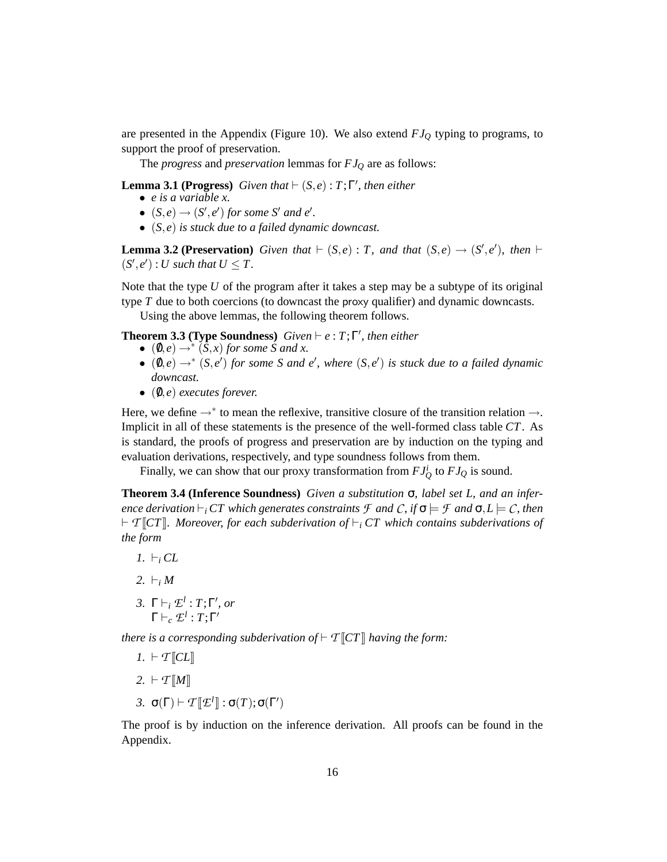are presented in the Appendix (Figure 10). We also extend *FJ<sup>Q</sup>* typing to programs, to support the proof of preservation.

The *progress* and *preservation* lemmas for *FJ<sup>Q</sup>* are as follows:

**Lemma 3.1 (Progress)** *Given that*  $\vdash$   $(S,e)$  :  $T$ ;  $\Gamma'$ *, then either* 

- *e is a variable x.*
- $(S, e) \rightarrow (S', e')$  for some S' and e'.
- (*S*,*e*) *is stuck due to a failed dynamic downcast.*

**Lemma 3.2 (Preservation)** *Given that*  $\vdash (S,e) : T$ *, and that*  $(S,e) \rightarrow (S',e')$ *, then*  $\vdash$  $(S', e')$ : *U* such that  $U \leq T$ .

Note that the type *U* of the program after it takes a step may be a subtype of its original type *T* due to both coercions (to downcast the proxy qualifier) and dynamic downcasts.

Using the above lemmas, the following theorem follows.

**Theorem 3.3 (Type Soundness)**  $Given \vdash e : T; \Gamma'$ , then either

- $(0,e) \rightarrow^* (\mathcal{S},x)$  *for some*  $\mathcal{S}$  *and x.*
- $\bullet$  (0,*e*)  $\rightarrow$  \* (*S*,*e'*) for some *S* and *e'*, where (*S*,*e'*) is stuck due to a failed dynamic *downcast.*
- (0/,*e*) *executes forever.*

Here, we define  $\rightarrow^*$  to mean the reflexive, transitive closure of the transition relation  $\rightarrow$ . Implicit in all of these statements is the presence of the well-formed class table *CT*. As is standard, the proofs of progress and preservation are by induction on the typing and evaluation derivations, respectively, and type soundness follows from them.

Finally, we can show that our proxy transformation from  $FJ_Q^i$  to  $FJ_Q$  is sound.

**Theorem 3.4 (Inference Soundness)** *Given a substitution* σ*, label set L, and an inference derivation*  $\vdash_i$  *CT* which generates constraints *F* and *C*, if  $\sigma \models \mathcal{F}$  and  $\sigma$ ,  $L \models \mathcal{C}$ , then  $\mathcal{F} \subset \mathcal{T}$  *T* [*CT*]*. Moreover, for each subderivation of*  $\vdash$ *i CT* which contains subderivations of *the form*

- *1.*  $\vdash_i CL$
- 2.  $\vdash_i M$
- *3.*  $\Gamma \vdash_i \mathcal{L}^l : T; \Gamma', or$  $\Gamma \vdash_c \mathcal{L}^l : T; \Gamma'$

*there is a corresponding subderivation of*  $\vdash$   $\mathcal{T}$   $\mathcal{T}$  *naving the form:* 

- $1. \vdash \mathcal{T}$ [*CL*]]
- *2.*  $\vdash T \llbracket M \rrbracket$
- *3.*  $\sigma(\Gamma) \vdash \mathcal{T}[\![\mathcal{I}^l]\!]: \sigma(T) ; \sigma(\Gamma')$

The proof is by induction on the inference derivation. All proofs can be found in the Appendix.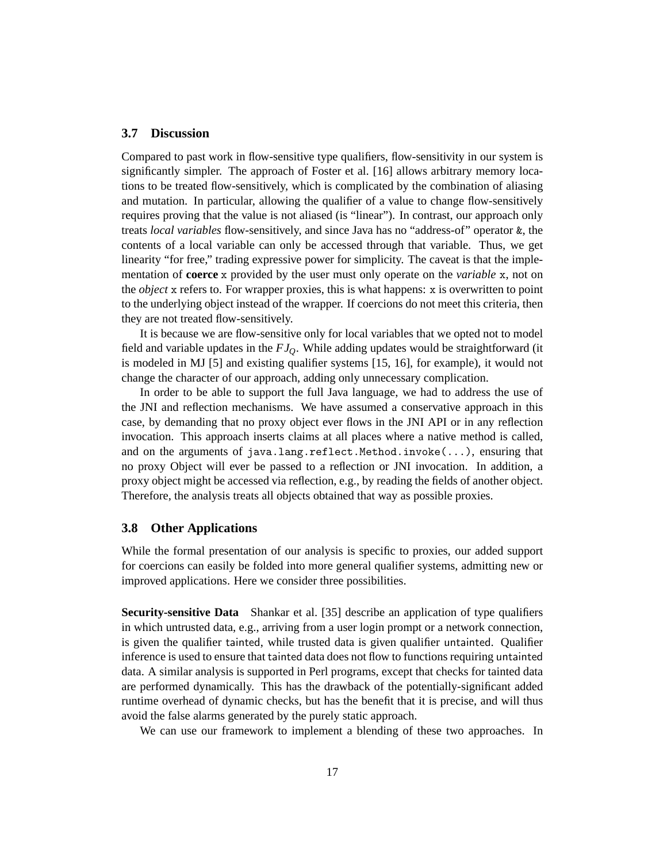### **3.7 Discussion**

Compared to past work in flow-sensitive type qualifiers, flow-sensitivity in our system is significantly simpler. The approach of Foster et al. [16] allows arbitrary memory locations to be treated flow-sensitively, which is complicated by the combination of aliasing and mutation. In particular, allowing the qualifier of a value to change flow-sensitively requires proving that the value is not aliased (is "linear"). In contrast, our approach only treats *local variables* flow-sensitively, and since Java has no "address-of" operator &, the contents of a local variable can only be accessed through that variable. Thus, we get linearity "for free," trading expressive power for simplicity. The caveat is that the implementation of **coerce** x provided by the user must only operate on the *variable* x, not on the *object* x refers to. For wrapper proxies, this is what happens: x is overwritten to point to the underlying object instead of the wrapper. If coercions do not meet this criteria, then they are not treated flow-sensitively.

It is because we are flow-sensitive only for local variables that we opted not to model field and variable updates in the *FJQ*. While adding updates would be straightforward (it is modeled in MJ [5] and existing qualifier systems [15, 16], for example), it would not change the character of our approach, adding only unnecessary complication.

In order to be able to support the full Java language, we had to address the use of the JNI and reflection mechanisms. We have assumed a conservative approach in this case, by demanding that no proxy object ever flows in the JNI API or in any reflection invocation. This approach inserts claims at all places where a native method is called, and on the arguments of java.lang.reflect.Method.invoke(...), ensuring that no proxy Object will ever be passed to a reflection or JNI invocation. In addition, a proxy object might be accessed via reflection, e.g., by reading the fields of another object. Therefore, the analysis treats all objects obtained that way as possible proxies.

#### **3.8 Other Applications**

While the formal presentation of our analysis is specific to proxies, our added support for coercions can easily be folded into more general qualifier systems, admitting new or improved applications. Here we consider three possibilities.

**Security-sensitive Data** Shankar et al. [35] describe an application of type qualifiers in which untrusted data, e.g., arriving from a user login prompt or a network connection, is given the qualifier tainted, while trusted data is given qualifier untainted. Qualifier inference is used to ensure that tainted data does not flow to functions requiring untainted data. A similar analysis is supported in Perl programs, except that checks for tainted data are performed dynamically. This has the drawback of the potentially-significant added runtime overhead of dynamic checks, but has the benefit that it is precise, and will thus avoid the false alarms generated by the purely static approach.

We can use our framework to implement a blending of these two approaches. In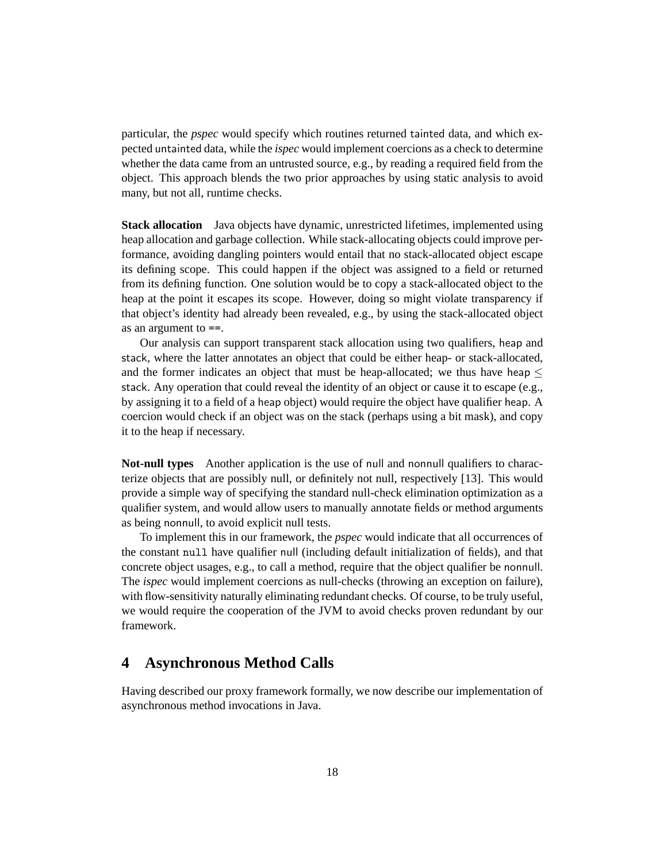particular, the *pspec* would specify which routines returned tainted data, and which expected untainted data, while the *ispec* would implement coercions as a check to determine whether the data came from an untrusted source, e.g., by reading a required field from the object. This approach blends the two prior approaches by using static analysis to avoid many, but not all, runtime checks.

**Stack allocation** Java objects have dynamic, unrestricted lifetimes, implemented using heap allocation and garbage collection. While stack-allocating objects could improve performance, avoiding dangling pointers would entail that no stack-allocated object escape its defining scope. This could happen if the object was assigned to a field or returned from its defining function. One solution would be to copy a stack-allocated object to the heap at the point it escapes its scope. However, doing so might violate transparency if that object's identity had already been revealed, e.g., by using the stack-allocated object as an argument to ==.

Our analysis can support transparent stack allocation using two qualifiers, heap and stack, where the latter annotates an object that could be either heap- or stack-allocated, and the former indicates an object that must be heap-allocated; we thus have heap  $\leq$ stack. Any operation that could reveal the identity of an object or cause it to escape (e.g., by assigning it to a field of a heap object) would require the object have qualifier heap. A coercion would check if an object was on the stack (perhaps using a bit mask), and copy it to the heap if necessary.

**Not-null types** Another application is the use of null and nonnull qualifiers to characterize objects that are possibly null, or definitely not null, respectively [13]. This would provide a simple way of specifying the standard null-check elimination optimization as a qualifier system, and would allow users to manually annotate fields or method arguments as being nonnull, to avoid explicit null tests.

To implement this in our framework, the *pspec* would indicate that all occurrences of the constant null have qualifier null (including default initialization of fields), and that concrete object usages, e.g., to call a method, require that the object qualifier be nonnull. The *ispec* would implement coercions as null-checks (throwing an exception on failure), with flow-sensitivity naturally eliminating redundant checks. Of course, to be truly useful, we would require the cooperation of the JVM to avoid checks proven redundant by our framework.

## **4 Asynchronous Method Calls**

Having described our proxy framework formally, we now describe our implementation of asynchronous method invocations in Java.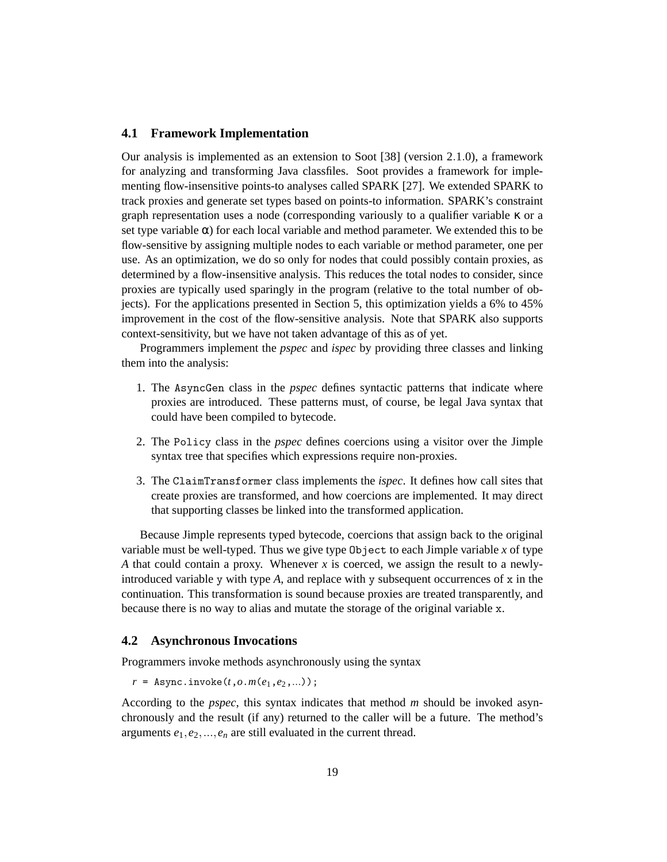### **4.1 Framework Implementation**

Our analysis is implemented as an extension to Soot [38] (version 2.1.0), a framework for analyzing and transforming Java classfiles. Soot provides a framework for implementing flow-insensitive points-to analyses called SPARK [27]. We extended SPARK to track proxies and generate set types based on points-to information. SPARK's constraint graph representation uses a node (corresponding variously to a qualifier variable  $\kappa$  or a set type variable  $\alpha$ ) for each local variable and method parameter. We extended this to be flow-sensitive by assigning multiple nodes to each variable or method parameter, one per use. As an optimization, we do so only for nodes that could possibly contain proxies, as determined by a flow-insensitive analysis. This reduces the total nodes to consider, since proxies are typically used sparingly in the program (relative to the total number of objects). For the applications presented in Section 5, this optimization yields a 6% to 45% improvement in the cost of the flow-sensitive analysis. Note that SPARK also supports context-sensitivity, but we have not taken advantage of this as of yet.

Programmers implement the *pspec* and *ispec* by providing three classes and linking them into the analysis:

- 1. The AsyncGen class in the *pspec* defines syntactic patterns that indicate where proxies are introduced. These patterns must, of course, be legal Java syntax that could have been compiled to bytecode.
- 2. The Policy class in the *pspec* defines coercions using a visitor over the Jimple syntax tree that specifies which expressions require non-proxies.
- 3. The ClaimTransformer class implements the *ispec*. It defines how call sites that create proxies are transformed, and how coercions are implemented. It may direct that supporting classes be linked into the transformed application.

Because Jimple represents typed bytecode, coercions that assign back to the original variable must be well-typed. Thus we give type Object to each Jimple variable *x* of type *A* that could contain a proxy. Whenever *x* is coerced, we assign the result to a newlyintroduced variable y with type *A*, and replace with y subsequent occurrences of x in the continuation. This transformation is sound because proxies are treated transparently, and because there is no way to alias and mutate the storage of the original variable x.

### **4.2 Asynchronous Invocations**

Programmers invoke methods asynchronously using the syntax

 $r =$  Async.invoke(*t*,*o*.*m*(*e*<sub>1</sub>,*e*<sub>2</sub>,...));

According to the *pspec*, this syntax indicates that method *m* should be invoked asynchronously and the result (if any) returned to the caller will be a future. The method's arguments *e*1,*e*2,...,*e<sup>n</sup>* are still evaluated in the current thread.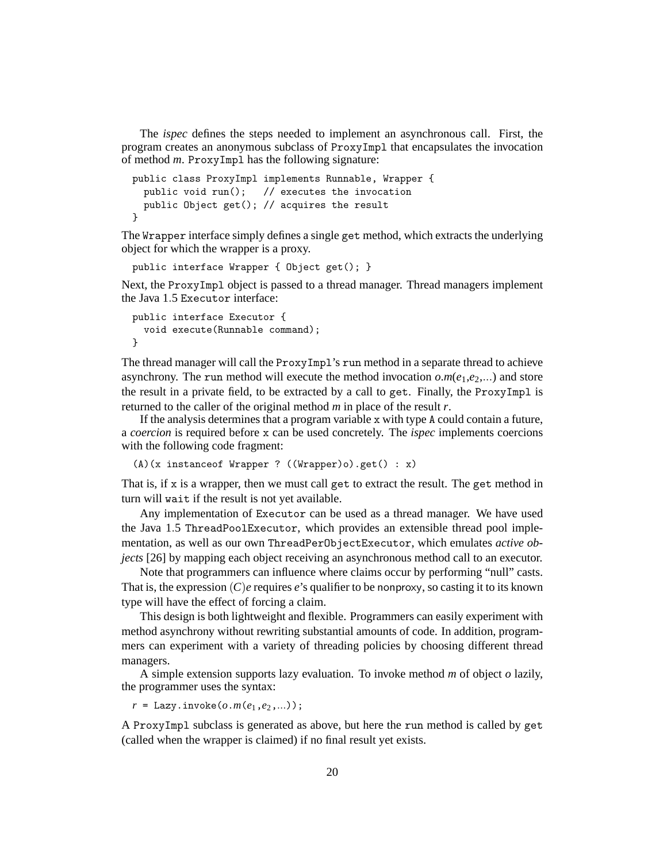The *ispec* defines the steps needed to implement an asynchronous call. First, the program creates an anonymous subclass of ProxyImpl that encapsulates the invocation of method *m*. ProxyImpl has the following signature:

```
public class ProxyImpl implements Runnable, Wrapper {
  public void run(); // executes the invocation
  public Object get(); // acquires the result
}
```
The Wrapper interface simply defines a single get method, which extracts the underlying object for which the wrapper is a proxy.

```
public interface Wrapper { Object get(); }
```
Next, the ProxyImpl object is passed to a thread manager. Thread managers implement the Java 1.5 Executor interface:

```
public interface Executor {
  void execute(Runnable command);
}
```
The thread manager will call the ProxyImpl's run method in a separate thread to achieve asynchrony. The run method will execute the method invocation  $o.m(e_1,e_2,...)$  and store the result in a private field, to be extracted by a call to get. Finally, the ProxyImpl is returned to the caller of the original method *m* in place of the result *r*.

If the analysis determines that a program variable x with type A could contain a future, a *coercion* is required before x can be used concretely. The *ispec* implements coercions with the following code fragment:

```
(A)(x instanceof Wrapper ? ((Wrapper)o).get() : x)
```
That is, if x is a wrapper, then we must call get to extract the result. The get method in turn will wait if the result is not yet available.

Any implementation of Executor can be used as a thread manager. We have used the Java 1.5 ThreadPoolExecutor, which provides an extensible thread pool implementation, as well as our own ThreadPerObjectExecutor, which emulates *active objects* [26] by mapping each object receiving an asynchronous method call to an executor.

Note that programmers can influence where claims occur by performing "null" casts. That is, the expression  $(C)e$  requires *e*'s qualifier to be nonproxy, so casting it to its known type will have the effect of forcing a claim.

This design is both lightweight and flexible. Programmers can easily experiment with method asynchrony without rewriting substantial amounts of code. In addition, programmers can experiment with a variety of threading policies by choosing different thread managers.

A simple extension supports lazy evaluation. To invoke method *m* of object *o* lazily, the programmer uses the syntax:

*r* = Lazy.invoke(*o*.*m*(*e*1,*e*2,...));

A ProxyImpl subclass is generated as above, but here the run method is called by get (called when the wrapper is claimed) if no final result yet exists.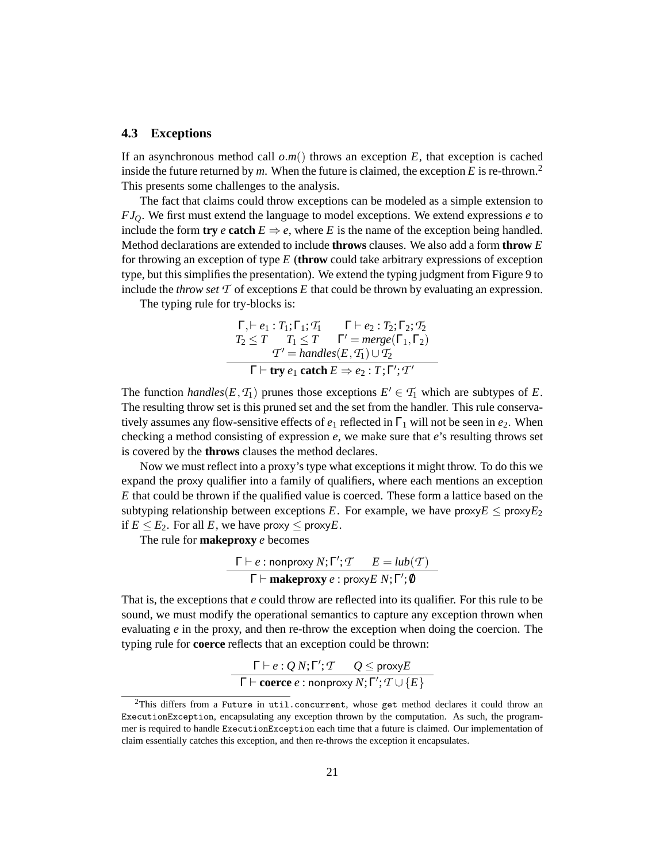#### **4.3 Exceptions**

If an asynchronous method call  $o.m()$  throws an exception *E*, that exception is cached inside the future returned by  $m$ . When the future is claimed, the exception  $E$  is re-thrown.<sup>2</sup> This presents some challenges to the analysis.

The fact that claims could throw exceptions can be modeled as a simple extension to *FJQ*. We first must extend the language to model exceptions. We extend expressions *e* to include the form **try** *e* **catch**  $E \Rightarrow e$ , where *E* is the name of the exception being handled. Method declarations are extended to include **throws** clauses. We also add a form **throw** *E* for throwing an exception of type *E* (**throw** could take arbitrary expressions of exception type, but this simplifies the presentation). We extend the typing judgment from Figure 9 to include the *throw set*  $\mathcal T$  of exceptions  $E$  that could be thrown by evaluating an expression.

The typing rule for try-blocks is:

$$
\Gamma, \vdash e_1 : T_1; T_1; T_1 \qquad \Gamma \vdash e_2 : T_2; T_2; T_2 T_2 \leq T \qquad T_1 \leq T \qquad \Gamma' = merge(\Gamma_1, \Gamma_2) T' = handles(E, T_1) \cup T_2 \n\Gamma \vdash \text{try } e_1 \text{ catch } E \Rightarrow e_2 : T; \Gamma'; T'
$$

The function *handles*( $E, T_1$ ) prunes those exceptions  $E' \in T_1$  which are subtypes of  $E$ . The resulting throw set is this pruned set and the set from the handler. This rule conservatively assumes any flow-sensitive effects of  $e_1$  reflected in  $\Gamma_1$  will not be seen in  $e_2$ . When checking a method consisting of expression *e*, we make sure that *e*'s resulting throws set is covered by the **throws** clauses the method declares.

Now we must reflect into a proxy's type what exceptions it might throw. To do this we expand the proxy qualifier into a family of qualifiers, where each mentions an exception *E* that could be thrown if the qualified value is coerced. These form a lattice based on the subtyping relationship between exceptions *E*. For example, we have proxy $E \leq$  proxy $E_2$ if  $E \le E_2$ . For all *E*, we have proxy  $\le$  proxy *E*.

The rule for **makeproxy** *e* becomes

$$
\frac{\Gamma \vdash e : \text{nonprovy } N; \Gamma'; T \qquad E = lub(T)}{\Gamma \vdash \text{makeproxy } e : \text{proxy } E \ N; \Gamma'; 0}
$$

That is, the exceptions that *e* could throw are reflected into its qualifier. For this rule to be sound, we must modify the operational semantics to capture any exception thrown when evaluating *e* in the proxy, and then re-throw the exception when doing the coercion. The typing rule for **coerce** reflects that an exception could be thrown:

$$
\frac{\Gamma \vdash e:Q \, N; \Gamma'; T \quad Q \leq \text{proxy} E}{\Gamma \vdash \text{coerce } e: \text{nonprovy} \, N; \Gamma'; T \cup \{E\}}
$$

<sup>&</sup>lt;sup>2</sup>This differs from a Future in util.concurrent, whose get method declares it could throw an ExecutionException, encapsulating any exception thrown by the computation. As such, the programmer is required to handle ExecutionException each time that a future is claimed. Our implementation of claim essentially catches this exception, and then re-throws the exception it encapsulates.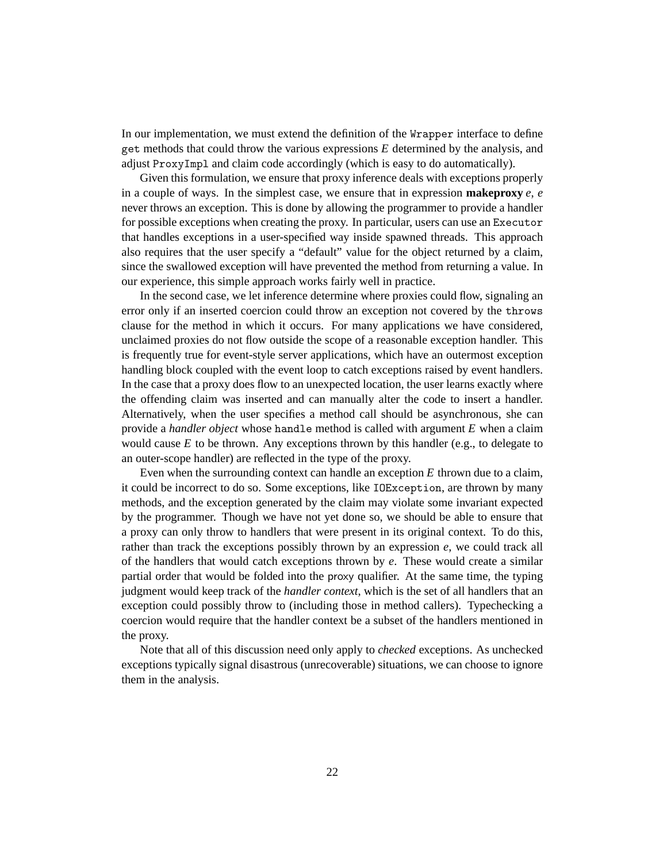In our implementation, we must extend the definition of the Wrapper interface to define get methods that could throw the various expressions *E* determined by the analysis, and adjust ProxyImpl and claim code accordingly (which is easy to do automatically).

Given this formulation, we ensure that proxy inference deals with exceptions properly in a couple of ways. In the simplest case, we ensure that in expression **makeproxy** *e*, *e* never throws an exception. This is done by allowing the programmer to provide a handler for possible exceptions when creating the proxy. In particular, users can use an Executor that handles exceptions in a user-specified way inside spawned threads. This approach also requires that the user specify a "default" value for the object returned by a claim, since the swallowed exception will have prevented the method from returning a value. In our experience, this simple approach works fairly well in practice.

In the second case, we let inference determine where proxies could flow, signaling an error only if an inserted coercion could throw an exception not covered by the throws clause for the method in which it occurs. For many applications we have considered, unclaimed proxies do not flow outside the scope of a reasonable exception handler. This is frequently true for event-style server applications, which have an outermost exception handling block coupled with the event loop to catch exceptions raised by event handlers. In the case that a proxy does flow to an unexpected location, the user learns exactly where the offending claim was inserted and can manually alter the code to insert a handler. Alternatively, when the user specifies a method call should be asynchronous, she can provide a *handler object* whose handle method is called with argument *E* when a claim would cause *E* to be thrown. Any exceptions thrown by this handler (e.g., to delegate to an outer-scope handler) are reflected in the type of the proxy.

Even when the surrounding context can handle an exception *E* thrown due to a claim, it could be incorrect to do so. Some exceptions, like IOException, are thrown by many methods, and the exception generated by the claim may violate some invariant expected by the programmer. Though we have not yet done so, we should be able to ensure that a proxy can only throw to handlers that were present in its original context. To do this, rather than track the exceptions possibly thrown by an expression *e*, we could track all of the handlers that would catch exceptions thrown by *e*. These would create a similar partial order that would be folded into the proxy qualifier. At the same time, the typing judgment would keep track of the *handler context*, which is the set of all handlers that an exception could possibly throw to (including those in method callers). Typechecking a coercion would require that the handler context be a subset of the handlers mentioned in the proxy.

Note that all of this discussion need only apply to *checked* exceptions. As unchecked exceptions typically signal disastrous (unrecoverable) situations, we can choose to ignore them in the analysis.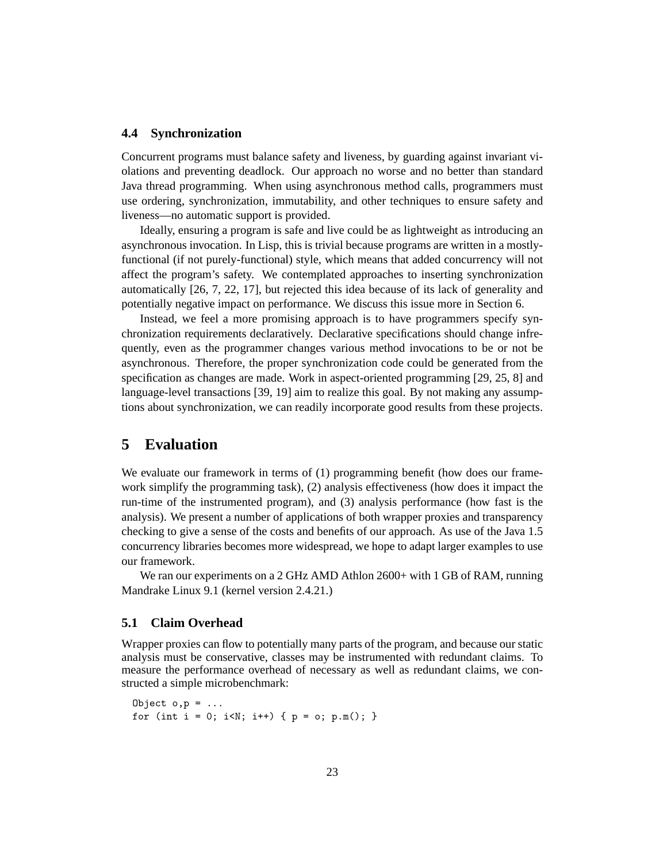### **4.4 Synchronization**

Concurrent programs must balance safety and liveness, by guarding against invariant violations and preventing deadlock. Our approach no worse and no better than standard Java thread programming. When using asynchronous method calls, programmers must use ordering, synchronization, immutability, and other techniques to ensure safety and liveness—no automatic support is provided.

Ideally, ensuring a program is safe and live could be as lightweight as introducing an asynchronous invocation. In Lisp, this is trivial because programs are written in a mostlyfunctional (if not purely-functional) style, which means that added concurrency will not affect the program's safety. We contemplated approaches to inserting synchronization automatically [26, 7, 22, 17], but rejected this idea because of its lack of generality and potentially negative impact on performance. We discuss this issue more in Section 6.

Instead, we feel a more promising approach is to have programmers specify synchronization requirements declaratively. Declarative specifications should change infrequently, even as the programmer changes various method invocations to be or not be asynchronous. Therefore, the proper synchronization code could be generated from the specification as changes are made. Work in aspect-oriented programming [29, 25, 8] and language-level transactions [39, 19] aim to realize this goal. By not making any assumptions about synchronization, we can readily incorporate good results from these projects.

# **5 Evaluation**

We evaluate our framework in terms of (1) programming benefit (how does our framework simplify the programming task), (2) analysis effectiveness (how does it impact the run-time of the instrumented program), and (3) analysis performance (how fast is the analysis). We present a number of applications of both wrapper proxies and transparency checking to give a sense of the costs and benefits of our approach. As use of the Java 1.5 concurrency libraries becomes more widespread, we hope to adapt larger examples to use our framework.

We ran our experiments on a 2 GHz AMD Athlon 2600+ with 1 GB of RAM, running Mandrake Linux 9.1 (kernel version 2.4.21.)

### **5.1 Claim Overhead**

Wrapper proxies can flow to potentially many parts of the program, and because our static analysis must be conservative, classes may be instrumented with redundant claims. To measure the performance overhead of necessary as well as redundant claims, we constructed a simple microbenchmark:

Object  $o, p = \ldots$ for (int  $i = 0$ ;  $i \in N$ ;  $i++)$  {  $p = o$ ;  $p.m()$ ; }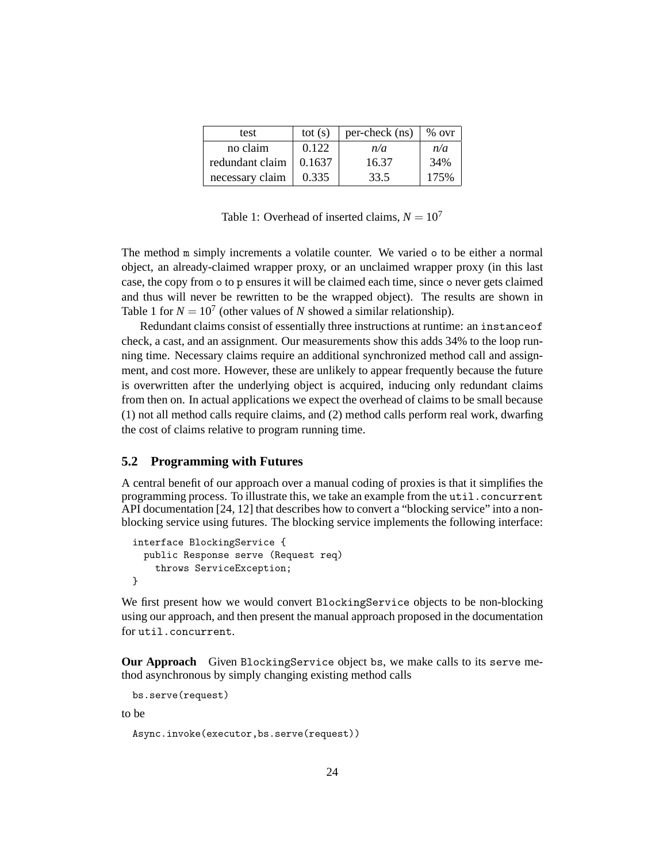| test            | $\frac{1}{s}$ tot $\frac{s}{s}$ | per-check (ns) | $%$ ovr |
|-----------------|---------------------------------|----------------|---------|
| no claim        | 0.122                           | n/a            | n/a     |
| redundant claim | 0.1637                          | 16.37          | 34%     |
| necessary claim | 0.335                           | 33.5           | 175%    |

Table 1: Overhead of inserted claims,  $N = 10<sup>7</sup>$ 

The method m simply increments a volatile counter. We varied o to be either a normal object, an already-claimed wrapper proxy, or an unclaimed wrapper proxy (in this last case, the copy from o to p ensures it will be claimed each time, since o never gets claimed and thus will never be rewritten to be the wrapped object). The results are shown in Table 1 for  $N = 10<sup>7</sup>$  (other values of *N* showed a similar relationship).

Redundant claims consist of essentially three instructions at runtime: an instanceof check, a cast, and an assignment. Our measurements show this adds 34% to the loop running time. Necessary claims require an additional synchronized method call and assignment, and cost more. However, these are unlikely to appear frequently because the future is overwritten after the underlying object is acquired, inducing only redundant claims from then on. In actual applications we expect the overhead of claims to be small because (1) not all method calls require claims, and (2) method calls perform real work, dwarfing the cost of claims relative to program running time.

#### **5.2 Programming with Futures**

A central benefit of our approach over a manual coding of proxies is that it simplifies the programming process. To illustrate this, we take an example from the util.concurrent API documentation [24, 12] that describes how to convert a "blocking service" into a nonblocking service using futures. The blocking service implements the following interface:

```
interface BlockingService {
  public Response serve (Request req)
    throws ServiceException;
}
```
We first present how we would convert BlockingService objects to be non-blocking using our approach, and then present the manual approach proposed in the documentation for util.concurrent.

**Our Approach** Given BlockingService object bs, we make calls to its serve method asynchronous by simply changing existing method calls

```
bs.serve(request)
```
to be

Async.invoke(executor,bs.serve(request))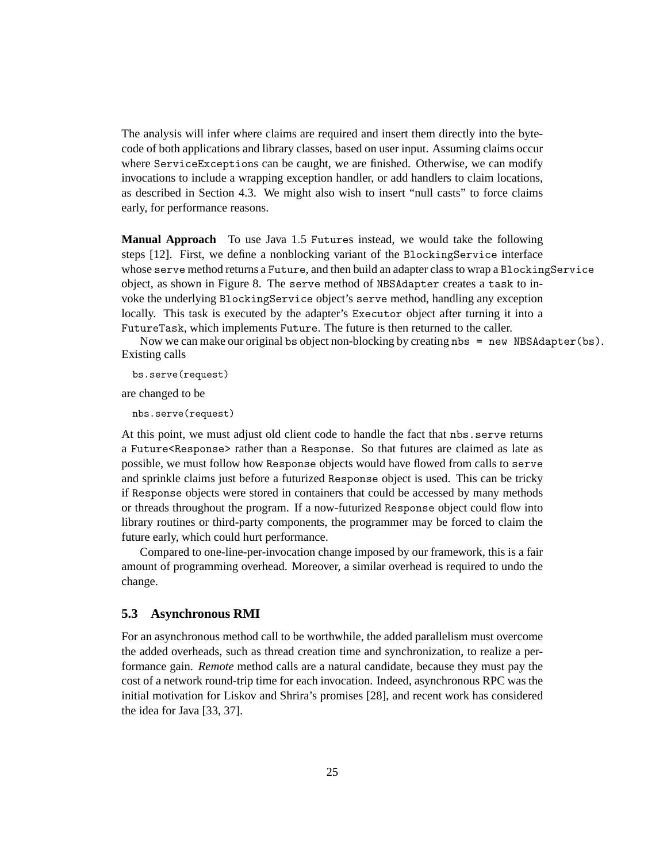The analysis will infer where claims are required and insert them directly into the bytecode of both applications and library classes, based on user input. Assuming claims occur where ServiceExceptions can be caught, we are finished. Otherwise, we can modify invocations to include a wrapping exception handler, or add handlers to claim locations, as described in Section 4.3. We might also wish to insert "null casts" to force claims early, for performance reasons.

**Manual Approach** To use Java 1.5 Futures instead, we would take the following steps [12]. First, we define a nonblocking variant of the BlockingService interface whose serve method returns a Future, and then build an adapter class to wrap a BlockingService object, as shown in Figure 8. The serve method of NBSAdapter creates a task to invoke the underlying BlockingService object's serve method, handling any exception locally. This task is executed by the adapter's Executor object after turning it into a FutureTask, which implements Future. The future is then returned to the caller.

Now we can make our original bs object non-blocking by creating nbs = new NBSAdapter(bs). Existing calls

bs.serve(request)

are changed to be

```
nbs.serve(request)
```
At this point, we must adjust old client code to handle the fact that nbs.serve returns a Future<Response> rather than a Response. So that futures are claimed as late as possible, we must follow how Response objects would have flowed from calls to serve and sprinkle claims just before a futurized Response object is used. This can be tricky if Response objects were stored in containers that could be accessed by many methods or threads throughout the program. If a now-futurized Response object could flow into library routines or third-party components, the programmer may be forced to claim the future early, which could hurt performance.

Compared to one-line-per-invocation change imposed by our framework, this is a fair amount of programming overhead. Moreover, a similar overhead is required to undo the change.

### **5.3 Asynchronous RMI**

For an asynchronous method call to be worthwhile, the added parallelism must overcome the added overheads, such as thread creation time and synchronization, to realize a performance gain. *Remote* method calls are a natural candidate, because they must pay the cost of a network round-trip time for each invocation. Indeed, asynchronous RPC was the initial motivation for Liskov and Shrira's promises [28], and recent work has considered the idea for Java [33, 37].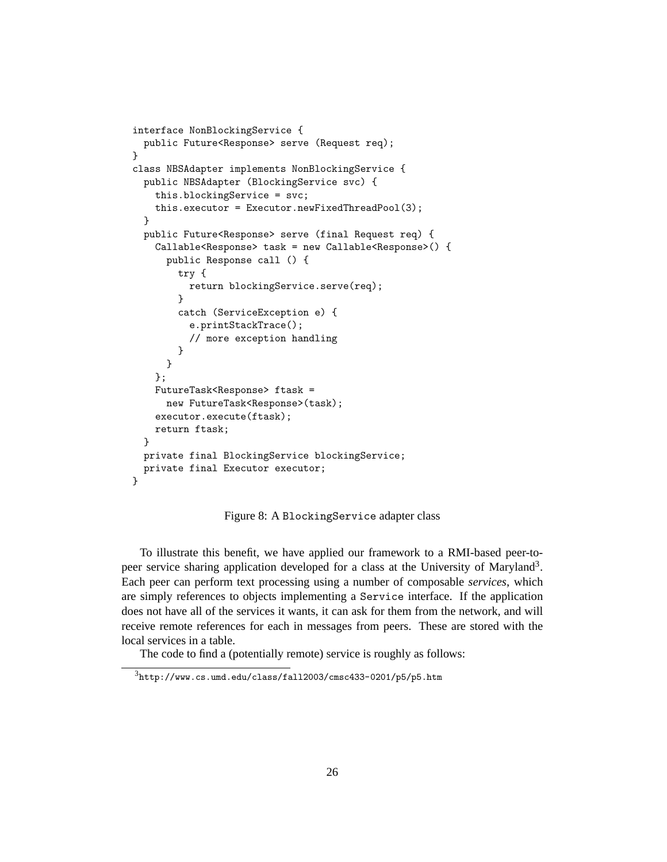```
interface NonBlockingService {
  public Future<Response> serve (Request req);
}
class NBSAdapter implements NonBlockingService {
  public NBSAdapter (BlockingService svc) {
    this.blockingService = svc;
    this.executor = Executor.newFixedThreadPool(3);
  }
  public Future<Response> serve (final Request req) {
    Callable<Response> task = new Callable<Response>() {
      public Response call () {
        try {
          return blockingService.serve(req);
        }
        catch (ServiceException e) {
          e.printStackTrace();
          // more exception handling
        }
      }
    };
    FutureTask<Response> ftask =
      new FutureTask<Response>(task);
    executor.execute(ftask);
    return ftask;
  }
  private final BlockingService blockingService;
 private final Executor executor;
}
```
Figure 8: A BlockingService adapter class

To illustrate this benefit, we have applied our framework to a RMI-based peer-topeer service sharing application developed for a class at the University of Maryland<sup>3</sup>. Each peer can perform text processing using a number of composable *services*, which are simply references to objects implementing a Service interface. If the application does not have all of the services it wants, it can ask for them from the network, and will receive remote references for each in messages from peers. These are stored with the local services in a table.

The code to find a (potentially remote) service is roughly as follows:

 $3$ http://www.cs.umd.edu/class/fall2003/cmsc433-0201/p5/p5.htm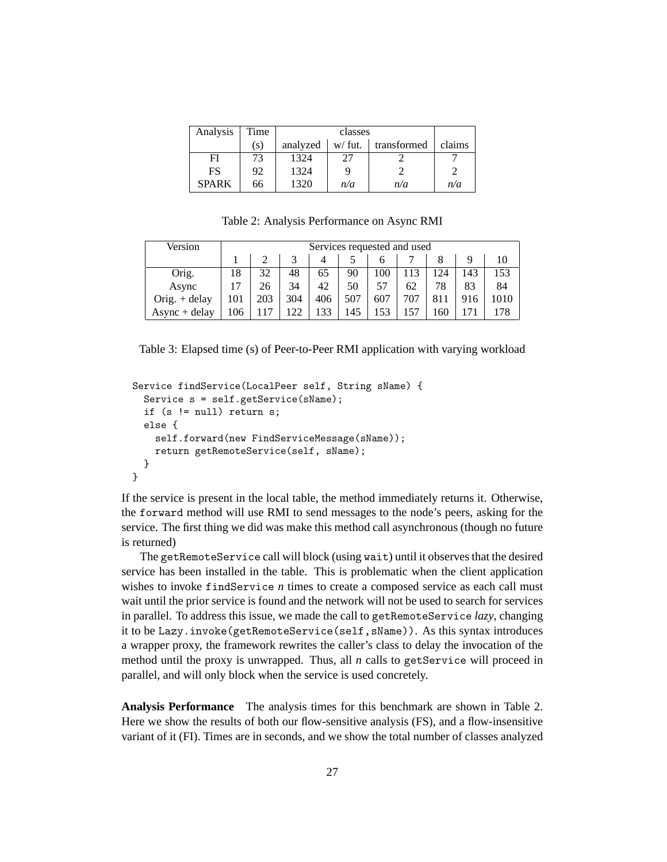| Analysis     | Time |          | classes  |             |        |
|--------------|------|----------|----------|-------------|--------|
|              | (s)  | analyzed | $w$ fut. | transformed | claims |
| FI           | 73   | 1324     | 77       |             |        |
| FS           | 92   | 1324     |          |             |        |
| <b>SPARK</b> | 66   | 1320     | n/a      | n/a         | n/a    |

Table 2: Analysis Performance on Async RMI

| Version         |     | Services requested and used |     |     |     |     |     |     |     |      |
|-----------------|-----|-----------------------------|-----|-----|-----|-----|-----|-----|-----|------|
|                 |     |                             |     | 4   |     |     |     |     |     |      |
| Orig.           | 18  | 32                          | 48  | 65  | 90  | 100 | 113 | 124 | 143 | 153  |
| Async           | 17  | 26                          | 34  | 42  | 50  | 57  | 62  | 78  | 83  | 84   |
| Orig. $+$ delay | 101 | 203                         | 304 | 406 | 507 | 607 | 707 |     | 916 | 1010 |
| $Async + delay$ | 106 |                             | 122 | 133 | 145 | .53 |     | .60 |     |      |

Table 3: Elapsed time (s) of Peer-to-Peer RMI application with varying workload

```
Service findService(LocalPeer self, String sName) {
  Service s = self.getService(sName);
  if (s != null) return s;
  else {
    self.forward(new FindServiceMessage(sName));
    return getRemoteService(self, sName);
  }
}
```
If the service is present in the local table, the method immediately returns it. Otherwise, the forward method will use RMI to send messages to the node's peers, asking for the service. The first thing we did was make this method call asynchronous (though no future is returned)

The getRemoteService call will block (using wait) until it observes that the desired service has been installed in the table. This is problematic when the client application wishes to invoke findService *n* times to create a composed service as each call must wait until the prior service is found and the network will not be used to search for services in parallel. To address this issue, we made the call to getRemoteService *lazy*, changing it to be Lazy.invoke(getRemoteService(self,sName)). As this syntax introduces a wrapper proxy, the framework rewrites the caller's class to delay the invocation of the method until the proxy is unwrapped. Thus, all *n* calls to getService will proceed in parallel, and will only block when the service is used concretely.

**Analysis Performance** The analysis times for this benchmark are shown in Table 2. Here we show the results of both our flow-sensitive analysis (FS), and a flow-insensitive variant of it (FI). Times are in seconds, and we show the total number of classes analyzed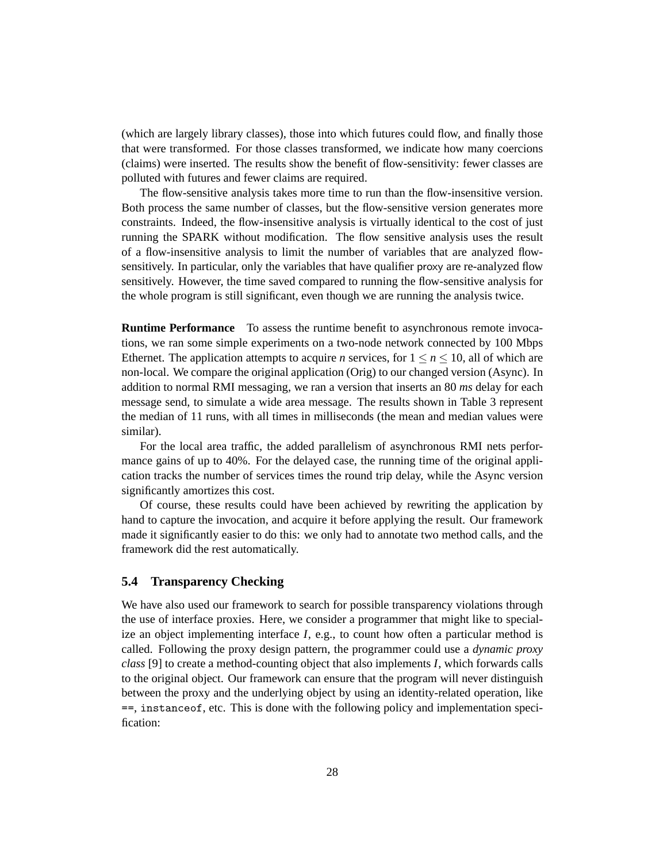(which are largely library classes), those into which futures could flow, and finally those that were transformed. For those classes transformed, we indicate how many coercions (claims) were inserted. The results show the benefit of flow-sensitivity: fewer classes are polluted with futures and fewer claims are required.

The flow-sensitive analysis takes more time to run than the flow-insensitive version. Both process the same number of classes, but the flow-sensitive version generates more constraints. Indeed, the flow-insensitive analysis is virtually identical to the cost of just running the SPARK without modification. The flow sensitive analysis uses the result of a flow-insensitive analysis to limit the number of variables that are analyzed flowsensitively. In particular, only the variables that have qualifier proxy are re-analyzed flow sensitively. However, the time saved compared to running the flow-sensitive analysis for the whole program is still significant, even though we are running the analysis twice.

**Runtime Performance** To assess the runtime benefit to asynchronous remote invocations, we ran some simple experiments on a two-node network connected by 100 Mbps Ethernet. The application attempts to acquire *n* services, for  $1 \le n \le 10$ , all of which are non-local. We compare the original application (Orig) to our changed version (Async). In addition to normal RMI messaging, we ran a version that inserts an 80 *ms* delay for each message send, to simulate a wide area message. The results shown in Table 3 represent the median of 11 runs, with all times in milliseconds (the mean and median values were similar).

For the local area traffic, the added parallelism of asynchronous RMI nets performance gains of up to 40%. For the delayed case, the running time of the original application tracks the number of services times the round trip delay, while the Async version significantly amortizes this cost.

Of course, these results could have been achieved by rewriting the application by hand to capture the invocation, and acquire it before applying the result. Our framework made it significantly easier to do this: we only had to annotate two method calls, and the framework did the rest automatically.

### **5.4 Transparency Checking**

We have also used our framework to search for possible transparency violations through the use of interface proxies. Here, we consider a programmer that might like to specialize an object implementing interface *I*, e.g., to count how often a particular method is called. Following the proxy design pattern, the programmer could use a *dynamic proxy class* [9] to create a method-counting object that also implements *I*, which forwards calls to the original object. Our framework can ensure that the program will never distinguish between the proxy and the underlying object by using an identity-related operation, like ==, instanceof, etc. This is done with the following policy and implementation specification: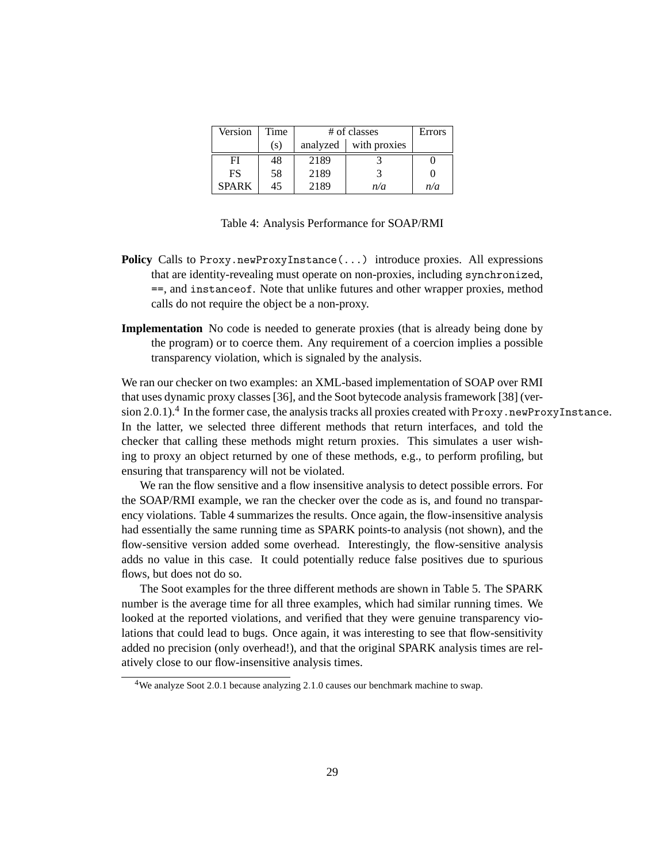| Version      | Time | # of classes | Errors                        |     |
|--------------|------|--------------|-------------------------------|-----|
|              | (s)  |              | analyzed $\vert$ with proxies |     |
| FI           | 48   | 2189         |                               |     |
| FS           | 58   | 2189         |                               |     |
| <b>SPARK</b> | 45   | 2189         | n/a                           | n/a |

- **Policy** Calls to Proxy.newProxyInstance(...) introduce proxies. All expressions that are identity-revealing must operate on non-proxies, including synchronized, ==, and instanceof. Note that unlike futures and other wrapper proxies, method calls do not require the object be a non-proxy.
- **Implementation** No code is needed to generate proxies (that is already being done by the program) or to coerce them. Any requirement of a coercion implies a possible transparency violation, which is signaled by the analysis.

We ran our checker on two examples: an XML-based implementation of SOAP over RMI that uses dynamic proxy classes [36], and the Soot bytecode analysis framework [38] (ver- $\sin 2.0.1$ ).<sup>4</sup> In the former case, the analysis tracks all proxies created with Proxy.newProxyInstance. In the latter, we selected three different methods that return interfaces, and told the checker that calling these methods might return proxies. This simulates a user wishing to proxy an object returned by one of these methods, e.g., to perform profiling, but ensuring that transparency will not be violated.

We ran the flow sensitive and a flow insensitive analysis to detect possible errors. For the SOAP/RMI example, we ran the checker over the code as is, and found no transparency violations. Table 4 summarizes the results. Once again, the flow-insensitive analysis had essentially the same running time as SPARK points-to analysis (not shown), and the flow-sensitive version added some overhead. Interestingly, the flow-sensitive analysis adds no value in this case. It could potentially reduce false positives due to spurious flows, but does not do so.

The Soot examples for the three different methods are shown in Table 5. The SPARK number is the average time for all three examples, which had similar running times. We looked at the reported violations, and verified that they were genuine transparency violations that could lead to bugs. Once again, it was interesting to see that flow-sensitivity added no precision (only overhead!), and that the original SPARK analysis times are relatively close to our flow-insensitive analysis times.

<sup>4</sup>We analyze Soot 2.0.1 because analyzing 2.1.0 causes our benchmark machine to swap.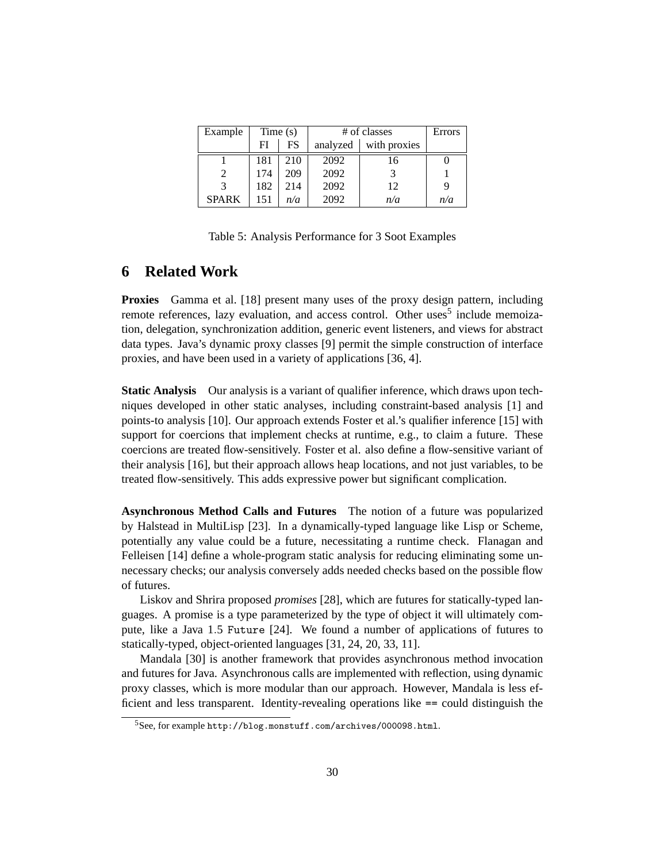| Example      | Time(s) |           |          | # of classes | Errors |
|--------------|---------|-----------|----------|--------------|--------|
|              | FI      | <b>FS</b> | analyzed | with proxies |        |
|              | 181     | 210       | 2092     | 16           |        |
|              | 174     | 209       | 2092     |              |        |
|              | 182     | 214       | 2092     | 12           |        |
| <b>SPARK</b> | 151     | n/a       | 2092     | n/a          | n/a    |

Table 5: Analysis Performance for 3 Soot Examples

# **6 Related Work**

**Proxies** Gamma et al. [18] present many uses of the proxy design pattern, including remote references, lazy evaluation, and access control. Other uses<sup>5</sup> include memoization, delegation, synchronization addition, generic event listeners, and views for abstract data types. Java's dynamic proxy classes [9] permit the simple construction of interface proxies, and have been used in a variety of applications [36, 4].

**Static Analysis** Our analysis is a variant of qualifier inference, which draws upon techniques developed in other static analyses, including constraint-based analysis [1] and points-to analysis [10]. Our approach extends Foster et al.'s qualifier inference [15] with support for coercions that implement checks at runtime, e.g., to claim a future. These coercions are treated flow-sensitively. Foster et al. also define a flow-sensitive variant of their analysis [16], but their approach allows heap locations, and not just variables, to be treated flow-sensitively. This adds expressive power but significant complication.

**Asynchronous Method Calls and Futures** The notion of a future was popularized by Halstead in MultiLisp [23]. In a dynamically-typed language like Lisp or Scheme, potentially any value could be a future, necessitating a runtime check. Flanagan and Felleisen [14] define a whole-program static analysis for reducing eliminating some unnecessary checks; our analysis conversely adds needed checks based on the possible flow of futures.

Liskov and Shrira proposed *promises* [28], which are futures for statically-typed languages. A promise is a type parameterized by the type of object it will ultimately compute, like a Java 1.5 Future [24]. We found a number of applications of futures to statically-typed, object-oriented languages [31, 24, 20, 33, 11].

Mandala [30] is another framework that provides asynchronous method invocation and futures for Java. Asynchronous calls are implemented with reflection, using dynamic proxy classes, which is more modular than our approach. However, Mandala is less efficient and less transparent. Identity-revealing operations like == could distinguish the

<sup>5</sup>See, for example http://blog.monstuff.com/archives/000098.html.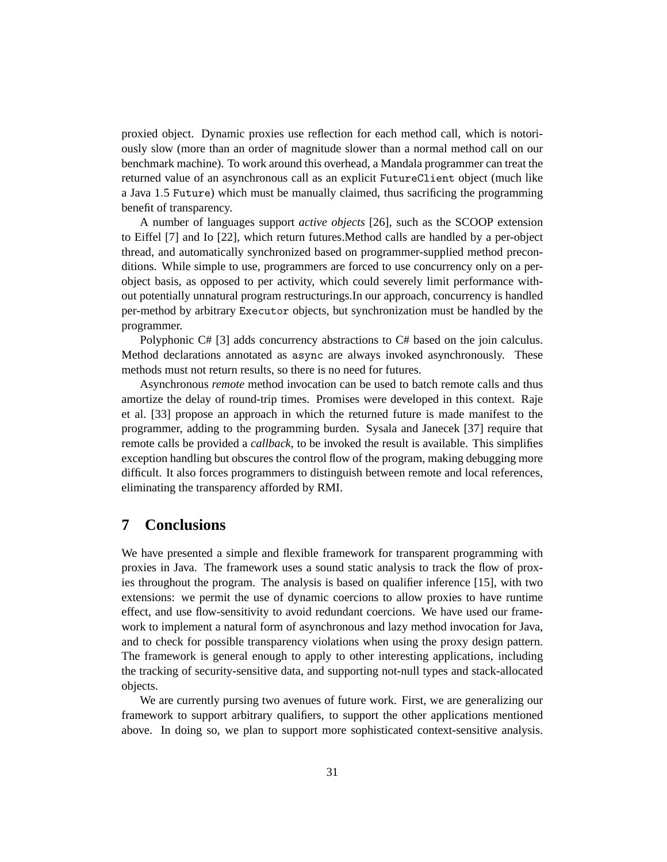proxied object. Dynamic proxies use reflection for each method call, which is notoriously slow (more than an order of magnitude slower than a normal method call on our benchmark machine). To work around this overhead, a Mandala programmer can treat the returned value of an asynchronous call as an explicit FutureClient object (much like a Java 1.5 Future) which must be manually claimed, thus sacrificing the programming benefit of transparency.

A number of languages support *active objects* [26], such as the SCOOP extension to Eiffel [7] and Io [22], which return futures.Method calls are handled by a per-object thread, and automatically synchronized based on programmer-supplied method preconditions. While simple to use, programmers are forced to use concurrency only on a perobject basis, as opposed to per activity, which could severely limit performance without potentially unnatural program restructurings.In our approach, concurrency is handled per-method by arbitrary Executor objects, but synchronization must be handled by the programmer.

Polyphonic C# [3] adds concurrency abstractions to C# based on the join calculus. Method declarations annotated as async are always invoked asynchronously. These methods must not return results, so there is no need for futures.

Asynchronous *remote* method invocation can be used to batch remote calls and thus amortize the delay of round-trip times. Promises were developed in this context. Raje et al. [33] propose an approach in which the returned future is made manifest to the programmer, adding to the programming burden. Sysala and Janecek [37] require that remote calls be provided a *callback*, to be invoked the result is available. This simplifies exception handling but obscures the control flow of the program, making debugging more difficult. It also forces programmers to distinguish between remote and local references, eliminating the transparency afforded by RMI.

## **7 Conclusions**

We have presented a simple and flexible framework for transparent programming with proxies in Java. The framework uses a sound static analysis to track the flow of proxies throughout the program. The analysis is based on qualifier inference [15], with two extensions: we permit the use of dynamic coercions to allow proxies to have runtime effect, and use flow-sensitivity to avoid redundant coercions. We have used our framework to implement a natural form of asynchronous and lazy method invocation for Java, and to check for possible transparency violations when using the proxy design pattern. The framework is general enough to apply to other interesting applications, including the tracking of security-sensitive data, and supporting not-null types and stack-allocated objects.

We are currently pursing two avenues of future work. First, we are generalizing our framework to support arbitrary qualifiers, to support the other applications mentioned above. In doing so, we plan to support more sophisticated context-sensitive analysis.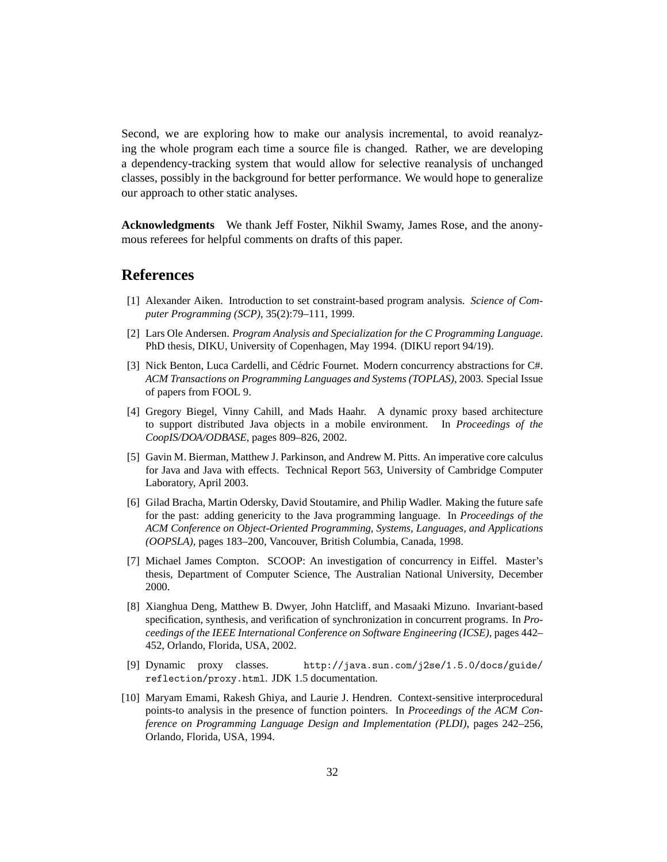Second, we are exploring how to make our analysis incremental, to avoid reanalyzing the whole program each time a source file is changed. Rather, we are developing a dependency-tracking system that would allow for selective reanalysis of unchanged classes, possibly in the background for better performance. We would hope to generalize our approach to other static analyses.

**Acknowledgments** We thank Jeff Foster, Nikhil Swamy, James Rose, and the anonymous referees for helpful comments on drafts of this paper.

## **References**

- [1] Alexander Aiken. Introduction to set constraint-based program analysis. *Science of Computer Programming (SCP)*, 35(2):79–111, 1999.
- [2] Lars Ole Andersen. *Program Analysis and Specialization for the C Programming Language*. PhD thesis, DIKU, University of Copenhagen, May 1994. (DIKU report 94/19).
- [3] Nick Benton, Luca Cardelli, and Cédric Fournet. Modern concurrency abstractions for C#. *ACM Transactions on Programming Languages and Systems (TOPLAS)*, 2003. Special Issue of papers from FOOL 9.
- [4] Gregory Biegel, Vinny Cahill, and Mads Haahr. A dynamic proxy based architecture to support distributed Java objects in a mobile environment. In *Proceedings of the CoopIS/DOA/ODBASE*, pages 809–826, 2002.
- [5] Gavin M. Bierman, Matthew J. Parkinson, and Andrew M. Pitts. An imperative core calculus for Java and Java with effects. Technical Report 563, University of Cambridge Computer Laboratory, April 2003.
- [6] Gilad Bracha, Martin Odersky, David Stoutamire, and Philip Wadler. Making the future safe for the past: adding genericity to the Java programming language. In *Proceedings of the ACM Conference on Object-Oriented Programming, Systems, Languages, and Applications (OOPSLA)*, pages 183–200, Vancouver, British Columbia, Canada, 1998.
- [7] Michael James Compton. SCOOP: An investigation of concurrency in Eiffel. Master's thesis, Department of Computer Science, The Australian National University, December 2000.
- [8] Xianghua Deng, Matthew B. Dwyer, John Hatcliff, and Masaaki Mizuno. Invariant-based specification, synthesis, and verification of synchronization in concurrent programs. In *Proceedings of the IEEE International Conference on Software Engineering (ICSE)*, pages 442– 452, Orlando, Florida, USA, 2002.
- [9] Dynamic proxy classes. http://java.sun.com/j2se/1.5.0/docs/guide/ reflection/proxy.html. JDK 1.5 documentation.
- [10] Maryam Emami, Rakesh Ghiya, and Laurie J. Hendren. Context-sensitive interprocedural points-to analysis in the presence of function pointers. In *Proceedings of the ACM Conference on Programming Language Design and Implementation (PLDI)*, pages 242–256, Orlando, Florida, USA, 1994.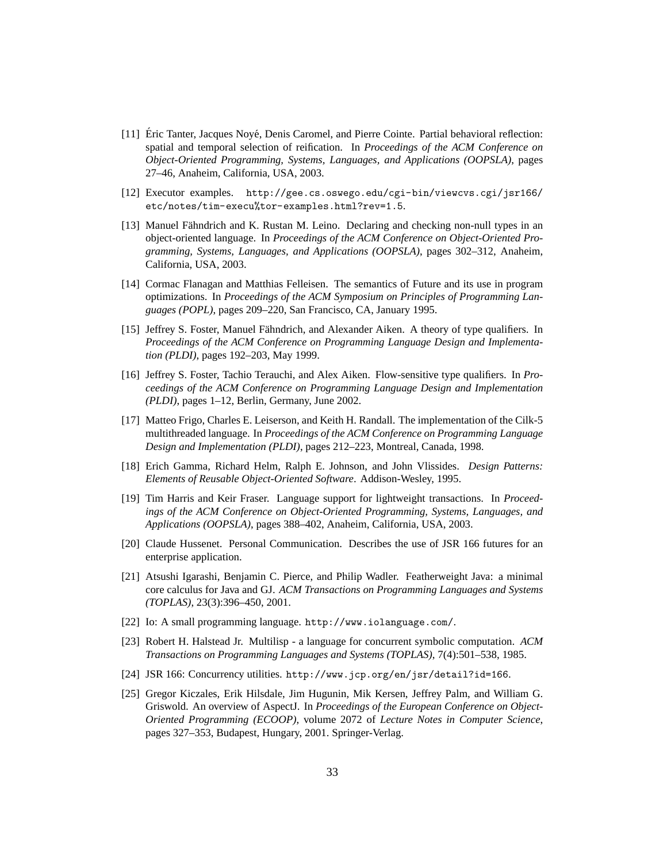- [11] Eric Tanter, Jacques Noyé, Denis Caromel, and Pierre Cointe. Partial behavioral reflection: spatial and temporal selection of reification. In *Proceedings of the ACM Conference on Object-Oriented Programming, Systems, Languages, and Applications (OOPSLA)*, pages 27–46, Anaheim, California, USA, 2003.
- [12] Executor examples. http://gee.cs.oswego.edu/cgi-bin/viewcvs.cgi/jsr166/ etc/notes/tim-execu%tor-examples.html?rev=1.5.
- [13] Manuel Fähndrich and K. Rustan M. Leino. Declaring and checking non-null types in an object-oriented language. In *Proceedings of the ACM Conference on Object-Oriented Programming, Systems, Languages, and Applications (OOPSLA)*, pages 302–312, Anaheim, California, USA, 2003.
- [14] Cormac Flanagan and Matthias Felleisen. The semantics of Future and its use in program optimizations. In *Proceedings of the ACM Symposium on Principles of Programming Languages (POPL)*, pages 209–220, San Francisco, CA, January 1995.
- [15] Jeffrey S. Foster, Manuel Fähndrich, and Alexander Aiken. A theory of type qualifiers. In *Proceedings of the ACM Conference on Programming Language Design and Implementation (PLDI)*, pages 192–203, May 1999.
- [16] Jeffrey S. Foster, Tachio Terauchi, and Alex Aiken. Flow-sensitive type qualifiers. In *Proceedings of the ACM Conference on Programming Language Design and Implementation (PLDI)*, pages 1–12, Berlin, Germany, June 2002.
- [17] Matteo Frigo, Charles E. Leiserson, and Keith H. Randall. The implementation of the Cilk-5 multithreaded language. In *Proceedings of the ACM Conference on Programming Language Design and Implementation (PLDI)*, pages 212–223, Montreal, Canada, 1998.
- [18] Erich Gamma, Richard Helm, Ralph E. Johnson, and John Vlissides. *Design Patterns: Elements of Reusable Object-Oriented Software*. Addison-Wesley, 1995.
- [19] Tim Harris and Keir Fraser. Language support for lightweight transactions. In *Proceedings of the ACM Conference on Object-Oriented Programming, Systems, Languages, and Applications (OOPSLA)*, pages 388–402, Anaheim, California, USA, 2003.
- [20] Claude Hussenet. Personal Communication. Describes the use of JSR 166 futures for an enterprise application.
- [21] Atsushi Igarashi, Benjamin C. Pierce, and Philip Wadler. Featherweight Java: a minimal core calculus for Java and GJ. *ACM Transactions on Programming Languages and Systems (TOPLAS)*, 23(3):396–450, 2001.
- [22] Io: A small programming language. http://www.iolanguage.com/.
- [23] Robert H. Halstead Jr. Multilisp a language for concurrent symbolic computation. *ACM Transactions on Programming Languages and Systems (TOPLAS)*, 7(4):501–538, 1985.
- [24] JSR 166: Concurrency utilities. http://www.jcp.org/en/jsr/detail?id=166.
- [25] Gregor Kiczales, Erik Hilsdale, Jim Hugunin, Mik Kersen, Jeffrey Palm, and William G. Griswold. An overview of AspectJ. In *Proceedings of the European Conference on Object-Oriented Programming (ECOOP)*, volume 2072 of *Lecture Notes in Computer Science*, pages 327–353, Budapest, Hungary, 2001. Springer-Verlag.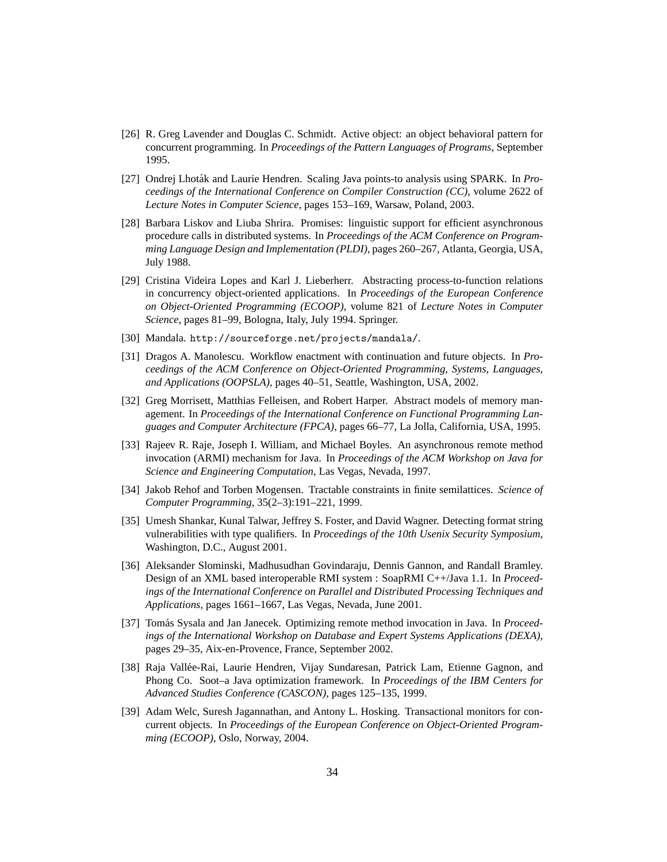- [26] R. Greg Lavender and Douglas C. Schmidt. Active object: an object behavioral pattern for concurrent programming. In *Proceedings of the Pattern Languages of Programs*, September 1995.
- [27] Ondrej Lhoták and Laurie Hendren. Scaling Java points-to analysis using SPARK. In *Proceedings of the International Conference on Compiler Construction (CC)*, volume 2622 of *Lecture Notes in Computer Science*, pages 153–169, Warsaw, Poland, 2003.
- [28] Barbara Liskov and Liuba Shrira. Promises: linguistic support for efficient asynchronous procedure calls in distributed systems. In *Proceedings of the ACM Conference on Programming Language Design and Implementation (PLDI)*, pages 260–267, Atlanta, Georgia, USA, July 1988.
- [29] Cristina Videira Lopes and Karl J. Lieberherr. Abstracting process-to-function relations in concurrency object-oriented applications. In *Proceedings of the European Conference on Object-Oriented Programming (ECOOP)*, volume 821 of *Lecture Notes in Computer Science*, pages 81–99, Bologna, Italy, July 1994. Springer.
- [30] Mandala. http://sourceforge.net/projects/mandala/.
- [31] Dragos A. Manolescu. Workflow enactment with continuation and future objects. In *Proceedings of the ACM Conference on Object-Oriented Programming, Systems, Languages, and Applications (OOPSLA)*, pages 40–51, Seattle, Washington, USA, 2002.
- [32] Greg Morrisett, Matthias Felleisen, and Robert Harper. Abstract models of memory management. In *Proceedings of the International Conference on Functional Programming Languages and Computer Architecture (FPCA)*, pages 66–77, La Jolla, California, USA, 1995.
- [33] Rajeev R. Raje, Joseph I. William, and Michael Boyles. An asynchronous remote method invocation (ARMI) mechanism for Java. In *Proceedings of the ACM Workshop on Java for Science and Engineering Computation*, Las Vegas, Nevada, 1997.
- [34] Jakob Rehof and Torben Mogensen. Tractable constraints in finite semilattices. *Science of Computer Programming*, 35(2–3):191–221, 1999.
- [35] Umesh Shankar, Kunal Talwar, Jeffrey S. Foster, and David Wagner. Detecting format string vulnerabilities with type qualifiers. In *Proceedings of the 10th Usenix Security Symposium*, Washington, D.C., August 2001.
- [36] Aleksander Slominski, Madhusudhan Govindaraju, Dennis Gannon, and Randall Bramley. Design of an XML based interoperable RMI system : SoapRMI C++/Java 1.1. In *Proceedings of the International Conference on Parallel and Distributed Processing Techniques and Applications*, pages 1661–1667, Las Vegas, Nevada, June 2001.
- [37] Tomás Sysala and Jan Janecek. Optimizing remote method invocation in Java. In *Proceedings of the International Workshop on Database and Expert Systems Applications (DEXA)*, pages 29–35, Aix-en-Provence, France, September 2002.
- [38] Raja Vallee-Rai, Laurie Hendren, Vijay Sundaresan, Patrick Lam, Etienne Gagnon, and ´ Phong Co. Soot–a Java optimization framework. In *Proceedings of the IBM Centers for Advanced Studies Conference (CASCON)*, pages 125–135, 1999.
- [39] Adam Welc, Suresh Jagannathan, and Antony L. Hosking. Transactional monitors for concurrent objects. In *Proceedings of the European Conference on Object-Oriented Programming (ECOOP)*, Oslo, Norway, 2004.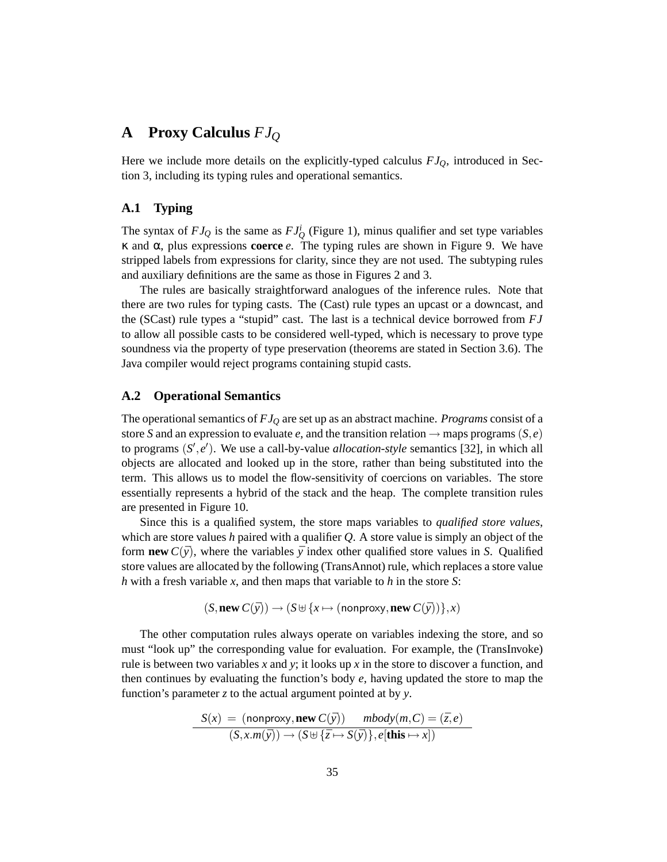# **A Proxy Calculus** *FJ<sup>Q</sup>*

Here we include more details on the explicitly-typed calculus *FJQ*, introduced in Section 3, including its typing rules and operational semantics.

### **A.1 Typing**

The syntax of  $FJ_Q$  is the same as  $FJ_Q^i$  (Figure 1), minus qualifier and set type variables κ and α, plus expressions **coerce** *e*. The typing rules are shown in Figure 9. We have stripped labels from expressions for clarity, since they are not used. The subtyping rules and auxiliary definitions are the same as those in Figures 2 and 3.

The rules are basically straightforward analogues of the inference rules. Note that there are two rules for typing casts. The (Cast) rule types an upcast or a downcast, and the (SCast) rule types a "stupid" cast. The last is a technical device borrowed from *FJ* to allow all possible casts to be considered well-typed, which is necessary to prove type soundness via the property of type preservation (theorems are stated in Section 3.6). The Java compiler would reject programs containing stupid casts.

### **A.2 Operational Semantics**

The operational semantics of *FJ<sup>Q</sup>* are set up as an abstract machine. *Programs* consist of a store *S* and an expression to evaluate *e*, and the transition relation  $\rightarrow$  maps programs (*S*,*e*) to programs  $(S', e')$ . We use a call-by-value *allocation-style* semantics [32], in which all objects are allocated and looked up in the store, rather than being substituted into the term. This allows us to model the flow-sensitivity of coercions on variables. The store essentially represents a hybrid of the stack and the heap. The complete transition rules are presented in Figure 10.

Since this is a qualified system, the store maps variables to *qualified store values*, which are store values *h* paired with a qualifier *Q*. A store value is simply an object of the form **new**  $C(\bar{y})$ , where the variables  $\bar{y}$  index other qualified store values in *S*. Qualified store values are allocated by the following (TransAnnot) rule, which replaces a store value *h* with a fresh variable *x*, and then maps that variable to *h* in the store *S*:

$$
(S, \text{new } C(\bar{y})) \rightarrow (S \cup \{x \mapsto (\text{nonproxy}, \text{new } C(\bar{y}))\}, x)
$$

The other computation rules always operate on variables indexing the store, and so must "look up" the corresponding value for evaluation. For example, the (TransInvoke) rule is between two variables *x* and *y*; it looks up *x* in the store to discover a function, and then continues by evaluating the function's body *e*, having updated the store to map the function's parameter *z* to the actual argument pointed at by *y*.

$$
S(x) = (\text{nonproxy}, \text{new } C(\bar{y})) \quad \text{mbody}(m, C) = (\bar{z}, e)
$$

$$
(S, x.m(\bar{y})) \rightarrow (S \uplus {\bar{z}} \mapsto S(\bar{y}), e[\text{this} \mapsto x])
$$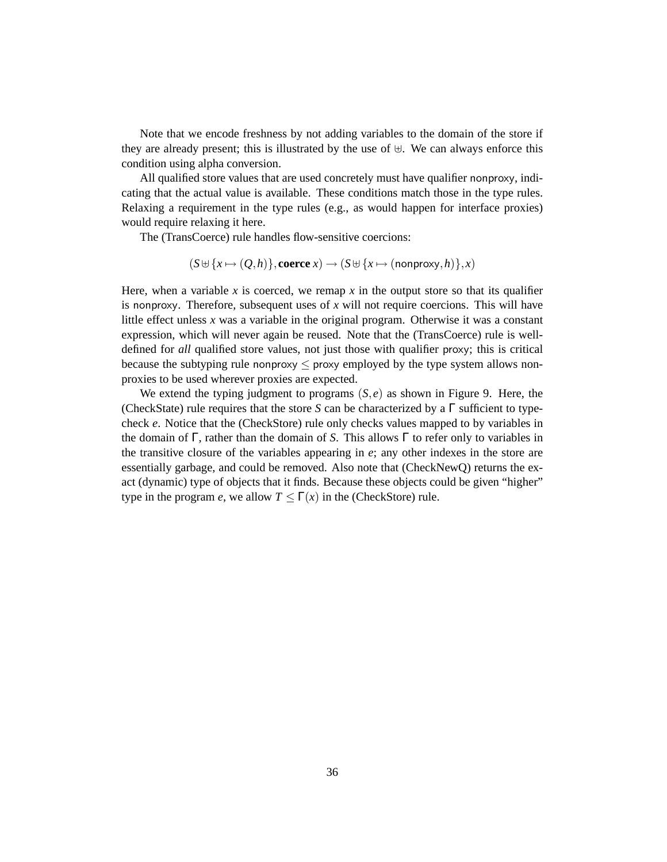Note that we encode freshness by not adding variables to the domain of the store if they are already present; this is illustrated by the use of  $\forall$ . We can always enforce this condition using alpha conversion.

All qualified store values that are used concretely must have qualifier nonproxy, indicating that the actual value is available. These conditions match those in the type rules. Relaxing a requirement in the type rules (e.g., as would happen for interface proxies) would require relaxing it here.

The (TransCoerce) rule handles flow-sensitive coercions:

$$
(S \cup \{x \mapsto (Q, h)\}, \text{coerce } x) \to (S \cup \{x \mapsto (\text{nonprov}_y, h)\}, x)
$$

Here, when a variable  $x$  is coerced, we remap  $x$  in the output store so that its qualifier is nonproxy. Therefore, subsequent uses of *x* will not require coercions. This will have little effect unless *x* was a variable in the original program. Otherwise it was a constant expression, which will never again be reused. Note that the (TransCoerce) rule is welldefined for *all* qualified store values, not just those with qualifier proxy; this is critical because the subtyping rule nonproxy  $\leq$  proxy employed by the type system allows nonproxies to be used wherever proxies are expected.

We extend the typing judgment to programs  $(S, e)$  as shown in Figure 9. Here, the (CheckState) rule requires that the store *S* can be characterized by a Γ sufficient to typecheck *e*. Notice that the (CheckStore) rule only checks values mapped to by variables in the domain of Γ, rather than the domain of *S*. This allows Γ to refer only to variables in the transitive closure of the variables appearing in *e*; any other indexes in the store are essentially garbage, and could be removed. Also note that (CheckNewQ) returns the exact (dynamic) type of objects that it finds. Because these objects could be given "higher" type in the program *e*, we allow  $T \leq \Gamma(x)$  in the (CheckStore) rule.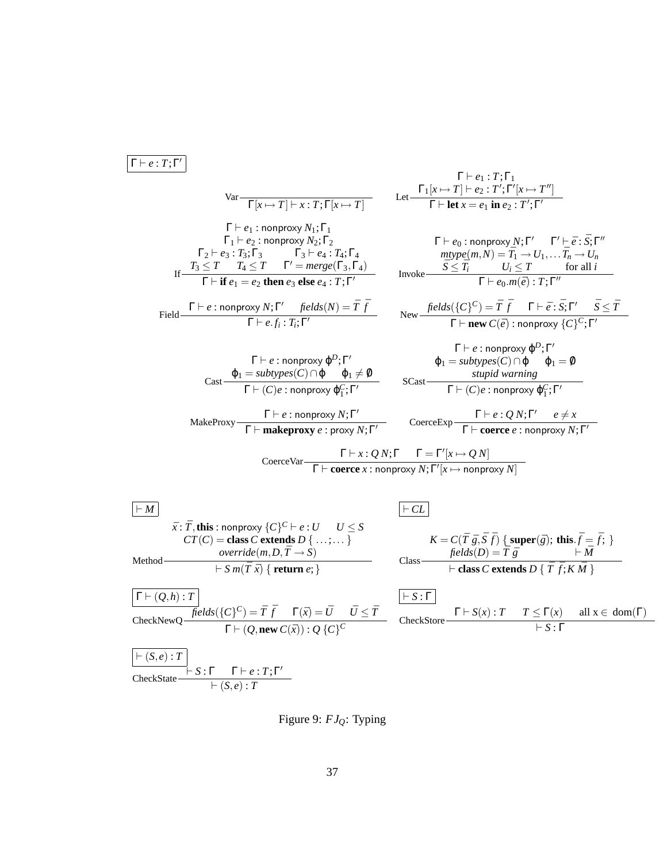### $\Gamma \vdash e : T; \Gamma'$

$$
\text{Var}\left[\frac{}{\Gamma[x\mapsto T]\vdash x : T; \Gamma[x\mapsto T]}\right]
$$

If  $\Gamma \vdash e_1 :$  nonproxy  $N_1; \Gamma_1$  $\Gamma_1 \vdash e_2 :$  nonproxy  $N_2; \Gamma_2$  $\Gamma_2 \vdash e_3 : T_3; \Gamma_3$   $\Gamma_3 \vdash e_4 : T_4; \Gamma_4$  $T_3 \leq T$   $T_4 \leq T$   $\Gamma' = merge(\Gamma_3, \Gamma_4)$  $\Gamma \vdash$  **if**  $e_1 = e_2$  **then**  $e_3$  **else**  $e_4$  :  $T; \Gamma'$ 

Let 
$$
\frac{\Gamma}{\Gamma \vdash \text{let } x = e_1 \text{ in } e_2 : T'; \Gamma'} = \frac{\Gamma}{\Gamma}
$$
  
\n
$$
\Gamma \vdash e_0 : \text{nonprovy } N; \Gamma' \quad \Gamma' \vdash \bar{e} : \bar{S}; \Gamma''
$$
  
\n
$$
\frac{\text{mtype}(m, N) = \bar{T}_1 \rightarrow U_1, \dots \bar{T}_n \rightarrow U_n}{\bar{S} \leq \bar{T}_i \qquad U_i \leq T \qquad \text{for all } i}
$$
  
\n
$$
\Gamma \vdash e_0.m(\bar{e}): T; \Gamma''
$$

 $\Gamma \vdash e_1 : T; \Gamma_1$  $\Gamma_1[x \mapsto T] \vdash e_2 : T'; \Gamma'[x \mapsto T'']$ 

$$
\text{Field} \frac{\Gamma \vdash e : \text{nonprovy } N; \Gamma' \quad \text{fields}(N) = \bar{T} \bar{f}}{\Gamma \vdash e . f_i : T_i; \Gamma'}
$$

$$
\text{New}\frac{\text{fields}(\{C\}^C) = \bar{T} \bar{f} \qquad \Gamma \vdash \bar{e} : \bar{S}; \Gamma' \qquad \bar{S} \leq \bar{T}}{\Gamma \vdash \text{new } C(\bar{e}) : \text{nonproxy } \{C\}^C; \Gamma'}
$$

$$
\Gamma \vdash e : \text{nonproxy } \varphi^D; \Gamma'
$$
\n
$$
\text{Cast} \frac{\varphi_1 = \text{subtypes}(C) \cap \varphi \quad \varphi_1 \neq \emptyset}{\Gamma \vdash (C)e : \text{nonprovy } \varphi_1^C; \Gamma'}
$$

MakeProxy  $\frac{\Gamma \vdash e : \text{nonprovy } N; \Gamma'}{\Gamma}$  $Γ ⊢ **makeproxy** *e* : proxy *N*; Γ'$ 

$$
\Gamma \vdash e : \text{nonproxy } \varphi^D; \Gamma'
$$
  
\n
$$
\varphi_1 = subtypes(C) \cap \varphi \qquad \varphi_1 = \varnothing
$$
  
\nSCast  
\n
$$
\frac{\text{stripid warning}}{\Gamma \vdash (C)e : \text{nonproxy } \varphi_1^C; \Gamma'}
$$
  
\nCoerceExp  
\n
$$
\frac{\Gamma \vdash e : Q \ N; \Gamma' \qquad e \neq x}{\Gamma \vdash \text{coerce } e : \text{nonproxy } N; \Gamma'}
$$

$$
\overline{\Gamma \vdash \mathbf{coerce}\; e : \mathsf{nonprovy}\; N; \Gamma'}
$$

$$
\text{CoerceVar} \frac{\Gamma \vdash x : Q \, N; \Gamma \quad \Gamma = \Gamma'[x \mapsto Q \, N]}{\Gamma \vdash \text{coerce } x : \text{nonprovy } N; \Gamma'[x \mapsto \text{nonprovy } N]}
$$

` *M* ` *CL* Method  $\bar{x}$  :  $\bar{T}$  , **this** : nonproxy  $\{C\}^C \vdash e : U \quad \quad U \leq S$  $CT(C) = \text{class } C \text{ extends } D \{ \dots; \dots \}$  $override(m, D, \bar{T} \rightarrow S)$  $\vdash S m(\bar{T}\,\bar{x})$  { **return** *e*; } Class  $K = C(\bar{T} \bar{g}, \bar{S} \bar{f})$  { **super**( $\bar{g}$ ); **this**.  $\bar{f} = \bar{f}$ ; }  $\bar{f}$ *ields* $(D) = \overline{\overline{T}} \bar{g}$   $\overline{B}$   $\overline{M}$  $\vdash$  class *C* extends *D* {  $\bar{T}$   $\bar{f}$  ; *K*  $\bar{M}$  }  $\Gamma \vdash (Q,h):T$   $\vert \vdash S:\Gamma$  $\frac{\overline{fields}(\{C\}^C) = \overline{T} \bar{f}}{\text{Tr}(\overline{x}) = \overline{U} \quad \overline{U} \leq \overline{T}}$  $C \}^{C}$ ) =  $\overline{T}$   $\overline{f}$   $\Gamma(\overline{x}) = \overline{U}$   $\overline{U} \leq \overline{T}$ <br>  $\Gamma \vdash CQ$ , **new**  $C(\overline{x})$ ) :  $Q \{C\}^C$  CheckStore  $\frac{\Gamma \vdash S(x) : T \quad T \leq \Gamma(x) \quad \text{all } x \in \text{ dom}(\Gamma)}{\vdash S : \Gamma}$  $\vdash S : \Gamma$  $\vdash (S,e): T$  $\overline{\text{CheckState}}$   $\rightarrow S:\Gamma$   $\Gamma \vdash e:T;\Gamma'$  $\vdash (S,e): T$ 

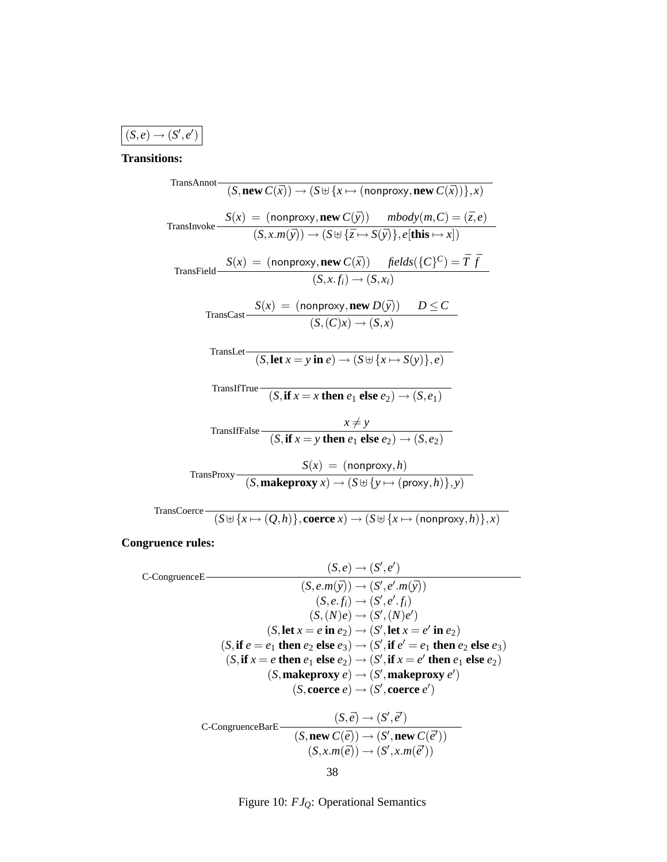$$
(S,e)\rightarrow (S',e')
$$

# **Transitions:**

TransAnnot 
$$
\frac{(\mathbf{S}, \mathbf{new} \ C(\bar{\mathbf{x}})) \rightarrow (\mathbf{S} \oplus \{x \mapsto (\mathbf{nonprovy}, \mathbf{new} \ C(\bar{\mathbf{x}}))\}, x)}{(\mathbf{S}, x.m(\bar{\mathbf{y}})) \rightarrow (\mathbf{S} \oplus \{\bar{z} \mapsto \mathbf{S}(\bar{\mathbf{y}})\}, e[\mathbf{this} \mapsto x])}
$$
\nTrans Invoke 
$$
\frac{S(x) = (\mathbf{nonprovy}, \mathbf{new} \ C(\bar{\mathbf{y}})) \mod p(\mathbf{m}, \mathbf{C}) = (\bar{z}, e)}{(\mathbf{S}, x.m(\bar{\mathbf{y}})) \rightarrow (\mathbf{S} \oplus \{\bar{z} \mapsto \mathbf{S}(\bar{\mathbf{y}})\}, e[\mathbf{this} \mapsto x])}
$$
\nTransField 
$$
\frac{S(x) = (\mathbf{nonprovy}, \mathbf{new} \ C(\bar{x})) \quad \text{fields}(\{C\}^C) = \bar{T} \bar{f}}{(\mathbf{S}, x.f_i) \rightarrow (\mathbf{S}, x_i)}
$$
\nTransCat 
$$
\frac{S(x) = (\mathbf{nonprovy}, \mathbf{new} \ D(\bar{\mathbf{y}})) \quad D \leq C}{(\mathbf{S}, (\mathbf{C})x) \rightarrow (\mathbf{S}, x)}
$$
\nTransCat 
$$
\frac{(\mathbf{S}, \mathbf{let} \ x = y \ \mathbf{in} \ e) \rightarrow (\mathbf{S} \oplus \{x \mapsto \mathbf{S}(y)\}, e)}{(\mathbf{S}, \mathbf{let} \ x = x \ \mathbf{then} \ e_1 \ \mathbf{else} \ e_2) \rightarrow (\mathbf{S}, e_1)}
$$
\nTransHFalse 
$$
\frac{x \neq y}{(\mathbf{S}, \mathbf{if} \ x = y \ \mathbf{then} \ e_1 \ \mathbf{else} \ e_2) \rightarrow (\mathbf{S}, e_2)}
$$
\nTransProxy 
$$
\frac{S(x) = (\mathbf{nonprovy}, h)}{(\mathbf{S}, \mathbf{makeproxy} \ x) \rightarrow (\mathbf{S} \oplus \{y \mapsto (\mathbf{proxy}, h)\}, y)}
$$

TransCoerce  $\frac{f(x) + f(x) + f(x)}{f(x) + f(x)}$ , **coerce**  $x$ )  $\rightarrow$   $(S \cup \{x \mapsto (nonproxy, h)\}, x)$ 

# **Congruence rules:**

C-CongruenceE  
\n
$$
(S, e) \rightarrow (S', e')
$$
\n
$$
(S, e.m(\bar{y})) \rightarrow (S', e'.m(\bar{y}))
$$
\n
$$
(S, e.f_i) \rightarrow (S', e'.f_i)
$$
\n
$$
(S, (N)e) \rightarrow (S', (N)e')
$$
\n
$$
(S, \text{let } x = e \text{ in } e_2) \rightarrow (S', \text{let } x = e' \text{ in } e_2)
$$
\n
$$
(S, \text{if } e = e_1 \text{ then } e_2 \text{ else } e_3) \rightarrow (S', \text{if } e' = e_1 \text{ then } e_2 \text{ else } e_3)
$$
\n
$$
(S, \text{if } x = e \text{ then } e_1 \text{ else } e_2) \rightarrow (S', \text{if } x = e' \text{ then } e_1 \text{ else } e_2)
$$
\n
$$
(S, \text{makeproxy } e) \rightarrow (S', \text{makeproxy } e')
$$
\n
$$
(S, \text{coerce } e) \rightarrow (S', \text{coerce } e')
$$
\n
$$
(S, \bar{e}) \rightarrow (S', \bar{e}')
$$
\n
$$
(S, \text{new } C(\bar{e})) \rightarrow (S', \text{new } C(\bar{e}'))
$$
\n
$$
(S, x.m(\bar{e})) \rightarrow (S', x.m(\bar{e}'))
$$

Figure 10: *FJQ*: Operational Semantics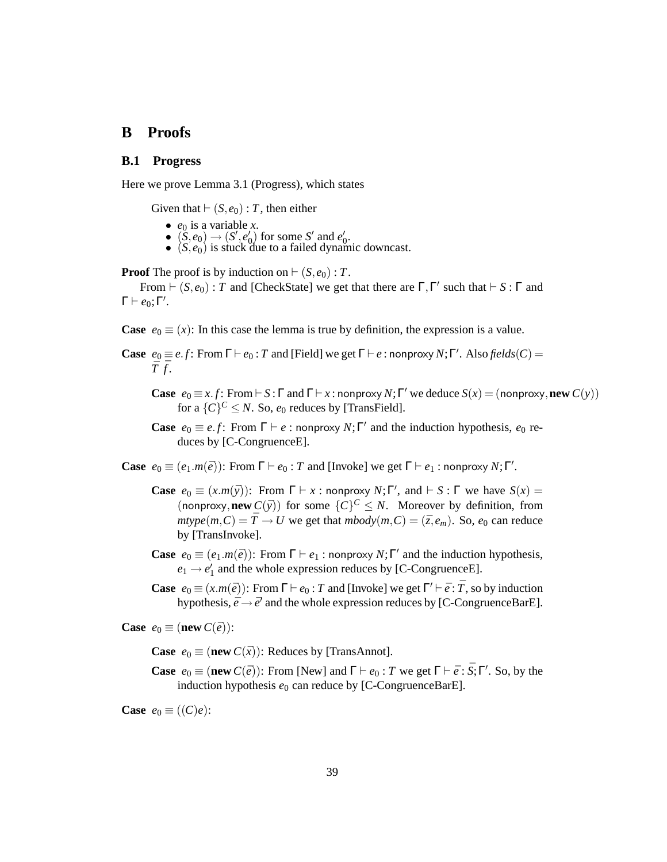## **B Proofs**

### **B.1 Progress**

Here we prove Lemma 3.1 (Progress), which states

Given that  $\vdash (S, e_0) : T$ , then either

- $\bullet$  *e*<sub>0</sub> is a variable *x*.
- $(S, e_0) \rightarrow (S', e'_0)$  for some *S'* and  $e'_0$ .
- $(S, e_0)$  is stuck due to a failed dynamic downcast.

**Proof** The proof is by induction on  $\vdash (S, e_0) : T$ .

From  $\vdash (S, e_0)$ : *T* and [CheckState] we get that there are  $\Gamma, \Gamma'$  such that  $\vdash S : \Gamma$  and  $Γ ⊢ e_0; Γ'.$ 

**Case**  $e_0 \equiv (x)$ : In this case the lemma is true by definition, the expression is a value.

- **Case**  $e_0 \equiv e.f$ : From  $\Gamma \vdash e_0$ : *T* and [Field] we get  $\Gamma \vdash e$ : nonproxy *N*; Γ'. Also *fields*(*C*) =  $\bar{T}$ *f* .
	- **Case**  $e_0 \equiv x.f$ : From  $\vdash$  *S* :  $\Gamma$  and  $\Gamma \vdash x$  : nonproxy  $N$ ;  $\Gamma'$  we deduce  $S(x) = ($ nonproxy, **new**  $C(y)$ ) for a  $\{C\}^C \leq N$ . So,  $e_0$  reduces by [TransField].
	- **Case**  $e_0 \equiv e.f$ : From  $\Gamma \vdash e$  : nonproxy  $N; \Gamma'$  and the induction hypothesis,  $e_0$  reduces by [C-CongruenceE].
- **Case**  $e_0 \equiv (e_1.m(\bar{e}))$ : From  $\Gamma \vdash e_0$ : *T* and [Invoke] we get  $\Gamma \vdash e_1$ : nonproxy *N*; Γ'.
	- **Case**  $e_0 \equiv (x.m(\bar{y}))$ : From  $\Gamma \vdash x$ : nonproxy  $N; \Gamma'$ , and  $\vdash S : \Gamma$  we have  $S(x) =$ (nonproxy, new  $C(\bar{y})$ ) for some  $\{C\}^C \leq N$ . Moreover by definition, from  $mtype(m, C) = \overline{T} \rightarrow U$  we get that  $mbody(m, C) = (\overline{z}, e_m)$ . So,  $e_0$  can reduce by [TransInvoke].
	- **Case**  $e_0 \equiv (e_1.m(\bar{e}))$ : From  $\Gamma \vdash e_1$ : nonproxy  $N; \Gamma'$  and the induction hypothesis,  $e_1 \rightarrow e'_1$  and the whole expression reduces by [C-CongruenceE].
	- **Case**  $e_0 \equiv (x.m(\bar{e}))$ : From  $\Gamma \vdash e_0$ : *T* and [Invoke] we get  $\Gamma' \vdash \bar{e}$ :  $\bar{T}$ , so by induction hypothesis,  $\bar{e} \rightarrow \bar{e}'$  and the whole expression reduces by [C-CongruenceBarE].

**Case**  $e_0 \equiv (\textbf{new } C(\bar{e}))$ :

**Case**  $e_0 \equiv (\textbf{new } C(\bar{x}))$ : Reduces by [TransAnnot].

**Case**  $e_0 \equiv (\textbf{new } C(\bar{e}))$ : From [New] and  $\Gamma \vdash e_0$ : *T* we get  $\Gamma \vdash \bar{e}$ :  $\bar{S}$ ; Γ'. So, by the induction hypothesis  $e_0$  can reduce by [C-CongruenceBarE].

**Case**  $e_0 \equiv ((C)e)$ :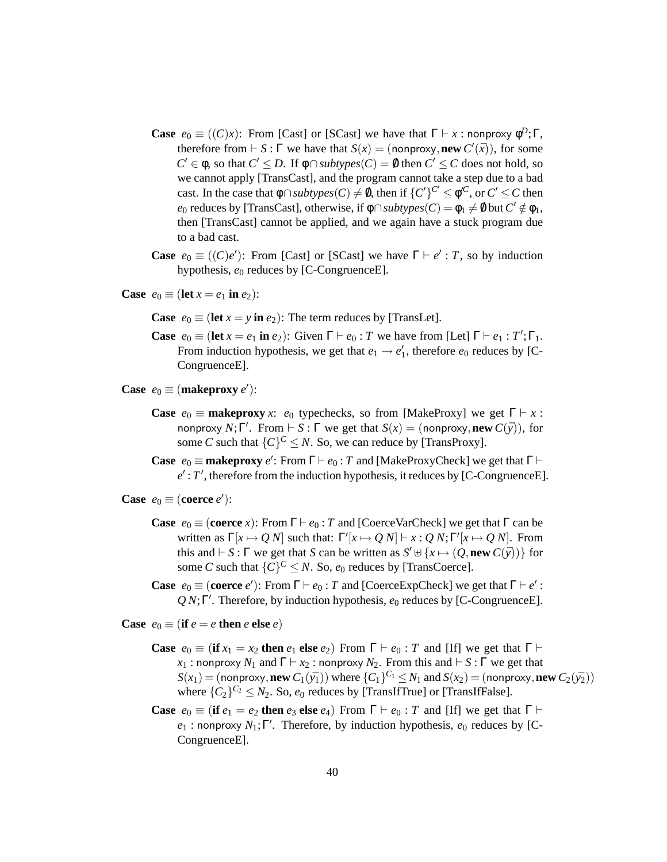- **Case**  $e_0 \equiv ((C)x)$ : From [Cast] or [SCast] we have that  $\Gamma \vdash x$  : nonproxy  $\phi^D$ ; Γ, therefore from  $\vdash S : \Gamma$  we have that  $S(x) = (nonproxy, new C'(\bar{x}))$ , for some  $C' \in \Phi$ , so that  $C' \leq D$ . If  $\phi \cap \textit{subtypes}(C) = \emptyset$  then  $C' \leq C$  does not hold, so we cannot apply [TransCast], and the program cannot take a step due to a bad cast. In the case that  $\phi \cap \textit{subtypes}(C) \neq \emptyset$ , then if  $\{C'\}^{C'} \leq \phi'^C$ , or  $C' \leq C$  then *e*<sub>0</sub> reduces by [TransCast], otherwise, if  $\phi \cap *subtypes*(C) = \phi_1 \neq \emptyset$  but  $C' \notin \phi_1$ , then [TransCast] cannot be applied, and we again have a stuck program due to a bad cast.
- **Case**  $e_0 \equiv ((C)e')$ : From [Cast] or [SCast] we have  $\Gamma \vdash e' : T$ , so by induction hypothesis,  $e_0$  reduces by [C-CongruenceE].

Case 
$$
e_0 \equiv (\text{let } x = e_1 \text{ in } e_2)
$$
:

**Case**  $e_0 \equiv (\text{let } x = y \text{ in } e_2)$ : The term reduces by [TransLet].

**Case**  $e_0 \equiv (\text{let } x = e_1 \text{ in } e_2)$ : Given  $\Gamma \vdash e_0 : T$  we have from [Let]  $\Gamma \vdash e_1 : T'; \Gamma_1$ . From induction hypothesis, we get that  $e_1 \rightarrow e'_1$ , therefore  $e_0$  reduces by [C-CongruenceE].

**Case**  $e_0 \equiv (\text{makeproxy } e')$ :

- **Case**  $e_0 \equiv$  **makeproxy** *x*:  $e_0$  typechecks, so from [MakeProxy] we get  $\Gamma \vdash x$ : nonproxy *N*; Γ'. From  $\vdash S : \Gamma$  we get that  $S(x) = (\text{nonprovy}, \text{new } C(\bar{y}))$ , for some *C* such that  $\{C\}^C \leq N$ . So, we can reduce by [TransProxy].
- **Case**  $e_0 \equiv$  **makeproxy**  $e'$ : From  $\Gamma \vdash e_0$ : *T* and [MakeProxyCheck] we get that  $\Gamma \vdash$  $e'$ :  $T'$ , therefore from the induction hypothesis, it reduces by [C-CongruenceE].

**Case**  $e_0 \equiv (\text{coerce } e')$ :

- **Case**  $e_0 \equiv (\text{coerce } x)$ : From  $\Gamma \vdash e_0$ : *T* and [CoerceVarCheck] we get that  $\Gamma$  can be written as  $\Gamma[x \mapsto Q]$  such that:  $\Gamma'[x \mapsto Q] \mapsto Q[X] \vdash x : Q[X] \cdot \Gamma'[x \mapsto Q]$ . From this and  $\vdash S : \Gamma$  we get that *S* can be written as  $S' \uplus \{x \mapsto (Q, \text{new } C(\bar{y}))\}$  for some *C* such that  $\{C\}^C \leq N$ . So,  $e_0$  reduces by [TransCoerce].
- **Case**  $e_0 \equiv (\text{coerce } e')$ : From  $\Gamma \vdash e_0$ : *T* and [CoerceExpCheck] we get that  $\Gamma \vdash e'$ : *Q N*;Γ 0 . Therefore, by induction hypothesis, *e*<sup>0</sup> reduces by [C-CongruenceE].

**Case**  $e_0 \equiv (\textbf{if } e = e \textbf{ then } e \textbf{ else } e)$ 

- **Case**  $e_0 \equiv (\textbf{if } x_1 = x_2 \textbf{ then } e_1 \textbf{ else } e_2)$  From  $\Gamma \vdash e_0 : T$  and [If] we get that  $\Gamma \vdash$ *x*<sub>1</sub> : nonproxy *N*<sub>1</sub> and  $\Gamma \vdash x_2$  : nonproxy *N*<sub>2</sub>. From this and  $\vdash S : \Gamma$  we get that  $S(x_1) = ($  nonproxy, **new**  $C_1(\bar{y_1})$  where  $\{C_1\}^{C_1} \leq N_1$  and  $S(x_2) = ($  nonproxy, **new**  $C_2(\bar{y_2})$ ) where  $\{C_2\}^{C_2} \leq N_2$ . So,  $e_0$  reduces by [TransIfTrue] or [TransIfFalse].
- **Case**  $e_0 \equiv (\textbf{if } e_1 = e_2 \textbf{ then } e_3 \textbf{ else } e_4)$  From  $\Gamma \vdash e_0 : T$  and [If] we get that  $\Gamma \vdash$  $e_1$ : nonproxy  $N_1$ ; Γ'. Therefore, by induction hypothesis,  $e_0$  reduces by [C-CongruenceE].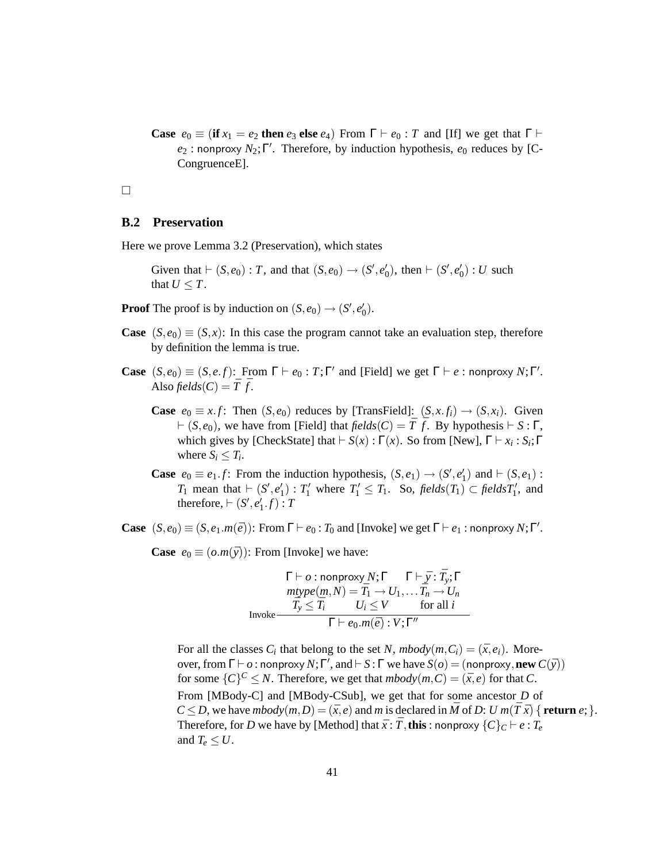**Case**  $e_0 \equiv (\textbf{if } x_1 = e_2 \textbf{ then } e_3 \textbf{ else } e_4)$  From  $\Gamma \vdash e_0 : T$  and [If] we get that  $\Gamma \vdash$  $e_2$ : nonproxy  $N_2$ ; Γ'. Therefore, by induction hypothesis,  $e_0$  reduces by [C-CongruenceE].

 $\Box$ 

### **B.2 Preservation**

Here we prove Lemma 3.2 (Preservation), which states

Given that  $\vdash (S, e_0) : T$ , and that  $(S, e_0) \to (S', e'_0)$ , then  $\vdash (S', e'_0) : U$  such that  $U \leq T$ .

**Proof** The proof is by induction on  $(S, e_0) \rightarrow (S', e'_0)$ .

- **Case**  $(S, e_0) \equiv (S, x)$ : In this case the program cannot take an evaluation step, therefore by definition the lemma is true.
- **Case**  $(S, e_0) \equiv (S, e, f)$ : From  $\Gamma \vdash e_0 : T; \Gamma'$  and [Field] we get  $\Gamma \vdash e$  : nonproxy  $N; \Gamma'$ . Also *fields*( $C$ ) =  $\overline{T}$   $\overline{f}$ .
	- **Case**  $e_0 \equiv x.f$ : Then  $(S, e_0)$  reduces by [TransField]:  $(S, x.f) \rightarrow (S, x_i)$ . Given  $\vdash (S, e_0)$ , we have from [Field] that *fields*(*C*) =  $\overline{T}$   $\overline{f}$ . By hypothesis  $\vdash S : \Gamma$ , which gives by [CheckState] that  $\vdash S(x)$ :  $\Gamma(x)$ . So from [New],  $\Gamma \vdash x_i : S_i; \Gamma$ where  $S_i \leq T_i$ .
	- **Case**  $e_0 \equiv e_1.f$ : From the induction hypothesis,  $(S, e_1) \rightarrow (S', e'_1)$  and  $\vdash (S, e_1)$ : *T*<sub>1</sub> mean that  $\vdash (S', e'_1) : T'_1$  where  $T'_1 \leq T_1$ . So, *fields*(*T*<sub>1</sub>)  $\subset$  *fieldsT*<sub>1</sub><sup>'</sup>, and therefore,  $\vdash (S', e'_1.f) : T$

**Case**  $(S, e_0) \equiv (S, e_1.m(\bar{e}))$ : From  $\Gamma \vdash e_0 : T_0$  and [Invoke] we get  $\Gamma \vdash e_1 :$  nonproxy  $N; \Gamma'$ .

**Case**  $e_0 \equiv (o.m(\bar{y}))$ : From [Invoke] we have:

$$
\Gamma \vdash o : \text{nonproxy } N; \Gamma \qquad \Gamma \vdash \bar{y} : \bar{T}_y; \Gamma
$$
\n
$$
\text{mtype}(m, N) = \bar{T}_1 \rightarrow U_1, \dots \bar{T}_n \rightarrow U_n
$$
\n
$$
\bar{T}_y \le \bar{T}_i \qquad U_i \le V \qquad \text{for all } i
$$
\n
$$
\Gamma \vdash e_0 \text{.} m(\bar{e}) : V; \Gamma''
$$

For all the classes  $C_i$  that belong to the set *N*,  $mbody(m, C_i) = (\bar{x}, e_i)$ . Moreover, from  $\Gamma \vdash o :$  nonproxy  $N; \Gamma'$ , and  $\vdash S : \Gamma$  we have  $S(o) = ($  nonproxy, **new**  $C(\bar{y})$ ) for some  $\{C\}^C \leq N$ . Therefore, we get that  $mbody(m, C) = (\bar{x}, e)$  for that *C*. From [MBody-C] and [MBody-CSub], we get that for some ancestor *D* of  $C \leq D$ , we have  $mbody(m, D) = (\bar{x}, e)$  and *m* is declared in  $\bar{M}$  of *D*: *U*  $m(\bar{T}\bar{x})$  { **return**  $e$ ; }. Therefore, for *D* we have by [Method] that  $\bar{x}$  :  $\bar{T}$ , this : nonproxy  $\{C\}_C \vdash e$  :  $T_e$ and  $T_e \leq U$ .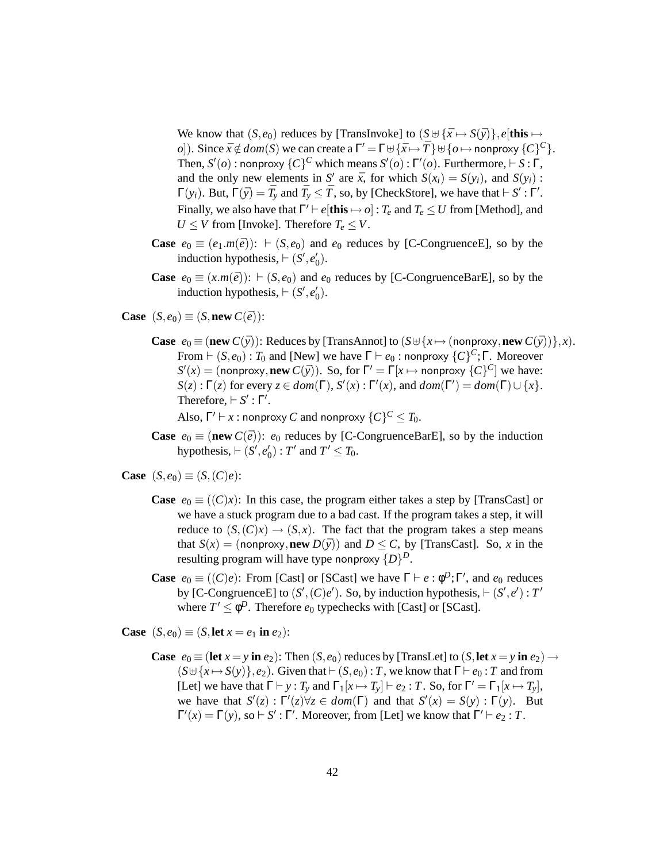We know that  $(S, e_0)$  reduces by [TransInvoke] to  $(S \oplus {\bar{x}} \mapsto S({\bar{y}}), e]$  this  $\mapsto$ *o*]). Since  $\bar{x} \notin dom(S)$  we can create a  $\Gamma' = \Gamma \cup {\bar{x} \mapsto \bar{T}} \cup {\sigma \mapsto nonprox}_{S'} C^C$ . Then,  $S'(o)$ : nonproxy  $\{C\}^C$  which means  $S'(o): \Gamma'(o)$ . Furthermore,  $\vdash S: \Gamma$ , and the only new elements in *S'* are  $\bar{x}$ , for which  $S(x_i) = S(y_i)$ , and  $S(y_i)$ :  $\Gamma(y_i)$ . But,  $\Gamma(\bar{y}) = \bar{T}_y$  and  $\bar{T}_y \le \bar{T}$ , so, by [CheckStore], we have that  $\vdash S' : \Gamma'$ . Finally, we also have that  $\Gamma' \vdash e[\textbf{this} \mapsto o]: T_e$  and  $T_e \leq U$  from [Method], and *U*  $\leq$  *V* from [Invoke]. Therefore  $T_e \leq V$ .

- **Case**  $e_0 \equiv (e_1.m(\bar{e}))$ :  $\vdash (S,e_0)$  and  $e_0$  reduces by [C-CongruenceE], so by the induction hypothesis,  $\vdash (S', e'_0)$ .
- **Case**  $e_0 \equiv (x.m(\bar{e}))$ :  $\vdash (S, e_0)$  and  $e_0$  reduces by [C-CongruenceBarE], so by the induction hypothesis,  $\vdash (S', e'_0)$ .

**Case**  $(S, e_0) \equiv (S, \textbf{new } C(\bar{e}))$ :

**Case**  $e_0 \equiv (\textbf{new } C(\bar{y}))$ : Reduces by [TransAnnot] to  $(S \cup \{x \mapsto (\text{nonprov}, \textbf{new } C(\bar{y}))\}, x)$ . From  $\vdash (S, e_0) : T_0$  and [New] we have  $\Gamma \vdash e_0 :$  nonproxy  $\{C\}^C; \Gamma$ . Moreover  $S'(x) = (\text{nonproxy}, \text{new } C(\bar{y}))$ . So, for  $\Gamma' = \Gamma[x \mapsto \text{nonproxy } C(Y^c)]$  we have:  $S(z): \Gamma(z)$  for every  $z \in dom(\Gamma), S'(x): \Gamma'(x)$ , and  $dom(\Gamma') = dom(\Gamma) \cup \{x\}.$ Therefore,  $\vdash S' : \Gamma'$ .

Also,  $\Gamma' \vdash x$  : nonproxy  $C$  and nonproxy  $\{C\}^C \leq T_0.$ 

**Case**  $e_0 \equiv (\textbf{new } C(\bar{e}))$ :  $e_0$  reduces by [C-CongruenceBarE], so by the induction hypothesis,  $\vdash (S', e'_{0}) : T'$  and  $T' \leq T_{0}$ .

**Case**  $(S, e_0) \equiv (S, (C)e)$ :

- **Case**  $e_0 \equiv ((C)x)$ : In this case, the program either takes a step by [TransCast] or we have a stuck program due to a bad cast. If the program takes a step, it will reduce to  $(S,(C)x) \rightarrow (S,x)$ . The fact that the program takes a step means that  $S(x) = (nonproxv, new D(\bar{y}))$  and  $D \leq C$ , by [TransCast]. So, *x* in the resulting program will have type nonproxy {*D*} *D*.
- **Case**  $e_0 \equiv ((C)e)$ : From [Cast] or [SCast] we have  $\Gamma \vdash e : \phi^D; \Gamma'$ , and  $e_0$  reduces by [C-CongruenceE] to  $(S', (C)e')$ . So, by induction hypothesis,  $\vdash (S', e') : T'$ where  $T' \leq \phi^D$ . Therefore  $e_0$  typechecks with [Cast] or [SCast].

**Case**  $(S, e_0) \equiv (S, \text{let } x = e_1 \text{ in } e_2)$ :

**Case**  $e_0 \equiv (\text{let } x = y \text{ in } e_2)$ : Then  $(S, e_0)$  reduces by [TransLet] to  $(S, \text{let } x = y \text{ in } e_2) \rightarrow$  $(S \cup \{x \mapsto S(y)\}, e_2)$ . Given that  $\vdash (S, e_0) : T$ , we know that  $\Gamma \vdash e_0 : T$  and from [Let] we have that  $\Gamma \vdash y : T_y$  and  $\Gamma_1[x \mapsto T_y] \vdash e_2 : T$ . So, for  $\Gamma' = \Gamma_1[x \mapsto T_y]$ , we have that  $S'(z)$ :  $\Gamma'(z) \forall z \in dom(\Gamma)$  and that  $S'(x) = S(y)$ :  $\Gamma(y)$ . But  $\Gamma'(x) = \Gamma(y)$ , so  $\vdash S'$ : Γ'. Moreover, from [Let] we know that  $\Gamma' \vdash e_2 : T$ .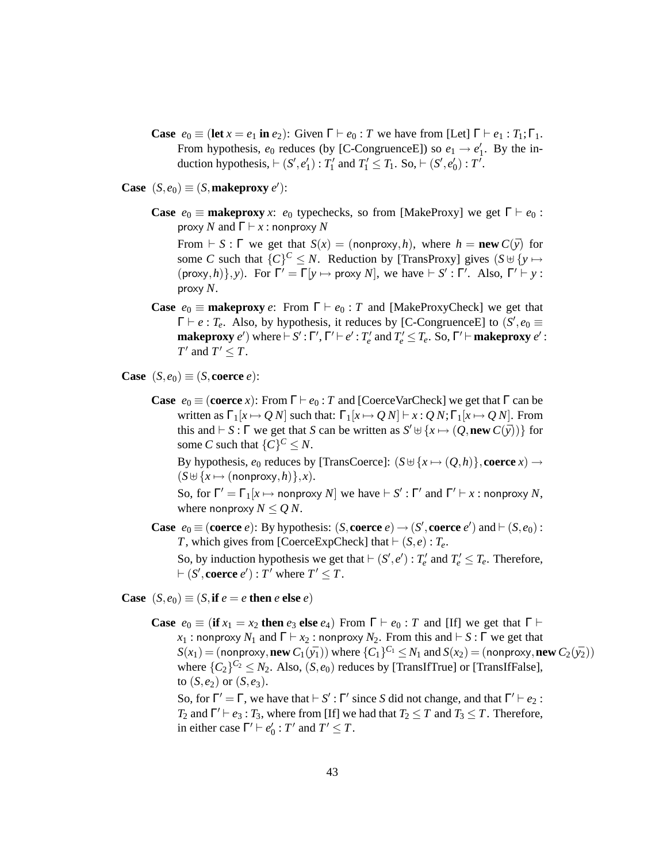- **Case**  $e_0 \equiv (\text{let } x = e_1 \text{ in } e_2)$ : Given  $\Gamma \vdash e_0 : T$  we have from [Let]  $\Gamma \vdash e_1 : T_1; \Gamma_1$ . From hypothesis,  $e_0$  reduces (by [C-CongruenceE]) so  $e_1 \rightarrow e'_1$ . By the induction hypothesis,  $\vdash (S', e'_1) : T'_1$  and  $T'_1 \leq T_1$ . So,  $\vdash (S', e'_0) : T'$ .
- **Case**  $(S, e_0) \equiv (S, \text{makeprox } e')$ :
	- **Case**  $e_0 \equiv \textbf{makeproxy } x$ :  $e_0$  typechecks, so from [MakeProxy] we get  $\Gamma \vdash e_0$ : proxy *N* and  $\Gamma \vdash x :$  nonproxy *N*

From  $\vdash S : \Gamma$  we get that  $S(x) = (nonproxy, h)$ , where  $h = new C(\bar{y})$  for some *C* such that  ${C}^C \leq N$ . Reduction by [TransProxy] gives  $(S \cup \{y \mapsto y\})$  $(prows, h)$ , *y*). For  $\Gamma' = \Gamma[y \mapsto proxy N]$ , we have  $\vdash S' : \Gamma'$ . Also,  $\Gamma' \vdash y$ : proxy *N*.

**Case**  $e_0 \equiv$  **makeproxy** *e*: From  $\Gamma \vdash e_0 : T$  and [MakeProxyCheck] we get that  $\Gamma \vdash e : T_e$ . Also, by hypothesis, it reduces by [C-CongruenceE] to  $(S', e_0 \equiv$ **makeproxy**  $e'$ ) where  $\vdash S'$  :  $\Gamma', \Gamma' \vdash e'$  :  $T'_e$  and  $T'_e \leq T_e$ . So,  $\Gamma' \vdash$  **makeproxy**  $e'$  : *T*<sup> $\prime$ </sup> and *T*<sup> $\prime$ </sup>  $\leq$  *T*.

**Case**  $(S, e_0) \equiv (S, \text{coerce } e)$ :

**Case**  $e_0 \equiv (\text{coerce } x)$ : From  $\Gamma \vdash e_0$ : *T* and [CoerceVarCheck] we get that  $\Gamma$  can be written as  $\Gamma_1[x \mapsto Q N]$  such that:  $\Gamma_1[x \mapsto Q N] \vdash x : Q N; \Gamma_1[x \mapsto Q N]$ . From this and  $\vdash S : \Gamma$  we get that *S* can be written as  $S' \uplus \{x \mapsto (Q, \text{new } C(\bar{y}))\}$  for some *C* such that  $\{C\}^C \leq N$ .

By hypothesis,  $e_0$  reduces by [TransCoerce]:  $(S \cup \{x \mapsto (Q, h)\})$ , **coerce**  $x) \rightarrow$  $(S \cup \{x \mapsto (\text{nonproxy}, h)\}, x)$ .

So, for  $\Gamma' = \Gamma_1[x \mapsto \text{nonproxy } N]$  we have  $\vdash S' : \Gamma'$  and  $\Gamma' \vdash x : \text{nonproxy } N$ , where nonproxy  $N \leq Q N$ .

**Case**  $e_0 \equiv (\text{coerce } e)$ : By hypothesis:  $(S, \text{coerce } e) \rightarrow (S', \text{coerce } e')$  and  $\vdash (S, e_0)$ : *T*, which gives from [CoerceExpCheck] that  $\vdash (S, e) : T_e$ . So, by induction hypothesis we get that  $\vdash (S', e') : T'_{e}$  and  $T'_{e} \leq T_{e}$ . Therefore,  $\vdash$  (*S'*, coerce *e'*) : *T'* where  $T' \leq T$ .

**Case**  $(S, e_0) \equiv (S, \textbf{if } e = e \textbf{ then } e \textbf{ else } e)$ 

**Case**  $e_0 \equiv (\textbf{if } x_1 = x_2 \textbf{ then } e_3 \textbf{ else } e_4)$  From  $\Gamma \vdash e_0 : T$  and [If] we get that  $\Gamma \vdash$ *x*<sub>1</sub> : nonproxy *N*<sub>1</sub> and  $\Gamma \vdash x_2$  : nonproxy *N*<sub>2</sub>. From this and  $\vdash S : \Gamma$  we get that  $S(x_1) = ($  nonproxy, **new**  $C_1(\bar{y_1})$  where  $\{C_1\}^{C_1} \leq N_1$  and  $S(x_2) = ($  nonproxy, **new**  $C_2(\bar{y_2})$ ) where  $\{C_2\}^{C_2} \leq N_2$ . Also,  $(S, e_0)$  reduces by [TransIfTrue] or [TransIfFalse], to  $(S, e_2)$  or  $(S, e_3)$ .

So, for  $\Gamma' = \Gamma$ , we have that  $\vdash S' : \Gamma'$  since *S* did not change, and that  $\Gamma' \vdash e_2$ : *T*<sub>2</sub> and  $\Gamma' \vdash e_3 : T_3$ , where from [If] we had that  $T_2 \leq T$  and  $T_3 \leq T$ . Therefore, in either case  $\Gamma' \vdash e'_0 : T'$  and  $T' \leq T$ .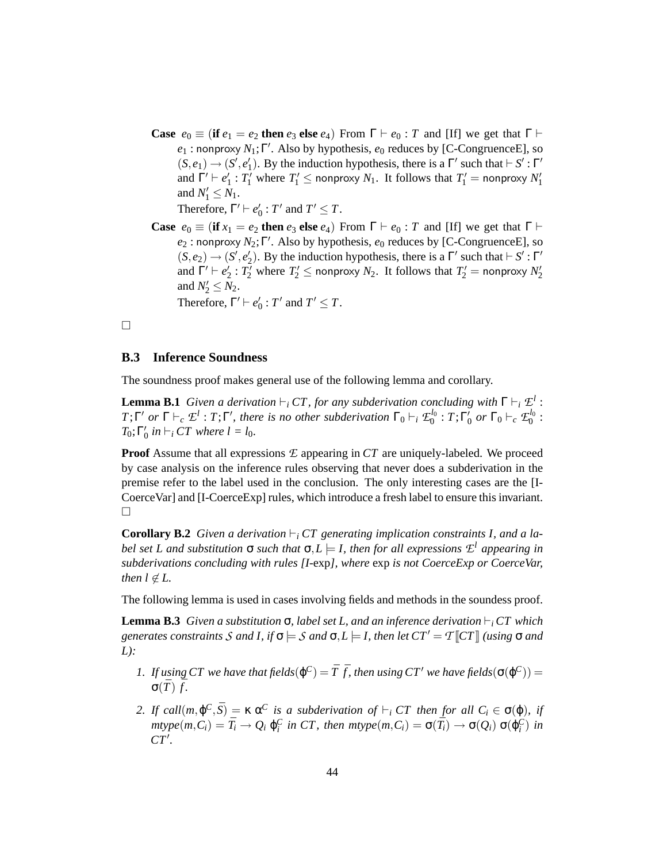**Case**  $e_0 \equiv (\textbf{if } e_1 = e_2 \textbf{ then } e_3 \textbf{ else } e_4)$  From  $\Gamma \vdash e_0 : T$  and [If] we get that  $\Gamma \vdash$  $e_1$ : nonproxy  $N_1$ ; Γ'. Also by hypothesis,  $e_0$  reduces by [C-CongruenceE], so  $(S, e_1) \rightarrow (S', e'_1)$ . By the induction hypothesis, there is a  $\Gamma'$  such that  $\vdash S' : \Gamma'$ and  $\Gamma' \vdash e'_1 : T'_1$  where  $T'_1 \le$  nonproxy  $N_1$ . It follows that  $T'_1 =$  nonproxy  $N'_1$ and  $N'_1 \leq N_1$ .

Therefore,  $\Gamma' \vdash e'_0 : T'$  and  $T' \leq T$ .

**Case**  $e_0 \equiv (\textbf{if } x_1 = e_2 \textbf{ then } e_3 \textbf{ else } e_4)$  From  $\Gamma \vdash e_0 : T$  and [If] we get that  $\Gamma \vdash$ *e*<sup>2</sup> : nonproxy *N*2;Γ 0 . Also by hypothesis, *e*<sup>0</sup> reduces by [C-CongruenceE], so  $(S, e_2) \rightarrow (S', e'_2)$ . By the induction hypothesis, there is a  $\Gamma'$  such that  $\vdash S' : \Gamma'$ and  $\Gamma' \vdash e'_2 : T'_2$  where  $T'_2 \le$  nonproxy  $N_2$ . It follows that  $T'_2$  = nonproxy  $N'_2$ and  $N'_2 \leq N_2$ .

Therefore,  $\Gamma' \vdash e'_{0} : T'$  and  $T' \leq T$ .

#### **B.3 Inference Soundness**

The soundness proof makes general use of the following lemma and corollary.

**Lemma B.1** *Given a derivation*  $\vdash_i$  *CT*, *for any subderivation concluding with*  $\Gamma \vdash_i \mathcal{L}^l$ :  $T; \Gamma'$  or  $\Gamma \vdash_c \mathcal{L}^l : T; \Gamma'$ , there is no other subderivation  $\Gamma_0 \vdash_i \mathcal{L}_0^{l_0} : T; \Gamma'_0$  or  $\Gamma_0 \vdash_c \mathcal{L}_0^{l_0}$ :  $T_0$ ;  $\Gamma'_0$  *in*  $\vdash_i CT$  *where l* = *l*<sub>0</sub>*.* 

**Proof** Assume that all expressions *E* appearing in *CT* are uniquely-labeled. We proceed by case analysis on the inference rules observing that never does a subderivation in the premise refer to the label used in the conclusion. The only interesting cases are the [I-CoerceVar] and [I-CoerceExp] rules, which introduce a fresh label to ensure this invariant.  $\Box$ 

**Corollary B.2** *Given a derivation*  $\vdash_i CT$  generating implication constraints I, and a la*bel set L and substitution* σ *such that* σ,*L* |= *I, then for all expressions E <sup>l</sup> appearing in subderivations concluding with rules [I-*exp*], where* exp *is not CoerceExp or CoerceVar, then*  $l \notin L$ .

The following lemma is used in cases involving fields and methods in the soundess proof.

**Lemma B.3** *Given a substitution*  $\sigma$ *, label set L, and an inference derivation*  $\vdash$ *<sub>i</sub>CT which generates constraints S and I*, *if*  $\sigma \models S$  *and*  $\sigma$ ,  $L \models I$ , *then let*  $CT' = T[[CT]]$  *(using*  $\sigma$  *and L):*

- *1.* If using CT we have that fields $(\varphi^C) = \overline{T} \bar{f}$ , then using CT' we have fields $(\sigma(\varphi^C))$  = σ $(Γ)$   $\bar{f}$ .
- 2. If call $(m, \varphi^C, \bar{S}) = \kappa \ \alpha^C$  *is a subderivation of*  $\vdash_i CT$  *then for all*  $C_i \in \sigma(\varphi)$ *, if*  $\textit{mtype}(m, C_i) = \overline{T}_i \rightarrow Q_i \; \varphi_i^C \; \textit{in CT}, \; \textit{then } \textit{mtype}(m, C_i) = \sigma(\overline{T}_i) \rightarrow \sigma(Q_i) \; \sigma(\varphi_i^C) \; \textit{in}$  $CT^{\prime}$ .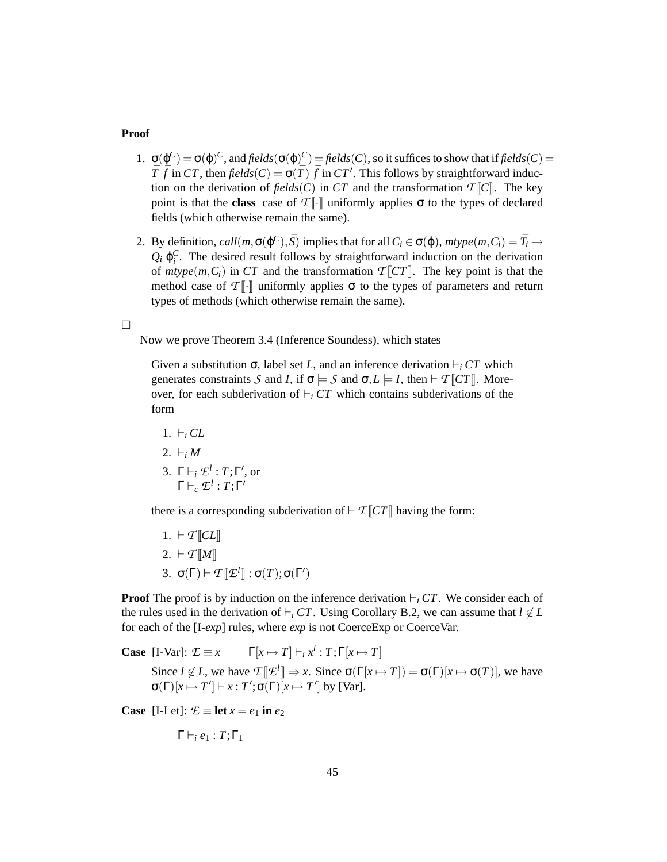### **Proof**

- 1.  $\sigma(\varphi^C) = \sigma(\varphi)^C$ , and *fields*( $\sigma(\varphi)^C$ ) = *fields*(*C*), so it suffices to show that if *fields*(*C*) =  $\overline{T}$   $\overline{f}$  in *CT*, then  $\text{fields}(C) = \sigma(\overline{T})$   $\overline{f}$  in *CT'*. This follows by straightforward induction on the derivation of  $\frac{fields(C)}{C}$  in *CT* and the transformation  $T[[C]]$ . The key point is that the **class** case of  $T[\cdot]$  uniformly applies  $\sigma$  to the types of declared fields (which otherwise remain the same).
- 2. By definition,  $call(m, \sigma(\varphi^C), \bar{S})$  implies that for all  $C_i \in \sigma(\varphi)$ ,  $mtype(m, C_i) = \bar{T}_i \rightarrow$  $Q_i \varphi_i^C$ . The desired result follows by straightforward induction on the derivation of  $mtype(m, C_i)$  in CT and the transformation  $T$ [CT]. The key point is that the method case of  $\mathcal{T}[\cdot]$  uniformly applies  $\sigma$  to the types of parameters and return types of methods (which otherwise remain the same).

 $\Box$ 

Now we prove Theorem 3.4 (Inference Soundess), which states

Given a substitution  $\sigma$ , label set *L*, and an inference derivation  $\vdash_i CT$  which generates constraints *S* and *I*, if  $\sigma \models S$  and  $\sigma, L \models I$ , then  $\vdash T \llbracket CT \rrbracket$ . Moreover, for each subderivation of  $\vdash_i CT$  which contains subderivations of the form

1.  $\vdash_i CL$ 2.  $\vdash_i M$ 3.  $\Gamma \vdash_i \mathcal{L}^l : T; \Gamma', \text{or}$  $\Gamma \vdash_c \mathcal{L}^l : T; \Gamma'$ 

there is a corresponding subderivation of  $\vdash \mathcal{T}$   $\mathcal{T}$  having the form:

1. 
$$
\vdash \mathcal{T}[[CL]]
$$
  
\n2.  $\vdash \mathcal{T}[[M]]$   
\n3.  $\sigma(\Gamma) \vdash \mathcal{T}[[\mathcal{L}^l]] : \sigma(T); \sigma(\Gamma^{\prime})$ 

**Proof** The proof is by induction on the inference derivation  $\vdash_i CT$ . We consider each of the rules used in the derivation of  $\vdash_i$  *CT*. Using Corollary B.2, we can assume that  $l \notin L$ for each of the [I-*exp*] rules, where *exp* is not CoerceExp or CoerceVar.

**Case**  $[I-Var]$ :  $E \equiv x$  $l: T; \Gamma[x \mapsto T]$ Since  $l \notin L$ , we have  $T[\mathcal{I}^l] \Rightarrow x$ . Since  $\sigma(\Gamma[x \mapsto T]) = \sigma(\Gamma)[x \mapsto \sigma(T)]$ , we have  $\sigma(\Gamma)[x \mapsto T'] \vdash x : T'; \sigma(\Gamma)[x \mapsto T']$  by [Var].

**Case** [I-Let]:  $E \equiv \text{let } x = e_1 \text{ in } e_2$ 

 $\Gamma \vdash_i e_1 : T; \Gamma_1$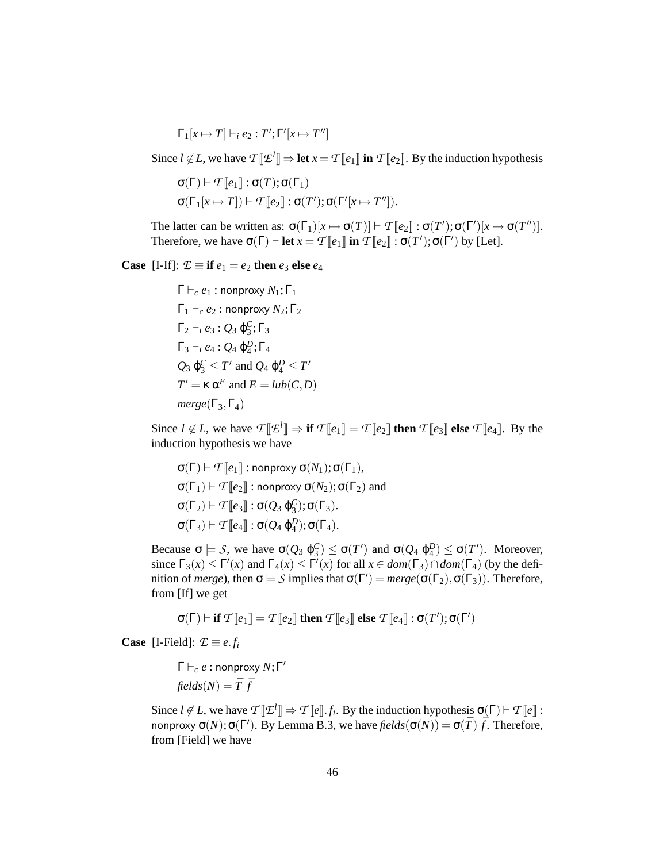$$
\Gamma_1[x \mapsto T] \vdash_i e_2 : T'; \Gamma'[x \mapsto T'']
$$

Since  $l \notin L$ , we have  $T[\mathcal{I}^l] \Rightarrow \text{let } x = T[\![e_1]\!] \text{ in } T[\![e_2]\!]$ . By the induction hypothesis

$$
\begin{aligned} & \sigma(\Gamma) \vdash \mathcal{T}[\![e_1]\!] : \sigma(T); \sigma(\Gamma_1) \\ & \sigma(\Gamma_1[x \mapsto T]) \vdash \mathcal{T}[\![e_2]\!] : \sigma(T'); \sigma(\Gamma'[x \mapsto T'']). \end{aligned}
$$

The latter can be written as:  $\sigma(\Gamma_1)[x \mapsto \sigma(T)] \vdash \mathcal{T}[\![e_2]\!] : \sigma(T'); \sigma(\Gamma')[x \mapsto \sigma(T'')].$ Therefore, we have  $\sigma(\Gamma) \vdash \textbf{let } x = \mathcal{T}[\![e_1]\!] \textbf{ in } \mathcal{T}[\![e_2]\!] : \sigma(T'); \sigma(\Gamma') \textbf{ by } [\textbf{Let}].$ 

### **Case** [I-If]:  $E \equiv \textbf{if } e_1 = e_2 \textbf{ then } e_3 \textbf{ else } e_4$

 $\Gamma \vdash_c e_1$ : nonproxy  $N_1; \Gamma_1$  $\Gamma_1 \vdash_c e_2$ : nonproxy  $N_2; \Gamma_2$  $Γ_2 ⊢_i e_3 : Q_3 φ_3^C; Γ_3$  $\Gamma_3 \vdash_i e_4 : Q_4 \varphi_4^D; \Gamma_4$  $Q_3 \varphi_3^C \leq T'$  and  $Q_4 \varphi_4^D \leq T'$  $T' = \kappa \alpha^E$  and  $E = lub(C, D)$ *merge*( $\Gamma_3, \Gamma_4$ )

Since  $l \notin L$ , we have  $T[\![\mathcal{L}^l]\!] \Rightarrow \textbf{if } T[\![e_1]\!] = T[\![e_2]\!]$  then  $T[\![e_3]\!]$  else  $T[\![e_4]\!]$ . By the induction hypothesis we have

$$
\sigma(\Gamma) \vdash \mathcal{T}[\![e_1]\!] : \text{nonproxy } \sigma(N_1); \sigma(\Gamma_1),
$$
\n
$$
\sigma(\Gamma_1) \vdash \mathcal{T}[\![e_2]\!] : \text{nonproxy } \sigma(N_2); \sigma(\Gamma_2) \text{ and}
$$
\n
$$
\sigma(\Gamma_2) \vdash \mathcal{T}[\![e_3]\!] : \sigma(Q_3 \varphi_3^C); \sigma(\Gamma_3).
$$
\n
$$
\sigma(\Gamma_3) \vdash \mathcal{T}[\![e_4]\!] : \sigma(Q_4 \varphi_4^D); \sigma(\Gamma_4).
$$

Because  $\sigma \models \mathcal{S}$ , we have  $\sigma(Q_3 \phi_3^C) \leq \sigma(T')$  and  $\sigma(Q_4 \phi_4^D) \leq \sigma(T')$ . Moreover, since  $\Gamma_3(x) \le \Gamma'(x)$  and  $\Gamma_4(x) \le \Gamma'(x)$  for all  $x \in dom(\Gamma_3) \cap dom(\Gamma_4)$  (by the definition of *merge*), then  $\sigma \models S$  implies that  $\sigma(\Gamma') = merge(\sigma(\Gamma_2), \sigma(\Gamma_3))$ . Therefore, from [If] we get

$$
\sigma(\Gamma) \vdash \textbf{if}~\mathcal{T}[\![e_1]\!] = \mathcal{T}[\![e_2]\!] ~\textbf{then}~\mathcal{T}[\![e_3]\!] ~\textbf{else}~\mathcal{T}[\![e_4]\!] : \sigma(T'); \sigma(\Gamma')
$$

**Case** [I-Field]:  $E \equiv e$ . *f<sub>i</sub>* 

 $\Gamma \vdash_c e : \mathsf{nonprovy}\ N; \Gamma'$ *fields*(*N*) =  $\overline{T}$   $\overline{f}$ 

Since  $l \notin L$ , we have  $T[\![\mathcal{I}^l]\!] \Rightarrow T[\![e]\!]$ . *f*<sub>*i*</sub>. By the induction hypothesis  $\sigma(\Gamma) \vdash T[\![e]\!]$ : nonproxy  $\sigma(N)$ ;  $\sigma(\Gamma')$ . By Lemma B.3, we have *fields*  $(\sigma(N)) = \sigma(\overline{T}) \overline{f}$ . Therefore, from [Field] we have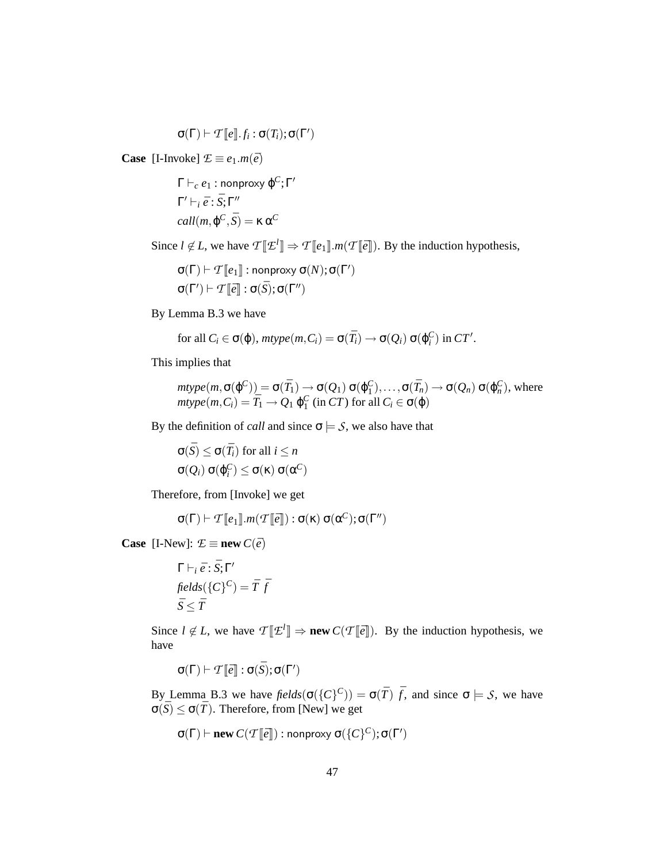$$
\sigma(\Gamma) \vdash \mathcal{T}[\![e]\!].f_i : \sigma(T_i); \sigma(\Gamma')
$$

**Case** [I-Invoke]  $\mathcal{E} \equiv e_1.m(\bar{e})$ 

 $\Gamma\vdash_c e_1$  : nonproxy φ $^C;\Gamma'$  $\Gamma' \vdash_i \bar{e} : \bar{S}; \Gamma''$ *call*(*m*, $\varphi^C$ ,*Š*) = κ α<sup>*C*</sup>

Since  $l \notin L$ , we have  $T[\mathcal{I}^l] \Rightarrow T[\![e_1]\!] \cdot m(T[\![\bar{e}]\!])$ . By the induction hypothesis,

 $\sigma(\Gamma) \vdash \mathcal{T}\llbracket e_1 \rrbracket :$  nonproxy  $\sigma(N) ; \sigma(\Gamma')$  $\sigma(\Gamma') \vdash \mathcal{T}[\![\bar{e}]\!]: \sigma(\bar{S}); \sigma(\Gamma'')$ 

By Lemma B.3 we have

for all 
$$
C_i \in \sigma(\varphi)
$$
,  $mtype(m, C_i) = \sigma(\overline{T_i}) \rightarrow \sigma(Q_i) \sigma(\varphi_i^C)$  in  $CT'$ .

This implies that

$$
\begin{array}{c}\n\mathit{mtype}(m, \sigma(\varphi^C)) = \sigma(\bar{T}_1) \to \sigma(Q_1) \sigma(\varphi_1^C), \ldots, \sigma(\bar{T}_n) \to \sigma(Q_n) \sigma(\varphi_n^C), \text{ where } \\
\mathit{mtype}(m, C_i) = \bar{T}_1 \to Q_1 \varphi_1^C \text{ (in } CT) \text{ for all } C_i \in \sigma(\varphi)\n\end{array}
$$

By the definition of *call* and since  $\sigma \models S$ , we also have that

 $\sigma(\bar{S}) \leq \sigma(\bar{T}_i)$  for all  $i \leq n$  $\sigma(Q_i) \sigma(\varphi_i^C) \leq \sigma(\kappa) \sigma(\alpha^C)$ 

Therefore, from [Invoke] we get

$$
\sigma(\Gamma) \vdash \mathcal{T}[\![e_1]\!].\text{m}(\mathcal{T}[\![\bar{e}]\!]) : \sigma(\kappa) \, \sigma(\alpha^C); \sigma(\Gamma'')
$$

**Case** [I-New]:  $\mathcal{E} \equiv \textbf{new } C(\bar{e})$ 

$$
\Gamma \vdash_i \bar{e} : \bar{S}; \Gamma'
$$
  
fields( $\{C\}^C$ ) =  $\bar{T} \bar{f}$   
 $\bar{S} \leq \bar{T}$ 

Since  $l \notin L$ , we have  $T[\mathcal{I}^l] \Rightarrow \text{new } C(T[\![\bar{e}]\!])$ . By the induction hypothesis, we have

 $\sigma(\Gamma) \vdash \mathcal{T}[\![\bar{e}]\!]: \sigma(\bar{S}); \sigma(\Gamma')$ 

By Lemma B.3 we have  $\text{fields}(\sigma({C}^{\{C\}})) = \sigma(\bar{T}) \bar{f}$ , and since  $\sigma \models S$ , we have  $\sigma(\bar{S}) \leq \sigma(\bar{T})$ . Therefore, from [New] we get

 $\sigma(\Gamma) \vdash \mathbf{new} \ C(T[\![\bar{e}]\!])$  : nonproxy  $\sigma(\{C\}^C)$ ;  $\sigma(\Gamma')$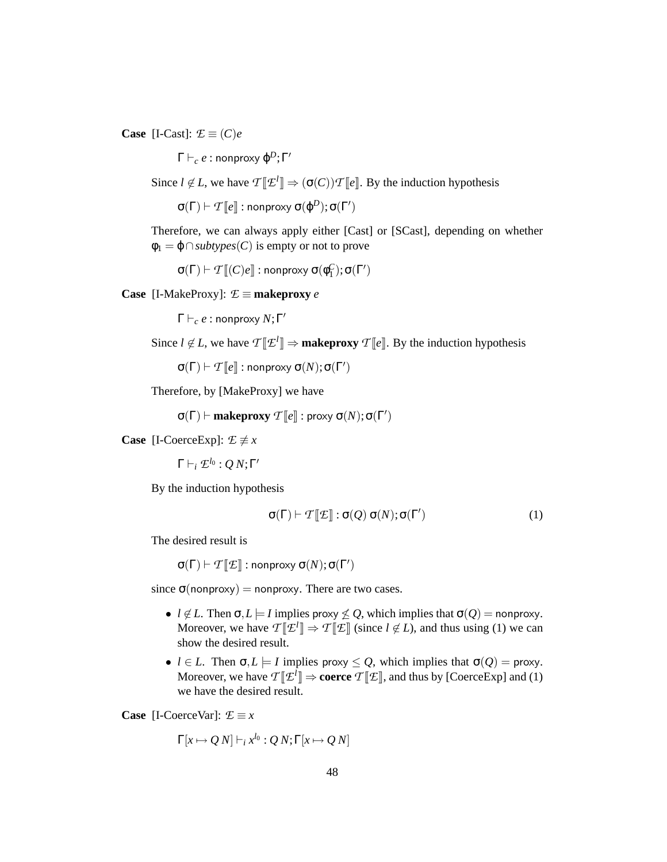**Case** [I-Cast]:  $E \equiv (C)e$ 

 $\Gamma\vdash_c e :$  nonproxy  $\operatorname{\phi}^D;\Gamma'$ 

Since  $l \notin L$ , we have  $T[\mathcal{L}^l] \Rightarrow (\sigma(C))T[\![e]\!]$ . By the induction hypothesis

 $\sigma(\Gamma) \vdash \mathcal{T}\llbracket e \rrbracket :$  nonproxy  $\sigma(\operatorname{\varphi}^D) ; \sigma(\Gamma')$ 

Therefore, we can always apply either [Cast] or [SCast], depending on whether  $\phi_1 = \phi \cap \textit{subtypes}(C)$  is empty or not to prove

 $\sigma(\Gamma) \vdash \mathcal{T}[\![(C)e]\!]$  : nonproxy  $\sigma(\phi_1^C); \sigma(\Gamma')$ 

**Case** [I-MakeProxy]:  $E \equiv$  **makeproxy** *e* 

 $\Gamma \vdash_c e : \mathsf{nonprovy}\ N; \Gamma'$ 

Since  $l \notin L$ , we have  $T[\![\mathcal{I}^l]\!] \Rightarrow$  **makeproxy**  $T[\![e]\!]$ . By the induction hypothesis

 $\sigma(\Gamma) \vdash \mathcal{T}[\![e]\!]$  : nonproxy  $\sigma(N)$ ;  $\sigma(\Gamma')$ 

Therefore, by [MakeProxy] we have

**σ**(Γ)  $\vdash$  **makeproxy**  $\mathcal{T}[\![e]\!]$  : proxy  $\sigma(N)$ ;  $\sigma(\Gamma')$ 

**Case** [I-CoerceExp]:  $E \neq x$ 

 $\Gamma\vdash_i \mathcal{E}^{l_0}:\mathcal{Q}\,N;\Gamma'$ 

By the induction hypothesis

$$
\sigma(\Gamma) \vdash \mathcal{T}[\![\mathcal{I}]\!]: \sigma(Q) \; \sigma(N); \sigma(\Gamma')
$$
\n(1)

The desired result is

 $\sigma(\Gamma) \vdash \mathcal{T}[\![\mathcal{I}]\!]$  : nonproxy  $\sigma(N) ; \sigma(\Gamma')$ 

since  $\sigma$ (nonproxy) = nonproxy. There are two cases.

- $l \notin L$ . Then  $\sigma, L \models I$  implies proxy  $\leq Q$ , which implies that  $\sigma(Q) =$  nonproxy. Moreover, we have  $T[\![\mathcal{I}^l]\!] \Rightarrow T[\![\mathcal{I}]\!]$  (since  $l \notin L$ ), and thus using (1) we can show the desired result.
- $l \in L$ . Then  $\sigma, L \models I$  implies proxy  $\leq Q$ , which implies that  $\sigma(Q) = \text{prox}$ . Moreover, we have  $T[\mathcal{I}^l] \Rightarrow$  **coerce**  $T[\mathcal{I}^l]$ , and thus by [CoerceExp] and (1) we have the desired result.

**Case** [I-CoerceVar]:  $E \equiv x$ 

 $\Gamma[x \mapsto Q \, N] \vdash_i x^{l_0} : Q \, N; \Gamma[x \mapsto Q \, N]$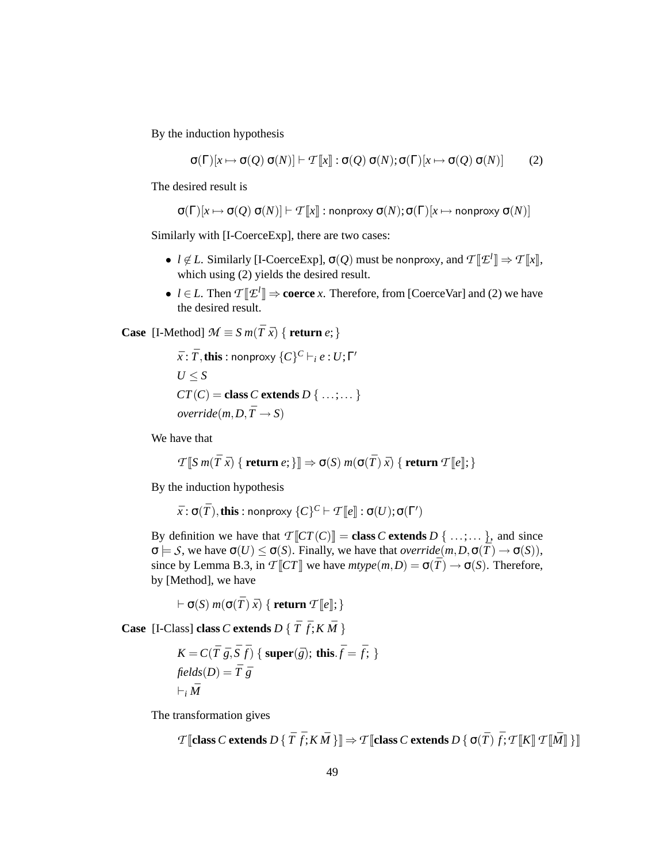By the induction hypothesis

$$
\sigma(\Gamma)[x \mapsto \sigma(Q) \sigma(N)] \vdash \mathcal{T}[\![x]\!] : \sigma(Q) \sigma(N); \sigma(\Gamma)[x \mapsto \sigma(Q) \sigma(N)] \tag{2}
$$

The desired result is

$$
\sigma(\Gamma)[x \mapsto \sigma(Q) \; \sigma(N)] \vdash \mathcal{T} \llbracket x \rrbracket : \text{nonproxy } \sigma(N); \sigma(\Gamma)[x \mapsto \text{nonproxy } \sigma(N)]
$$

Similarly with [I-CoerceExp], there are two cases:

- $l \notin L$ . Similarly [I-CoerceExp],  $\sigma(Q)$  must be nonproxy, and  $\mathcal{T}[\![\mathcal{I}^l]\!] \Rightarrow \mathcal{T}[\![x]\!]$ , which using (2) yields the desired result.
- *l* ∈ *L*. Then *T* [[*E l* ]] ⇒ **coerce** *x*. Therefore, from [CoerceVar] and (2) we have the desired result.

**Case** [I-Method]  $M \equiv S m(\overline{T} \overline{x})$  { **return**  $e$ ; }

```
\bar{x} : \bar{T}, this : nonproxy \{C\}^C \vdash_i e : U; \Gamma'U \leq SCT(C) = \text{class } C \text{ extends } D \{ \dots; \dots \}override(m, D, \overline{T} \rightarrow S)
```
We have that

$$
\mathcal{T}[\![S\,m(\bar{T}\,\bar{x})\;\{\text{ return }e;\}]\!]\Rightarrow \sigma(S)\,m(\sigma(\bar{T})\,\bar{x})\;\{\text{ return }\mathcal{T}[\![e]\!]\!];
$$

By the induction hypothesis

 $\bar{x}$  :  $\sigma(\bar{T}),$  this : nonproxy  $\{C\}^{\bar{C}} \vdash \mathcal{T}[\![e]\!]: \sigma(U); \sigma(\Gamma')$ 

By definition we have that  $T[T(C)] = \text{class } C \text{ extends } D \{ \dots; \dots \}$ , and since  $\sigma \models \mathcal{S}$ , we have  $\sigma(U) \leq \sigma(S)$ . Finally, we have that *override* $(m, D, \sigma(\overline{T}) \rightarrow \sigma(S)),$ since by Lemma B.3, in  $T$   $\llbracket CT \rrbracket$  we have  $mtype(m, D) = \sigma(\bar{T}) \rightarrow \sigma(S)$ . Therefore, by [Method], we have

 $\vdash$   $\sigma(S)$  *m*( $\sigma(\bar{T})$   $\bar{x}$ ) { **return**  $\mathcal{T}$ [[*e*]]; }

**Case** [I-Class] **class** *C* **extends**  $D \{ \bar{T} \bar{f}$ ;  $K \bar{M} \}$ 

$$
K = C(\overline{T} \overline{g}, \overline{S} \overline{f}) \{ \text{ super}(\overline{g}); \text{ this.} \overline{f} = \overline{f}; \}
$$
  
fields(D) =  $\overline{T} \overline{g}$   
 $\vdash_i \overline{M}$ 

The transformation gives

 $\mathcal{T}[\![\mathbf{class}\, C \,\mathbf{extends}\, D\, \{\,\bar{T}\, \bar{f};\! K\, \bar{M}\, \}]\!]\Rightarrow \mathcal{T}[\![\mathbf{class}\, C \,\mathbf{extends}\, D\, \{\,\sigma(\bar{T})\, \bar{f};\mathcal{T}[\![K]\!]\, \mathcal{T}[\![\bar{M}]\, ]\, \}]\!]$